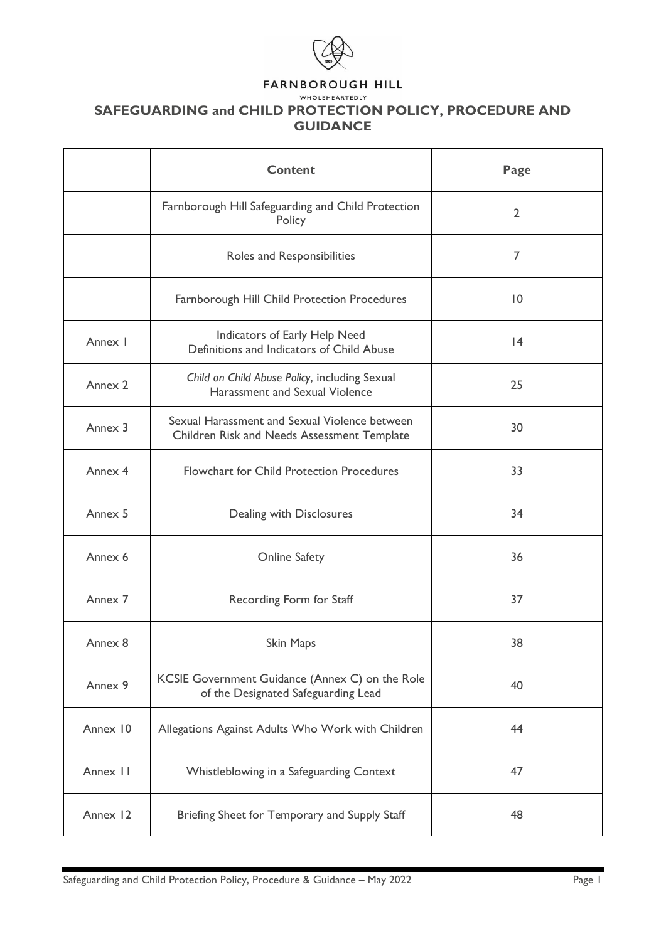

## **FARNBOROUGH HILL**

## WHOLEHEARTEDLY **SAFEGUARDING and CHILD PROTECTION POLICY, PROCEDURE AND GUIDANCE**

|          | <b>Content</b>                                                                               | Page            |
|----------|----------------------------------------------------------------------------------------------|-----------------|
|          | Farnborough Hill Safeguarding and Child Protection<br>Policy                                 | $\overline{2}$  |
|          | Roles and Responsibilities                                                                   | 7               |
|          | Farnborough Hill Child Protection Procedures                                                 | $\overline{10}$ |
| Annex I  | Indicators of Early Help Need<br>Definitions and Indicators of Child Abuse                   | 4               |
| Annex 2  | Child on Child Abuse Policy, including Sexual<br>Harassment and Sexual Violence              | 25              |
| Annex 3  | Sexual Harassment and Sexual Violence between<br>Children Risk and Needs Assessment Template | 30              |
| Annex 4  | <b>Flowchart for Child Protection Procedures</b>                                             | 33              |
| Annex 5  | Dealing with Disclosures                                                                     | 34              |
| Annex 6  | <b>Online Safety</b>                                                                         | 36              |
| Annex 7  | Recording Form for Staff                                                                     | 37              |
| Annex 8  | <b>Skin Maps</b>                                                                             | 38              |
| Annex 9  | KCSIE Government Guidance (Annex C) on the Role<br>of the Designated Safeguarding Lead       | 40              |
| Annex 10 | Allegations Against Adults Who Work with Children                                            | 44              |
| Annex II | Whistleblowing in a Safeguarding Context                                                     | 47              |
| Annex 12 | Briefing Sheet for Temporary and Supply Staff                                                | 48              |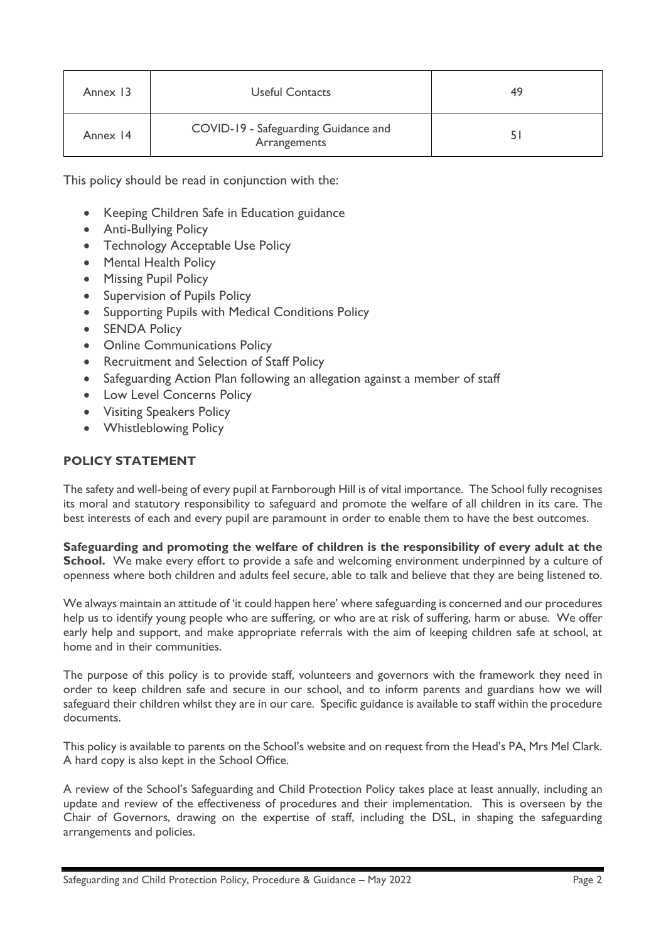| Annex 13 | <b>Useful Contacts</b>                               |  |
|----------|------------------------------------------------------|--|
| Annex 14 | COVID-19 - Safeguarding Guidance and<br>Arrangements |  |

This policy should be read in conjunction with the:

- Keeping Children Safe in Education guidance
- Anti-Bullying Policy
- Technology Acceptable Use Policy
- Mental Health Policy
- Missing Pupil Policy
- Supervision of Pupils Policy
- Supporting Pupils with Medical Conditions Policy
- SENDA Policy
- Online Communications Policy
- Recruitment and Selection of Staff Policy
- Safeguarding Action Plan following an allegation against a member of staff
- Low Level Concerns Policy
- Visiting Speakers Policy
- Whistleblowing Policy

# **POLICY STATEMENT**

The safety and well-being of every pupil at Farnborough Hill is of vital importance. The School fully recognises its moral and statutory responsibility to safeguard and promote the welfare of all children in its care. The best interests of each and every pupil are paramount in order to enable them to have the best outcomes.

**Safeguarding and promoting the welfare of children is the responsibility of every adult at the School.** We make every effort to provide a safe and welcoming environment underpinned by a culture of openness where both children and adults feel secure, able to talk and believe that they are being listened to.

We always maintain an attitude of 'it could happen here' where safeguarding is concerned and our procedures help us to identify young people who are suffering, or who are at risk of suffering, harm or abuse. We offer early help and support, and make appropriate referrals with the aim of keeping children safe at school, at home and in their communities.

The purpose of this policy is to provide staff, volunteers and governors with the framework they need in order to keep children safe and secure in our school, and to inform parents and guardians how we will safeguard their children whilst they are in our care. Specific guidance is available to staff within the procedure documents.

This policy is available to parents on the School's website and on request from the Head's PA, Mrs Mel Clark. A hard copy is also kept in the School Office.

A review of the School's Safeguarding and Child Protection Policy takes place at least annually, including an update and review of the effectiveness of procedures and their implementation. This is overseen by the Chair of Governors, drawing on the expertise of staff, including the DSL, in shaping the safeguarding arrangements and policies.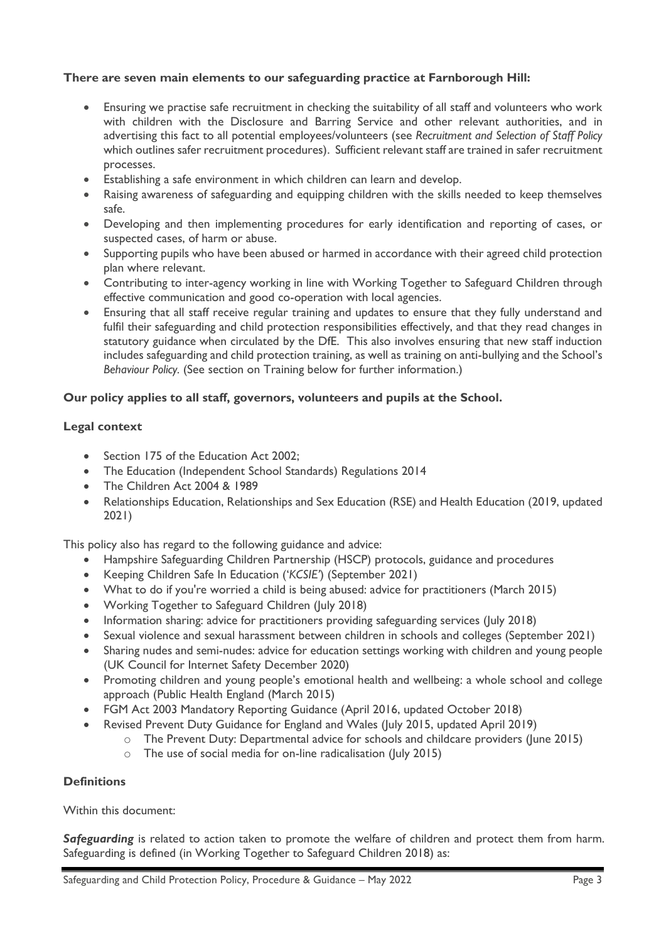## **There are seven main elements to our safeguarding practice at Farnborough Hill:**

- Ensuring we practise safe recruitment in checking the suitability of all staff and volunteers who work with children with the Disclosure and Barring Service and other relevant authorities, and in advertising this fact to all potential employees/volunteers (see *Recruitment and Selection of Staff Policy* which outlines safer recruitment procedures). Sufficient relevant staff are trained in safer recruitment processes.
- Establishing a safe environment in which children can learn and develop.
- Raising awareness of safeguarding and equipping children with the skills needed to keep themselves safe.
- Developing and then implementing procedures for early identification and reporting of cases, or suspected cases, of harm or abuse.
- Supporting pupils who have been abused or harmed in accordance with their agreed child protection plan where relevant.
- Contributing to inter-agency working in line with Working Together to Safeguard Children through effective communication and good co-operation with local agencies.
- Ensuring that all staff receive regular training and updates to ensure that they fully understand and fulfil their safeguarding and child protection responsibilities effectively, and that they read changes in statutory guidance when circulated by the DfE. This also involves ensuring that new staff induction includes safeguarding and child protection training, as well as training on anti-bullying and the School's *Behaviour Policy.* (See section on Training below for further information.)

## **Our policy applies to all staff, governors, volunteers and pupils at the School.**

## **Legal context**

- Section 175 of the Education Act 2002;
- The Education (Independent School Standards) Regulations 2014
- The Children Act 2004 & 1989
- Relationships Education, Relationships and Sex Education (RSE) and Health Education (2019, updated 2021)

This policy also has regard to the following guidance and advice:

- Hampshire Safeguarding Children Partnership (HSCP) protocols, guidance and procedures
- Keeping Children Safe In Education ('*KCSIE'*) (September 2021)
- What to do if you're worried a child is being abused: advice for practitioners (March 2015)
- Working Together to Safeguard Children (July 2018)
- Information sharing: advice for practitioners providing safeguarding services (July 2018)
- Sexual violence and sexual harassment between children in schools and colleges (September 2021)
- Sharing nudes and semi-nudes: advice for education settings working with children and young people (UK Council for Internet Safety December 2020)
- Promoting children and young people's emotional health and wellbeing: a whole school and college approach (Public Health England (March 2015)
- FGM Act 2003 Mandatory Reporting Guidance (April 2016, updated October 2018)
- Revised Prevent Duty Guidance for England and Wales (July 2015, updated April 2019)
	- o The Prevent Duty: Departmental advice for schools and childcare providers (June 2015)
		- o The use of social media for on-line radicalisation (July 2015)

#### **Definitions**

Within this document:

**Safeguarding** is related to action taken to promote the welfare of children and protect them from harm. Safeguarding is defined (in Working Together to Safeguard Children 2018) as: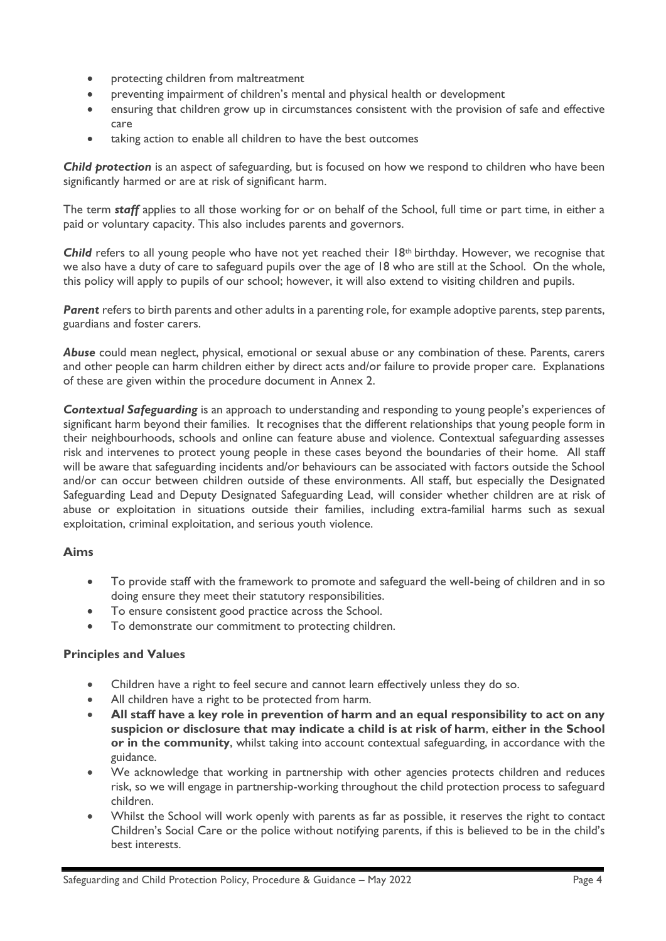- protecting children from maltreatment
- preventing impairment of children's mental and physical health or development
- ensuring that children grow up in circumstances consistent with the provision of safe and effective care
- taking action to enable all children to have the best outcomes

*Child protection* is an aspect of safeguarding, but is focused on how we respond to children who have been significantly harmed or are at risk of significant harm.

The term *staff* applies to all those working for or on behalf of the School, full time or part time, in either a paid or voluntary capacity. This also includes parents and governors.

*Child* refers to all young people who have not yet reached their 18<sup>th</sup> birthday. However, we recognise that we also have a duty of care to safeguard pupils over the age of 18 who are still at the School. On the whole, this policy will apply to pupils of our school; however, it will also extend to visiting children and pupils.

**Parent** refers to birth parents and other adults in a parenting role, for example adoptive parents, step parents, guardians and foster carers.

*Abuse* could mean neglect, physical, emotional or sexual abuse or any combination of these. Parents, carers and other people can harm children either by direct acts and/or failure to provide proper care. Explanations of these are given within the procedure document in Annex 2.

*Contextual Safeguarding* is an approach to understanding and responding to young people's experiences of significant harm beyond their families. It recognises that the different relationships that young people form in their neighbourhoods, schools and online can feature abuse and violence. Contextual safeguarding assesses risk and intervenes to protect young people in these cases beyond the boundaries of their home. All staff will be aware that safeguarding incidents and/or behaviours can be associated with factors outside the School and/or can occur between children outside of these environments. All staff, but especially the Designated Safeguarding Lead and Deputy Designated Safeguarding Lead, will consider whether children are at risk of abuse or exploitation in situations outside their families, including extra-familial harms such as sexual exploitation, criminal exploitation, and serious youth violence.

## **Aims**

- To provide staff with the framework to promote and safeguard the well-being of children and in so doing ensure they meet their statutory responsibilities.
- To ensure consistent good practice across the School.
- To demonstrate our commitment to protecting children.

## **Principles and Values**

- Children have a right to feel secure and cannot learn effectively unless they do so.
- All children have a right to be protected from harm.
- **All staff have a key role in prevention of harm and an equal responsibility to act on any suspicion or disclosure that may indicate a child is at risk of harm**, **either in the School or in the community**, whilst taking into account contextual safeguarding, in accordance with the guidance.
- We acknowledge that working in partnership with other agencies protects children and reduces risk, so we will engage in partnership-working throughout the child protection process to safeguard children.
- Whilst the School will work openly with parents as far as possible, it reserves the right to contact Children's Social Care or the police without notifying parents, if this is believed to be in the child's best interests.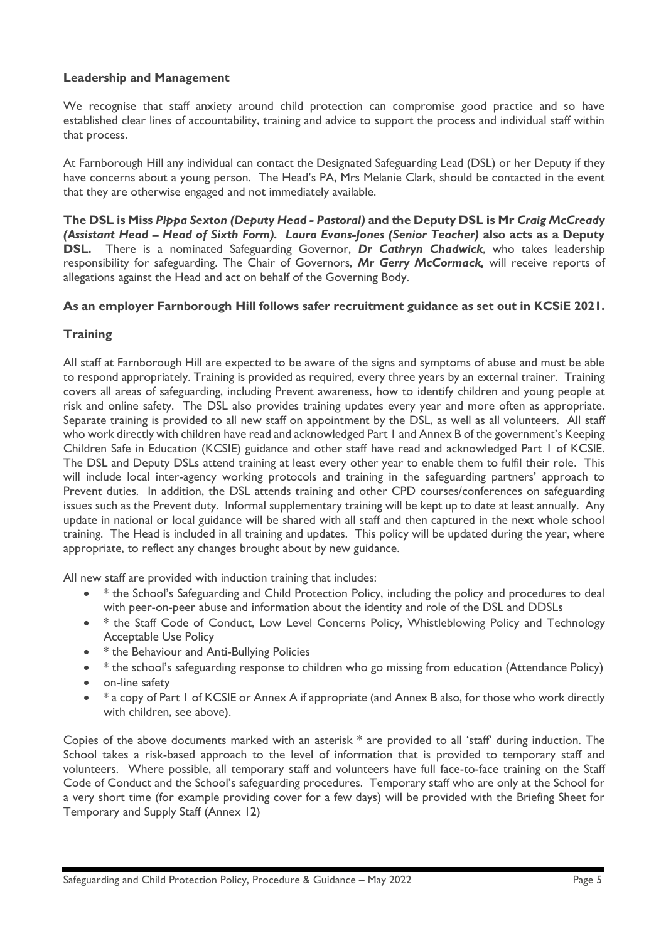# **Leadership and Management**

We recognise that staff anxiety around child protection can compromise good practice and so have established clear lines of accountability, training and advice to support the process and individual staff within that process.

At Farnborough Hill any individual can contact the Designated Safeguarding Lead (DSL) or her Deputy if they have concerns about a young person. The Head's PA, Mrs Melanie Clark, should be contacted in the event that they are otherwise engaged and not immediately available.

**The DSL is Miss** *Pippa Sexton (Deputy Head - Pastoral)* **and the Deputy DSL is Mr** *Craig McCready (Assistant Head – Head of Sixth Form). Laura Evans-Jones (Senior Teacher)* **also acts as a Deputy DSL.**There is a nominated Safeguarding Governor, *Dr Cathryn Chadwick*, who takes leadership responsibility for safeguarding. The Chair of Governors, *Mr Gerry McCormack,* will receive reports of allegations against the Head and act on behalf of the Governing Body.

## **As an employer Farnborough Hill follows safer recruitment guidance as set out in KCSiE 2021.**

# **Training**

All staff at Farnborough Hill are expected to be aware of the signs and symptoms of abuse and must be able to respond appropriately. Training is provided as required, every three years by an external trainer. Training covers all areas of safeguarding, including Prevent awareness, how to identify children and young people at risk and online safety. The DSL also provides training updates every year and more often as appropriate. Separate training is provided to all new staff on appointment by the DSL, as well as all volunteers. All staff who work directly with children have read and acknowledged Part 1 and Annex B of the government's Keeping Children Safe in Education (KCSIE) guidance and other staff have read and acknowledged Part 1 of KCSIE. The DSL and Deputy DSLs attend training at least every other year to enable them to fulfil their role. This will include local inter-agency working protocols and training in the safeguarding partners' approach to Prevent duties. In addition, the DSL attends training and other CPD courses/conferences on safeguarding issues such as the Prevent duty. Informal supplementary training will be kept up to date at least annually. Any update in national or local guidance will be shared with all staff and then captured in the next whole school training. The Head is included in all training and updates. This policy will be updated during the year, where appropriate, to reflect any changes brought about by new guidance.

All new staff are provided with induction training that includes:

- \* the School's Safeguarding and Child Protection Policy, including the policy and procedures to deal with peer-on-peer abuse and information about the identity and role of the DSL and DDSLs
- \* the Staff Code of Conduct, Low Level Concerns Policy, Whistleblowing Policy and Technology Acceptable Use Policy
- \* the Behaviour and Anti-Bullying Policies
- \* the school's safeguarding response to children who go missing from education (Attendance Policy)
- on-line safety
- \* a copy of Part 1 of KCSIE or Annex A if appropriate (and Annex B also, for those who work directly with children, see above).

Copies of the above documents marked with an asterisk \* are provided to all 'staff' during induction. The School takes a risk-based approach to the level of information that is provided to temporary staff and volunteers. Where possible, all temporary staff and volunteers have full face-to-face training on the Staff Code of Conduct and the School's safeguarding procedures. Temporary staff who are only at the School for a very short time (for example providing cover for a few days) will be provided with the Briefing Sheet for Temporary and Supply Staff (Annex 12)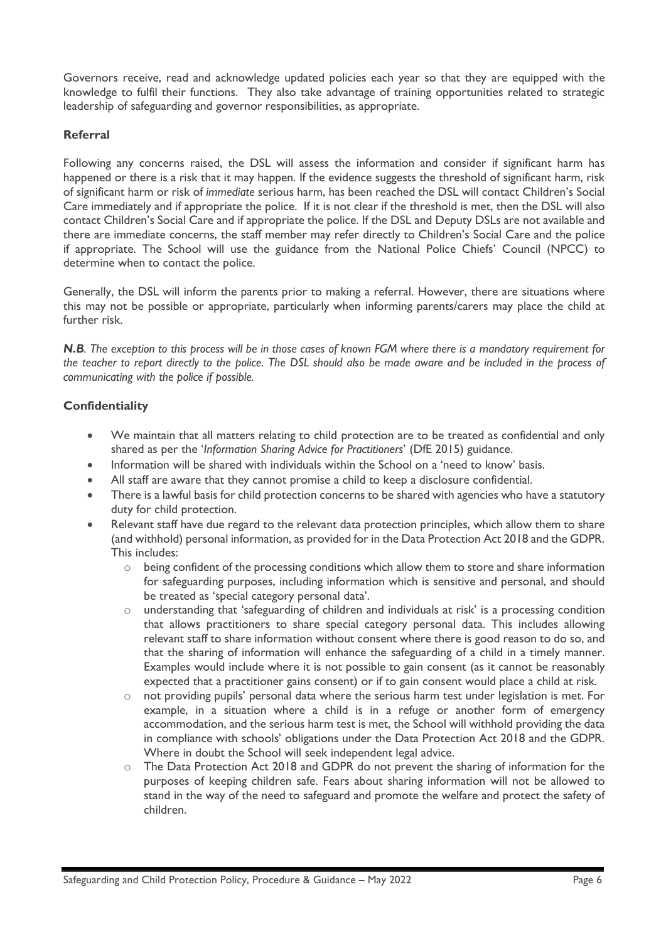Governors receive, read and acknowledge updated policies each year so that they are equipped with the knowledge to fulfil their functions. They also take advantage of training opportunities related to strategic leadership of safeguarding and governor responsibilities, as appropriate.

# **Referral**

Following any concerns raised, the DSL will assess the information and consider if significant harm has happened or there is a risk that it may happen. If the evidence suggests the threshold of significant harm, risk of significant harm or risk of *immediate* serious harm, has been reached the DSL will contact Children's Social Care immediately and if appropriate the police. If it is not clear if the threshold is met, then the DSL will also contact Children's Social Care and if appropriate the police. If the DSL and Deputy DSLs are not available and there are immediate concerns, the staff member may refer directly to Children's Social Care and the police if appropriate. The School will use the guidance from the National Police Chiefs' Council (NPCC) to determine when to contact the police.

Generally, the DSL will inform the parents prior to making a referral. However, there are situations where this may not be possible or appropriate, particularly when informing parents/carers may place the child at further risk.

**N.B**. The exception to this process will be in those cases of known FGM where there is a mandatory requirement for *the teacher to report directly to the police. The DSL should also be made aware and be included in the process of communicating with the police if possible.*

# **Confidentiality**

- We maintain that all matters relating to child protection are to be treated as confidential and only shared as per the '*Information Sharing Advice for Practitioners*' (DfE 2015) guidance.
- Information will be shared with individuals within the School on a 'need to know' basis.
- All staff are aware that they cannot promise a child to keep a disclosure confidential.
- There is a lawful basis for child protection concerns to be shared with agencies who have a statutory duty for child protection.
- Relevant staff have due regard to the relevant data protection principles, which allow them to share (and withhold) personal information, as provided for in the Data Protection Act 2018 and the GDPR. This includes:
	- $\circ$  being confident of the processing conditions which allow them to store and share information for safeguarding purposes, including information which is sensitive and personal, and should be treated as 'special category personal data'.
	- o understanding that 'safeguarding of children and individuals at risk' is a processing condition that allows practitioners to share special category personal data. This includes allowing relevant staff to share information without consent where there is good reason to do so, and that the sharing of information will enhance the safeguarding of a child in a timely manner. Examples would include where it is not possible to gain consent (as it cannot be reasonably expected that a practitioner gains consent) or if to gain consent would place a child at risk.
	- $\circ$  not providing pupils' personal data where the serious harm test under legislation is met. For example, in a situation where a child is in a refuge or another form of emergency accommodation, and the serious harm test is met, the School will withhold providing the data in compliance with schools' obligations under the Data Protection Act 2018 and the GDPR. Where in doubt the School will seek independent legal advice.
	- o The Data Protection Act 2018 and GDPR do not prevent the sharing of information for the purposes of keeping children safe. Fears about sharing information will not be allowed to stand in the way of the need to safeguard and promote the welfare and protect the safety of children.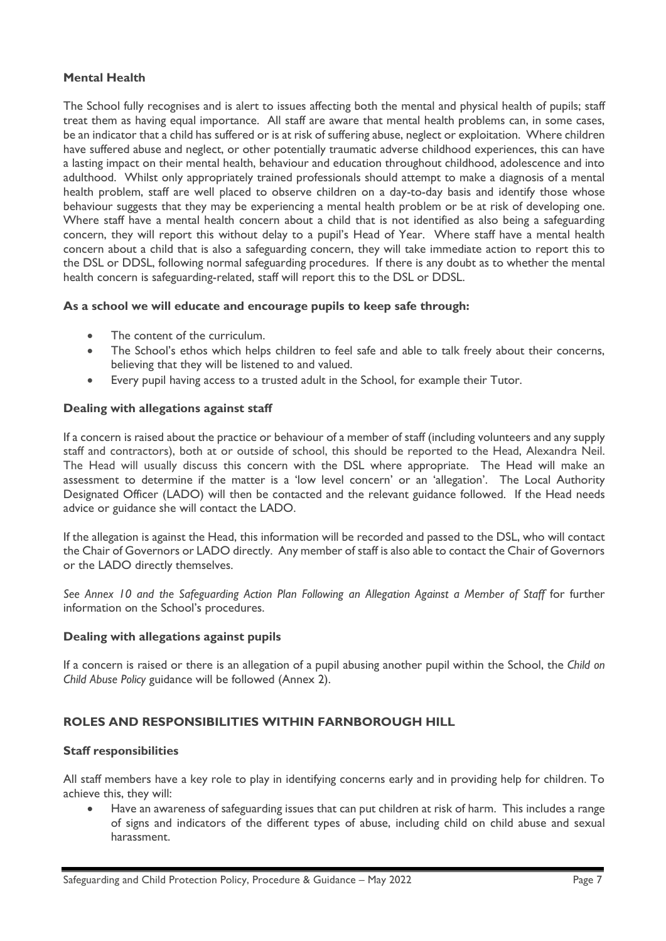# **Mental Health**

The School fully recognises and is alert to issues affecting both the mental and physical health of pupils; staff treat them as having equal importance. All staff are aware that mental health problems can, in some cases, be an indicator that a child has suffered or is at risk of suffering abuse, neglect or exploitation. Where children have suffered abuse and neglect, or other potentially traumatic adverse childhood experiences, this can have a lasting impact on their mental health, behaviour and education throughout childhood, adolescence and into adulthood. Whilst only appropriately trained professionals should attempt to make a diagnosis of a mental health problem, staff are well placed to observe children on a day-to-day basis and identify those whose behaviour suggests that they may be experiencing a mental health problem or be at risk of developing one. Where staff have a mental health concern about a child that is not identified as also being a safeguarding concern, they will report this without delay to a pupil's Head of Year. Where staff have a mental health concern about a child that is also a safeguarding concern, they will take immediate action to report this to the DSL or DDSL, following normal safeguarding procedures. If there is any doubt as to whether the mental health concern is safeguarding-related, staff will report this to the DSL or DDSL.

## **As a school we will educate and encourage pupils to keep safe through:**

- The content of the curriculum.
- The School's ethos which helps children to feel safe and able to talk freely about their concerns, believing that they will be listened to and valued.
- Every pupil having access to a trusted adult in the School, for example their Tutor.

## **Dealing with allegations against staff**

If a concern is raised about the practice or behaviour of a member of staff (including volunteers and any supply staff and contractors), both at or outside of school, this should be reported to the Head, Alexandra Neil. The Head will usually discuss this concern with the DSL where appropriate. The Head will make an assessment to determine if the matter is a 'low level concern' or an 'allegation'. The Local Authority Designated Officer (LADO) will then be contacted and the relevant guidance followed. If the Head needs advice or guidance she will contact the LADO.

If the allegation is against the Head, this information will be recorded and passed to the DSL, who will contact the Chair of Governors or LADO directly. Any member of staff is also able to contact the Chair of Governors or the LADO directly themselves.

*See Annex 10 and the Safeguarding Action Plan Following an Allegation Against a Member of Staff* for further information on the School's procedures.

## **Dealing with allegations against pupils**

If a concern is raised or there is an allegation of a pupil abusing another pupil within the School, the *Child on Child Abuse Policy* guidance will be followed (Annex 2).

# **ROLES AND RESPONSIBILITIES WITHIN FARNBOROUGH HILL**

## **Staff responsibilities**

All staff members have a key role to play in identifying concerns early and in providing help for children. To achieve this, they will:

• Have an awareness of safeguarding issues that can put children at risk of harm. This includes a range of signs and indicators of the different types of abuse, including child on child abuse and sexual harassment.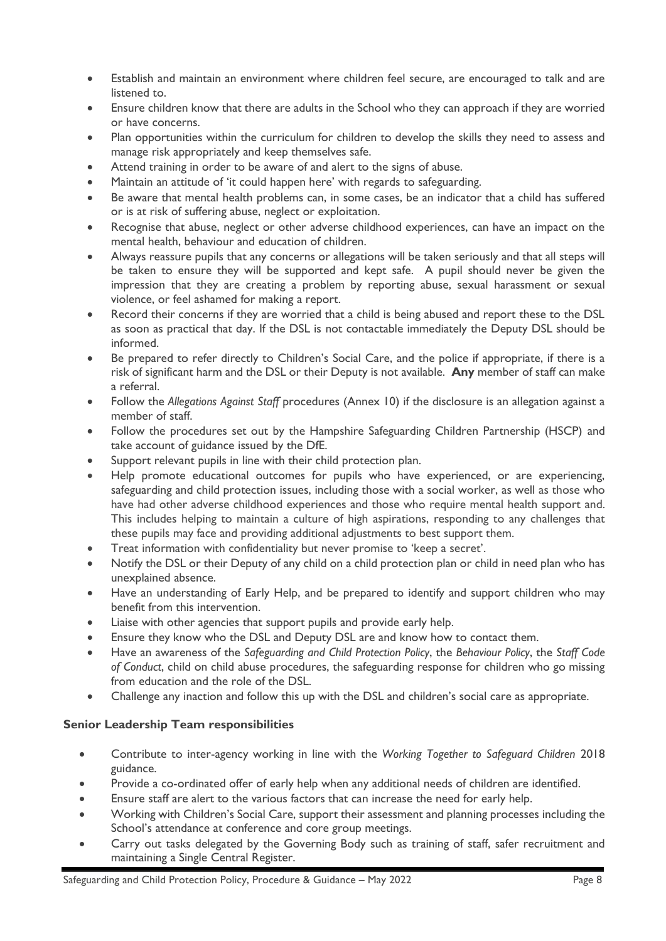- Establish and maintain an environment where children feel secure, are encouraged to talk and are listened to.
- Ensure children know that there are adults in the School who they can approach if they are worried or have concerns.
- Plan opportunities within the curriculum for children to develop the skills they need to assess and manage risk appropriately and keep themselves safe.
- Attend training in order to be aware of and alert to the signs of abuse.
- Maintain an attitude of 'it could happen here' with regards to safeguarding.
- Be aware that mental health problems can, in some cases, be an indicator that a child has suffered or is at risk of suffering abuse, neglect or exploitation.
- Recognise that abuse, neglect or other adverse childhood experiences, can have an impact on the mental health, behaviour and education of children.
- Always reassure pupils that any concerns or allegations will be taken seriously and that all steps will be taken to ensure they will be supported and kept safe. A pupil should never be given the impression that they are creating a problem by reporting abuse, sexual harassment or sexual violence, or feel ashamed for making a report.
- Record their concerns if they are worried that a child is being abused and report these to the DSL as soon as practical that day. If the DSL is not contactable immediately the Deputy DSL should be informed.
- Be prepared to refer directly to Children's Social Care, and the police if appropriate, if there is a risk of significant harm and the DSL or their Deputy is not available. **Any** member of staff can make a referral.
- Follow the *Allegations Against Staff* procedures (Annex 10) if the disclosure is an allegation against a member of staff.
- Follow the procedures set out by the Hampshire Safeguarding Children Partnership (HSCP) and take account of guidance issued by the DfE.
- Support relevant pupils in line with their child protection plan.
- Help promote educational outcomes for pupils who have experienced, or are experiencing, safeguarding and child protection issues, including those with a social worker, as well as those who have had other adverse childhood experiences and those who require mental health support and. This includes helping to maintain a culture of high aspirations, responding to any challenges that these pupils may face and providing additional adjustments to best support them.
- Treat information with confidentiality but never promise to 'keep a secret'.
- Notify the DSL or their Deputy of any child on a child protection plan or child in need plan who has unexplained absence.
- Have an understanding of Early Help, and be prepared to identify and support children who may benefit from this intervention.
- Liaise with other agencies that support pupils and provide early help.
- Ensure they know who the DSL and Deputy DSL are and know how to contact them.
- Have an awareness of the *Safeguarding and Child Protection Policy*, the *Behaviour Policy*, the *Staff Code of Conduct*, child on child abuse procedures, the safeguarding response for children who go missing from education and the role of the DSL.
- Challenge any inaction and follow this up with the DSL and children's social care as appropriate.

## **Senior Leadership Team responsibilities**

- Contribute to inter-agency working in line with the *Working Together to Safeguard Children* 2018 guidance.
- Provide a co-ordinated offer of early help when any additional needs of children are identified.
- Ensure staff are alert to the various factors that can increase the need for early help.
- Working with Children's Social Care, support their assessment and planning processes including the School's attendance at conference and core group meetings.
- Carry out tasks delegated by the Governing Body such as training of staff, safer recruitment and maintaining a Single Central Register.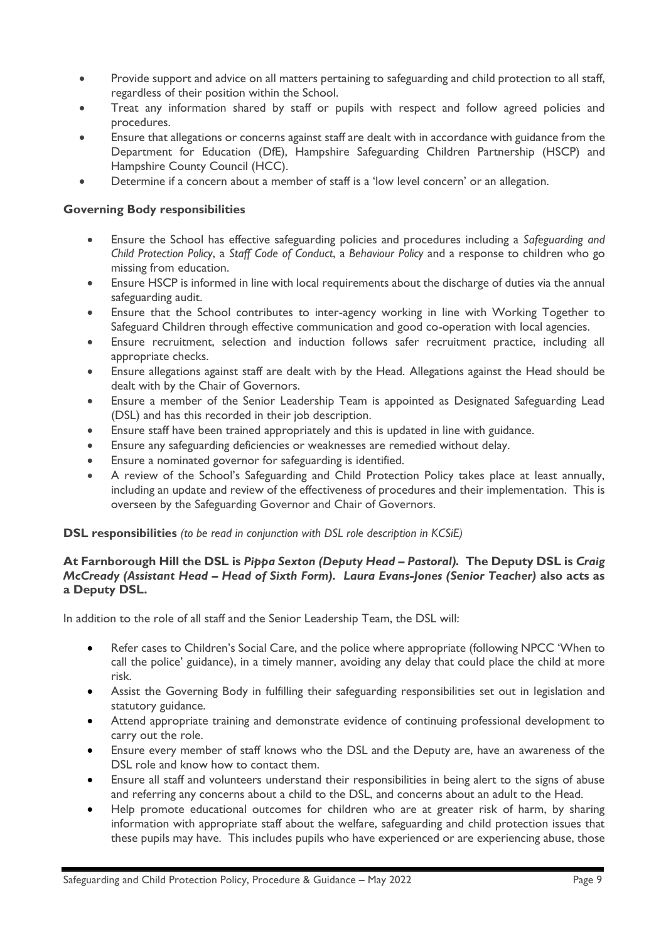- Provide support and advice on all matters pertaining to safeguarding and child protection to all staff, regardless of their position within the School.
- Treat any information shared by staff or pupils with respect and follow agreed policies and procedures.
- Ensure that allegations or concerns against staff are dealt with in accordance with guidance from the Department for Education (DfE), Hampshire Safeguarding Children Partnership (HSCP) and Hampshire County Council (HCC).
- Determine if a concern about a member of staff is a 'low level concern' or an allegation.

## **Governing Body responsibilities**

- Ensure the School has effective safeguarding policies and procedures including a *Safeguarding and Child Protection Policy*, a *Staff Code of Conduct*, a *Behaviour Policy* and a response to children who go missing from education.
- Ensure HSCP is informed in line with local requirements about the discharge of duties via the annual safeguarding audit.
- Ensure that the School contributes to inter-agency working in line with Working Together to Safeguard Children through effective communication and good co-operation with local agencies.
- Ensure recruitment, selection and induction follows safer recruitment practice, including all appropriate checks.
- Ensure allegations against staff are dealt with by the Head. Allegations against the Head should be dealt with by the Chair of Governors.
- Ensure a member of the Senior Leadership Team is appointed as Designated Safeguarding Lead (DSL) and has this recorded in their job description.
- Ensure staff have been trained appropriately and this is updated in line with guidance.
- Ensure any safeguarding deficiencies or weaknesses are remedied without delay.
- Ensure a nominated governor for safeguarding is identified.
- A review of the School's Safeguarding and Child Protection Policy takes place at least annually, including an update and review of the effectiveness of procedures and their implementation. This is overseen by the Safeguarding Governor and Chair of Governors.

**DSL responsibilities** *(to be read in conjunction with DSL role description in KCSiE)*

### **At Farnborough Hill the DSL is** *Pippa Sexton (Deputy Head – Pastoral).* **The Deputy DSL is** *Craig McCready (Assistant Head – Head of Sixth Form). Laura Evans-Jones (Senior Teacher)* **also acts as a Deputy DSL.**

In addition to the role of all staff and the Senior Leadership Team, the DSL will:

- Refer cases to Children's Social Care, and the police where appropriate (following NPCC 'When to call the police' guidance), in a timely manner, avoiding any delay that could place the child at more risk.
- Assist the Governing Body in fulfilling their safeguarding responsibilities set out in legislation and statutory guidance.
- Attend appropriate training and demonstrate evidence of continuing professional development to carry out the role.
- Ensure every member of staff knows who the DSL and the Deputy are, have an awareness of the DSL role and know how to contact them.
- Ensure all staff and volunteers understand their responsibilities in being alert to the signs of abuse and referring any concerns about a child to the DSL, and concerns about an adult to the Head.
- Help promote educational outcomes for children who are at greater risk of harm, by sharing information with appropriate staff about the welfare, safeguarding and child protection issues that these pupils may have. This includes pupils who have experienced or are experiencing abuse, those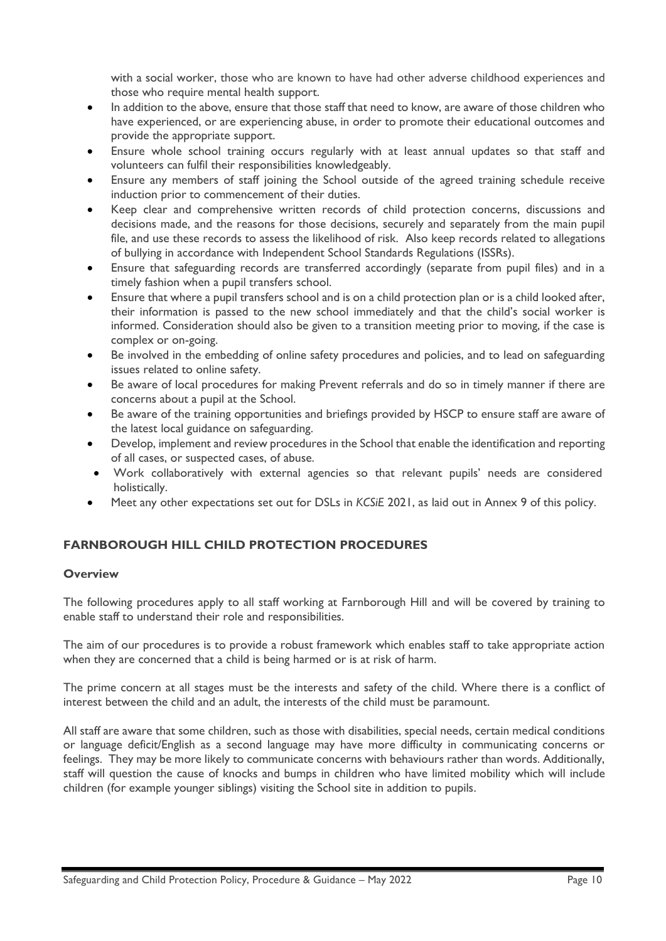with a social worker, those who are known to have had other adverse childhood experiences and those who require mental health support.

- In addition to the above, ensure that those staff that need to know, are aware of those children who have experienced, or are experiencing abuse, in order to promote their educational outcomes and provide the appropriate support.
- Ensure whole school training occurs regularly with at least annual updates so that staff and volunteers can fulfil their responsibilities knowledgeably.
- Ensure any members of staff joining the School outside of the agreed training schedule receive induction prior to commencement of their duties.
- Keep clear and comprehensive written records of child protection concerns, discussions and decisions made, and the reasons for those decisions, securely and separately from the main pupil file, and use these records to assess the likelihood of risk. Also keep records related to allegations of bullying in accordance with Independent School Standards Regulations (ISSRs).
- Ensure that safeguarding records are transferred accordingly (separate from pupil files) and in a timely fashion when a pupil transfers school.
- Ensure that where a pupil transfers school and is on a child protection plan or is a child looked after, their information is passed to the new school immediately and that the child's social worker is informed. Consideration should also be given to a transition meeting prior to moving, if the case is complex or on-going.
- Be involved in the embedding of online safety procedures and policies, and to lead on safeguarding issues related to online safety.
- Be aware of local procedures for making Prevent referrals and do so in timely manner if there are concerns about a pupil at the School.
- Be aware of the training opportunities and briefings provided by HSCP to ensure staff are aware of the latest local guidance on safeguarding.
- Develop, implement and review procedures in the School that enable the identification and reporting of all cases, or suspected cases, of abuse.
- Work collaboratively with external agencies so that relevant pupils' needs are considered holistically.
- Meet any other expectations set out for DSLs in *KCSiE* 2021, as laid out in Annex 9 of this policy.

# **FARNBOROUGH HILL CHILD PROTECTION PROCEDURES**

#### **Overview**

The following procedures apply to all staff working at Farnborough Hill and will be covered by training to enable staff to understand their role and responsibilities.

The aim of our procedures is to provide a robust framework which enables staff to take appropriate action when they are concerned that a child is being harmed or is at risk of harm.

The prime concern at all stages must be the interests and safety of the child. Where there is a conflict of interest between the child and an adult, the interests of the child must be paramount.

All staff are aware that some children, such as those with disabilities, special needs, certain medical conditions or language deficit/English as a second language may have more difficulty in communicating concerns or feelings. They may be more likely to communicate concerns with behaviours rather than words. Additionally, staff will question the cause of knocks and bumps in children who have limited mobility which will include children (for example younger siblings) visiting the School site in addition to pupils.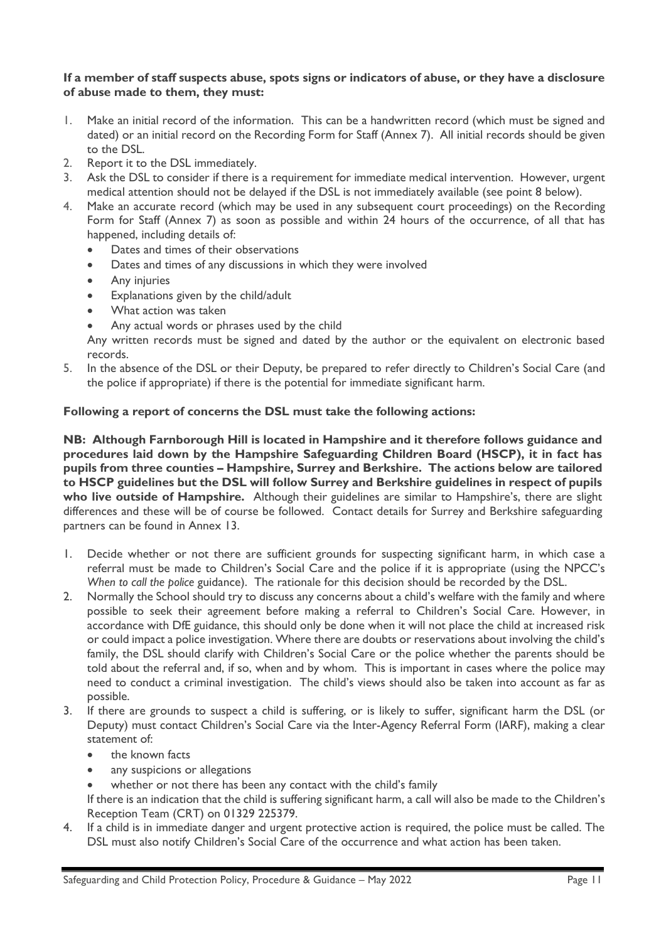## **If a member of staff suspects abuse, spots signs or indicators of abuse, or they have a disclosure of abuse made to them, they must:**

- 1. Make an initial record of the information. This can be a handwritten record (which must be signed and dated) or an initial record on the Recording Form for Staff (Annex 7). All initial records should be given to the DSL.
- 2. Report it to the DSL immediately.
- 3. Ask the DSL to consider if there is a requirement for immediate medical intervention. However, urgent medical attention should not be delayed if the DSL is not immediately available (see point 8 below).
- 4. Make an accurate record (which may be used in any subsequent court proceedings) on the Recording Form for Staff (Annex 7) as soon as possible and within 24 hours of the occurrence, of all that has happened, including details of:
	- Dates and times of their observations
	- Dates and times of any discussions in which they were involved
	- Any injuries
	- Explanations given by the child/adult
	- What action was taken
	- Any actual words or phrases used by the child

Any written records must be signed and dated by the author or the equivalent on electronic based records.

5. In the absence of the DSL or their Deputy, be prepared to refer directly to Children's Social Care (and the police if appropriate) if there is the potential for immediate significant harm.

#### **Following a report of concerns the DSL must take the following actions:**

**NB: Although Farnborough Hill is located in Hampshire and it therefore follows guidance and procedures laid down by the Hampshire Safeguarding Children Board (HSCP), it in fact has pupils from three counties – Hampshire, Surrey and Berkshire. The actions below are tailored to HSCP guidelines but the DSL will follow Surrey and Berkshire guidelines in respect of pupils who live outside of Hampshire.** Although their guidelines are similar to Hampshire's, there are slight differences and these will be of course be followed. Contact details for Surrey and Berkshire safeguarding partners can be found in Annex 13.

- 1. Decide whether or not there are sufficient grounds for suspecting significant harm, in which case a referral must be made to Children's Social Care and the police if it is appropriate (using the NPCC's *When to call the police* guidance). The rationale for this decision should be recorded by the DSL.
- 2. Normally the School should try to discuss any concerns about a child's welfare with the family and where possible to seek their agreement before making a referral to Children's Social Care. However, in accordance with DfE guidance, this should only be done when it will not place the child at increased risk or could impact a police investigation. Where there are doubts or reservations about involving the child's family, the DSL should clarify with Children's Social Care or the police whether the parents should be told about the referral and, if so, when and by whom. This is important in cases where the police may need to conduct a criminal investigation. The child's views should also be taken into account as far as possible.
- 3. If there are grounds to suspect a child is suffering, or is likely to suffer, significant harm the DSL (or Deputy) must contact Children's Social Care via the Inter-Agency Referral Form (IARF), making a clear statement of:
	- the known facts
	- any suspicions or allegations
	- whether or not there has been any contact with the child's family

If there is an indication that the child is suffering significant harm, a call will also be made to the Children's Reception Team (CRT) on 01329 225379.

4. If a child is in immediate danger and urgent protective action is required, the police must be called. The DSL must also notify Children's Social Care of the occurrence and what action has been taken.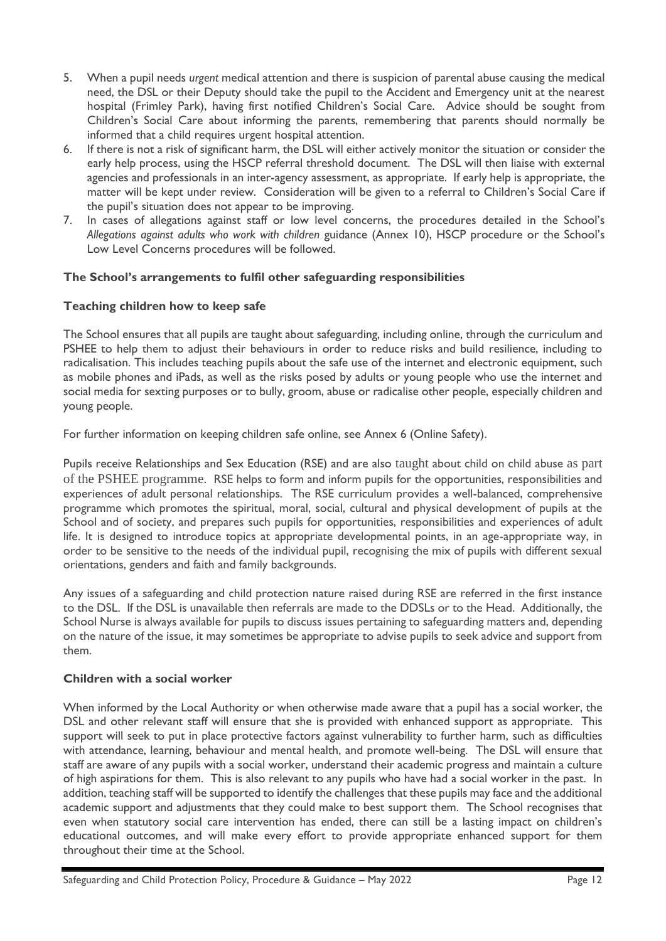- 5. When a pupil needs *urgent* medical attention and there is suspicion of parental abuse causing the medical need, the DSL or their Deputy should take the pupil to the Accident and Emergency unit at the nearest hospital (Frimley Park), having first notified Children's Social Care. Advice should be sought from Children's Social Care about informing the parents, remembering that parents should normally be informed that a child requires urgent hospital attention.
- 6. If there is not a risk of significant harm, the DSL will either actively monitor the situation or consider the early help process, using the HSCP referral threshold document. The DSL will then liaise with external agencies and professionals in an inter-agency assessment, as appropriate. If early help is appropriate, the matter will be kept under review. Consideration will be given to a referral to Children's Social Care if the pupil's situation does not appear to be improving.
- 7. In cases of allegations against staff or low level concerns, the procedures detailed in the School's *Allegations against adults who work with children* guidance (Annex 10), HSCP procedure or the School's Low Level Concerns procedures will be followed.

# **The School's arrangements to fulfil other safeguarding responsibilities**

# **Teaching children how to keep safe**

The School ensures that all pupils are taught about safeguarding, including online, through the curriculum and PSHEE to help them to adjust their behaviours in order to reduce risks and build resilience, including to radicalisation. This includes teaching pupils about the safe use of the internet and electronic equipment, such as mobile phones and iPads, as well as the risks posed by adults or young people who use the internet and social media for sexting purposes or to bully, groom, abuse or radicalise other people, especially children and young people.

For further information on keeping children safe online, see Annex 6 (Online Safety).

Pupils receive Relationships and Sex Education (RSE) and are also taught about child on child abuse as part of the PSHEE programme. RSE helps to form and inform pupils for the opportunities, responsibilities and experiences of adult personal relationships. The RSE curriculum provides a well-balanced, comprehensive programme which promotes the spiritual, moral, social, cultural and physical development of pupils at the School and of society, and prepares such pupils for opportunities, responsibilities and experiences of adult life. It is designed to introduce topics at appropriate developmental points, in an age-appropriate way, in order to be sensitive to the needs of the individual pupil, recognising the mix of pupils with different sexual orientations, genders and faith and family backgrounds.

Any issues of a safeguarding and child protection nature raised during RSE are referred in the first instance to the DSL. If the DSL is unavailable then referrals are made to the DDSLs or to the Head. Additionally, the School Nurse is always available for pupils to discuss issues pertaining to safeguarding matters and, depending on the nature of the issue, it may sometimes be appropriate to advise pupils to seek advice and support from them.

## **Children with a social worker**

When informed by the Local Authority or when otherwise made aware that a pupil has a social worker, the DSL and other relevant staff will ensure that she is provided with enhanced support as appropriate. This support will seek to put in place protective factors against vulnerability to further harm, such as difficulties with attendance, learning, behaviour and mental health, and promote well-being. The DSL will ensure that staff are aware of any pupils with a social worker, understand their academic progress and maintain a culture of high aspirations for them. This is also relevant to any pupils who have had a social worker in the past. In addition, teaching staff will be supported to identify the challenges that these pupils may face and the additional academic support and adjustments that they could make to best support them. The School recognises that even when statutory social care intervention has ended, there can still be a lasting impact on children's educational outcomes, and will make every effort to provide appropriate enhanced support for them throughout their time at the School.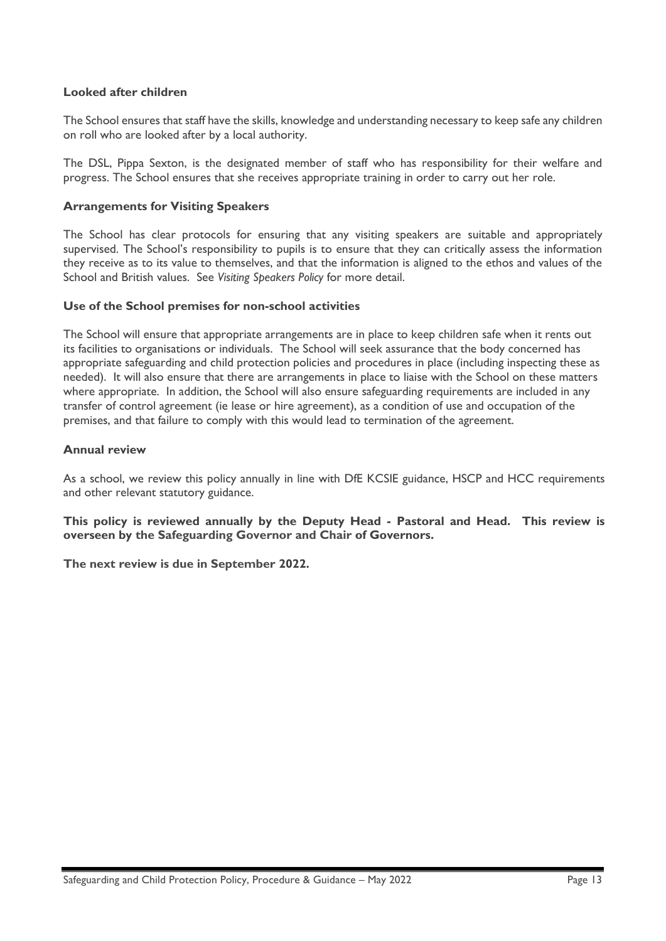## **Looked after children**

The School ensures that staff have the skills, knowledge and understanding necessary to keep safe any children on roll who are looked after by a local authority.

The DSL, Pippa Sexton, is the designated member of staff who has responsibility for their welfare and progress. The School ensures that she receives appropriate training in order to carry out her role.

## **Arrangements for Visiting Speakers**

The School has clear protocols for ensuring that any visiting speakers are suitable and appropriately supervised. The School's responsibility to pupils is to ensure that they can critically assess the information they receive as to its value to themselves, and that the information is aligned to the ethos and values of the School and British values. See *Visiting Speakers Policy* for more detail.

## **Use of the School premises for non-school activities**

The School will ensure that appropriate arrangements are in place to keep children safe when it rents out its facilities to organisations or individuals. The School will seek assurance that the body concerned has appropriate safeguarding and child protection policies and procedures in place (including inspecting these as needed). It will also ensure that there are arrangements in place to liaise with the School on these matters where appropriate. In addition, the School will also ensure safeguarding requirements are included in any transfer of control agreement (ie lease or hire agreement), as a condition of use and occupation of the premises, and that failure to comply with this would lead to termination of the agreement.

## **Annual review**

As a school, we review this policy annually in line with DfE KCSIE guidance, HSCP and HCC requirements and other relevant statutory guidance.

**This policy is reviewed annually by the Deputy Head - Pastoral and Head. This review is overseen by the Safeguarding Governor and Chair of Governors.**

**The next review is due in September 2022.**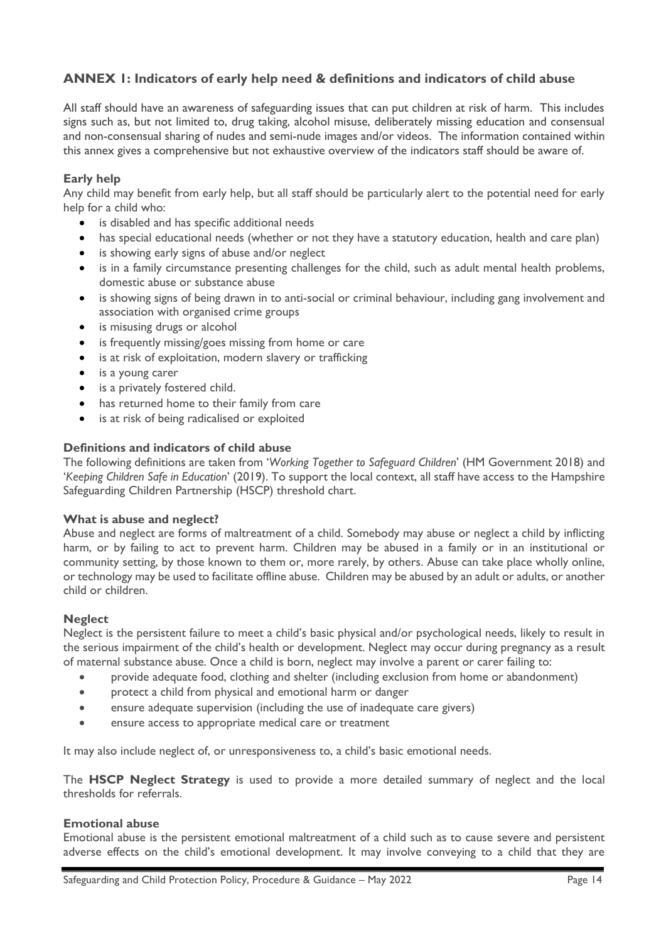# **ANNEX 1: Indicators of early help need & definitions and indicators of child abuse**

All staff should have an awareness of safeguarding issues that can put children at risk of harm. This includes signs such as, but not limited to, drug taking, alcohol misuse, deliberately missing education and consensual and non-consensual sharing of nudes and semi-nude images and/or videos. The information contained within this annex gives a comprehensive but not exhaustive overview of the indicators staff should be aware of.

# **Early help**

Any child may benefit from early help, but all staff should be particularly alert to the potential need for early help for a child who:

- is disabled and has specific additional needs
- has special educational needs (whether or not they have a statutory education, health and care plan)
- is showing early signs of abuse and/or neglect
- is in a family circumstance presenting challenges for the child, such as adult mental health problems, domestic abuse or substance abuse
- is showing signs of being drawn in to anti-social or criminal behaviour, including gang involvement and association with organised crime groups
- is misusing drugs or alcohol
- is frequently missing/goes missing from home or care
- is at risk of exploitation, modern slavery or trafficking
- is a young carer
- is a privately fostered child.
- has returned home to their family from care
- is at risk of being radicalised or exploited

## **Definitions and indicators of child abuse**

The following definitions are taken from '*Working Together to Safeguard Children*' (HM Government 2018) and '*Keeping Children Safe in Education*' (2019). To support the local context, all staff have access to the Hampshire Safeguarding Children Partnership (HSCP) threshold chart.

## **What is abuse and neglect?**

Abuse and neglect are forms of maltreatment of a child. Somebody may abuse or neglect a child by inflicting harm, or by failing to act to prevent harm. Children may be abused in a family or in an institutional or community setting, by those known to them or, more rarely, by others. Abuse can take place wholly online, or technology may be used to facilitate offline abuse. Children may be abused by an adult or adults, or another child or children.

## **Neglect**

Neglect is the persistent failure to meet a child's basic physical and/or psychological needs, likely to result in the serious impairment of the child's health or development. Neglect may occur during pregnancy as a result of maternal substance abuse. Once a child is born, neglect may involve a parent or carer failing to:

- provide adequate food, clothing and shelter (including exclusion from home or abandonment)
- protect a child from physical and emotional harm or danger
- ensure adequate supervision (including the use of inadequate care givers)
- ensure access to appropriate medical care or treatment

It may also include neglect of, or unresponsiveness to, a child's basic emotional needs.

The **HSCP [Neglect Strategy](http://www.hampshiresafeguardingchildrenboard.org.uk/wp-content/uploads/2016/11/HSCB-Neglect-Strategy-2016-2018.pdf)** is used to provide a more detailed summary of neglect and the local thresholds for referrals.

# **Emotional abuse**

Emotional abuse is the persistent emotional maltreatment of a child such as to cause severe and persistent adverse effects on the child's emotional development. It may involve conveying to a child that they are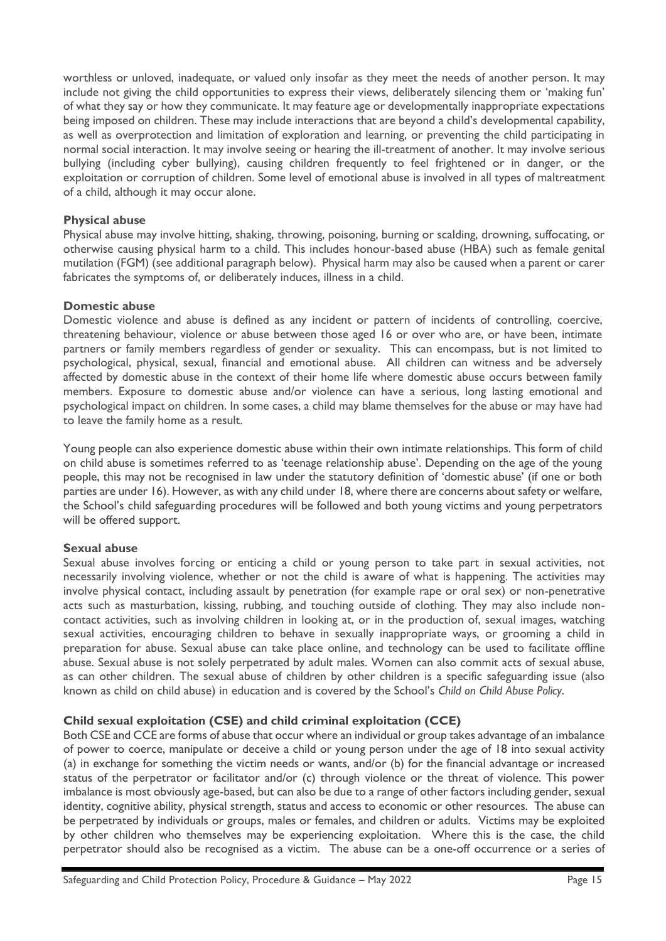worthless or unloved, inadequate, or valued only insofar as they meet the needs of another person. It may include not giving the child opportunities to express their views, deliberately silencing them or 'making fun' of what they say or how they communicate. It may feature age or developmentally inappropriate expectations being imposed on children. These may include interactions that are beyond a child's developmental capability, as well as overprotection and limitation of exploration and learning, or preventing the child participating in normal social interaction. It may involve seeing or hearing the ill-treatment of another. It may involve serious bullying (including cyber bullying), causing children frequently to feel frightened or in danger, or the exploitation or corruption of children. Some level of emotional abuse is involved in all types of maltreatment of a child, although it may occur alone.

## **Physical abuse**

Physical abuse may involve hitting, shaking, throwing, poisoning, burning or scalding, drowning, suffocating, or otherwise causing physical harm to a child. This includes honour-based abuse (HBA) such as female genital mutilation (FGM) (see additional paragraph below). Physical harm may also be caused when a parent or carer fabricates the symptoms of, or deliberately induces, illness in a child.

## **Domestic abuse**

Domestic violence and abuse is defined as any incident or pattern of incidents of controlling, coercive, threatening behaviour, violence or abuse between those aged 16 or over who are, or have been, intimate partners or family members regardless of gender or sexuality. This can encompass, but is not limited to psychological, physical, sexual, financial and emotional abuse. All children can witness and be adversely affected by domestic abuse in the context of their home life where domestic abuse occurs between family members. Exposure to domestic abuse and/or violence can have a serious, long lasting emotional and psychological impact on children. In some cases, a child may blame themselves for the abuse or may have had to leave the family home as a result.

Young people can also experience domestic abuse within their own intimate relationships. This form of child on child abuse is sometimes referred to as 'teenage relationship abuse'. Depending on the age of the young people, this may not be recognised in law under the statutory definition of 'domestic abuse' (if one or both parties are under 16). However, as with any child under 18, where there are concerns about safety or welfare, the School's child safeguarding procedures will be followed and both young victims and young perpetrators will be offered support.

## **Sexual abuse**

Sexual abuse involves forcing or enticing a child or young person to take part in sexual activities, not necessarily involving violence, whether or not the child is aware of what is happening. The activities may involve physical contact, including assault by penetration (for example rape or oral sex) or non-penetrative acts such as masturbation, kissing, rubbing, and touching outside of clothing. They may also include noncontact activities, such as involving children in looking at, or in the production of, sexual images, watching sexual activities, encouraging children to behave in sexually inappropriate ways, or grooming a child in preparation for abuse. Sexual abuse can take place online, and technology can be used to facilitate offline abuse. Sexual abuse is not solely perpetrated by adult males. Women can also commit acts of sexual abuse, as can other children. The sexual abuse of children by other children is a specific safeguarding issue (also known as child on child abuse) in education and is covered by the School's *Child on Child Abuse Policy*.

## **Child sexual exploitation (CSE) and child criminal exploitation (CCE)**

Both CSE and CCE are forms of abuse that occur where an individual or group takes advantage of an imbalance of power to coerce, manipulate or deceive a child or young person under the age of 18 into sexual activity (a) in exchange for something the victim needs or wants, and/or (b) for the financial advantage or increased status of the perpetrator or facilitator and/or (c) through violence or the threat of violence. This power imbalance is most obviously age-based, but can also be due to a range of other factors including gender, sexual identity, cognitive ability, physical strength, status and access to economic or other resources. The abuse can be perpetrated by individuals or groups, males or females, and children or adults. Victims may be exploited by other children who themselves may be experiencing exploitation. Where this is the case, the child perpetrator should also be recognised as a victim. The abuse can be a one-off occurrence or a series of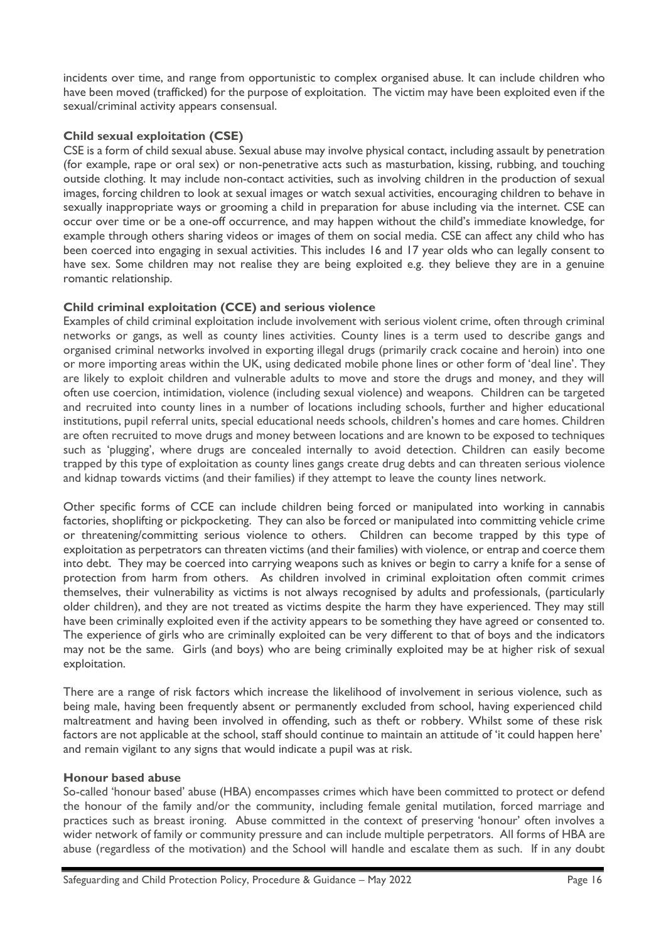incidents over time, and range from opportunistic to complex organised abuse. It can include children who have been moved (trafficked) for the purpose of exploitation. The victim may have been exploited even if the sexual/criminal activity appears consensual.

# **Child sexual exploitation (CSE)**

CSE is a form of child sexual abuse. Sexual abuse may involve physical contact, including assault by penetration (for example, rape or oral sex) or non-penetrative acts such as masturbation, kissing, rubbing, and touching outside clothing. It may include non-contact activities, such as involving children in the production of sexual images, forcing children to look at sexual images or watch sexual activities, encouraging children to behave in sexually inappropriate ways or grooming a child in preparation for abuse including via the internet. CSE can occur over time or be a one-off occurrence, and may happen without the child's immediate knowledge, for example through others sharing videos or images of them on social media. CSE can affect any child who has been coerced into engaging in sexual activities. This includes 16 and 17 year olds who can legally consent to have sex. Some children may not realise they are being exploited e.g. they believe they are in a genuine romantic relationship.

## **Child criminal exploitation (CCE) and serious violence**

Examples of child criminal exploitation include involvement with serious violent crime, often through criminal networks or gangs, as well as county lines activities. County lines is a term used to describe gangs and organised criminal networks involved in exporting illegal drugs (primarily crack cocaine and heroin) into one or more importing areas within the UK, using dedicated mobile phone lines or other form of 'deal line'. They are likely to exploit children and vulnerable adults to move and store the drugs and money, and they will often use coercion, intimidation, violence (including sexual violence) and weapons. Children can be targeted and recruited into county lines in a number of locations including schools, further and higher educational institutions, pupil referral units, special educational needs schools, children's homes and care homes. Children are often recruited to move drugs and money between locations and are known to be exposed to techniques such as 'plugging', where drugs are concealed internally to avoid detection. Children can easily become trapped by this type of exploitation as county lines gangs create drug debts and can threaten serious violence and kidnap towards victims (and their families) if they attempt to leave the county lines network.

Other specific forms of CCE can include children being forced or manipulated into working in cannabis factories, shoplifting or pickpocketing. They can also be forced or manipulated into committing vehicle crime or threatening/committing serious violence to others. Children can become trapped by this type of exploitation as perpetrators can threaten victims (and their families) with violence, or entrap and coerce them into debt. They may be coerced into carrying weapons such as knives or begin to carry a knife for a sense of protection from harm from others. As children involved in criminal exploitation often commit crimes themselves, their vulnerability as victims is not always recognised by adults and professionals, (particularly older children), and they are not treated as victims despite the harm they have experienced. They may still have been criminally exploited even if the activity appears to be something they have agreed or consented to. The experience of girls who are criminally exploited can be very different to that of boys and the indicators may not be the same. Girls (and boys) who are being criminally exploited may be at higher risk of sexual exploitation.

There are a range of risk factors which increase the likelihood of involvement in serious violence, such as being male, having been frequently absent or permanently excluded from school, having experienced child maltreatment and having been involved in offending, such as theft or robbery. Whilst some of these risk factors are not applicable at the school, staff should continue to maintain an attitude of 'it could happen here' and remain vigilant to any signs that would indicate a pupil was at risk.

## **Honour based abuse**

So-called 'honour based' abuse (HBA) encompasses crimes which have been committed to protect or defend the honour of the family and/or the community, including female genital mutilation, forced marriage and practices such as breast ironing. Abuse committed in the context of preserving 'honour' often involves a wider network of family or community pressure and can include multiple perpetrators. All forms of HBA are abuse (regardless of the motivation) and the School will handle and escalate them as such. If in any doubt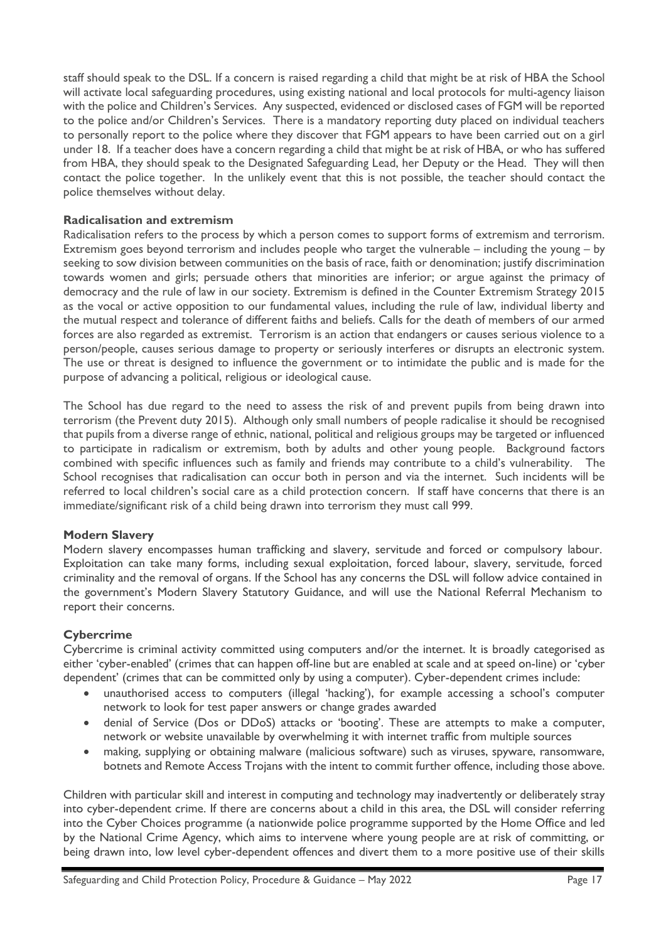staff should speak to the DSL. If a concern is raised regarding a child that might be at risk of HBA the School will activate local safeguarding procedures, using existing national and local protocols for multi-agency liaison with the police and Children's Services. Any suspected, evidenced or disclosed cases of FGM will be reported to the police and/or Children's Services. There is a mandatory reporting duty placed on individual teachers to personally report to the police where they discover that FGM appears to have been carried out on a girl under 18. If a teacher does have a concern regarding a child that might be at risk of HBA, or who has suffered from HBA, they should speak to the Designated Safeguarding Lead, her Deputy or the Head. They will then contact the police together. In the unlikely event that this is not possible, the teacher should contact the police themselves without delay.

## **Radicalisation and extremism**

Radicalisation refers to the process by which a person comes to support forms of extremism and terrorism. Extremism goes beyond terrorism and includes people who target the vulnerable – including the young – by seeking to sow division between communities on the basis of race, faith or denomination; justify discrimination towards women and girls; persuade others that minorities are inferior; or argue against the primacy of democracy and the rule of law in our society. Extremism is defined in the Counter Extremism Strategy 2015 as the vocal or active opposition to our fundamental values, including the rule of law, individual liberty and the mutual respect and tolerance of different faiths and beliefs. Calls for the death of members of our armed forces are also regarded as extremist. Terrorism is an action that endangers or causes serious violence to a person/people, causes serious damage to property or seriously interferes or disrupts an electronic system. The use or threat is designed to influence the government or to intimidate the public and is made for the purpose of advancing a political, religious or ideological cause.

The School has due regard to the need to assess the risk of and prevent pupils from being drawn into terrorism (the Prevent duty 2015). Although only small numbers of people radicalise it should be recognised that pupils from a diverse range of ethnic, national, political and religious groups may be targeted or influenced to participate in radicalism or extremism, both by adults and other young people. Background factors combined with specific influences such as family and friends may contribute to a child's vulnerability. The School recognises that radicalisation can occur both in person and via the internet. Such incidents will be referred to local children's social care as a child protection concern. If staff have concerns that there is an immediate/significant risk of a child being drawn into terrorism they must call 999.

## **Modern Slavery**

Modern slavery encompasses human trafficking and slavery, servitude and forced or compulsory labour. Exploitation can take many forms, including sexual exploitation, forced labour, slavery, servitude, forced criminality and the removal of organs. If the School has any concerns the DSL will follow advice contained in the government's Modern Slavery Statutory Guidance, and will use the National Referral Mechanism to report their concerns.

## **Cybercrime**

Cybercrime is criminal activity committed using computers and/or the internet. It is broadly categorised as either 'cyber-enabled' (crimes that can happen off-line but are enabled at scale and at speed on-line) or 'cyber dependent' (crimes that can be committed only by using a computer). Cyber-dependent crimes include:

- unauthorised access to computers (illegal 'hacking'), for example accessing a school's computer network to look for test paper answers or change grades awarded
- denial of Service (Dos or DDoS) attacks or 'booting'. These are attempts to make a computer, network or website unavailable by overwhelming it with internet traffic from multiple sources
- making, supplying or obtaining malware (malicious software) such as viruses, spyware, ransomware, botnets and Remote Access Trojans with the intent to commit further offence, including those above.

Children with particular skill and interest in computing and technology may inadvertently or deliberately stray into cyber-dependent crime. If there are concerns about a child in this area, the DSL will consider referring into the Cyber Choices programme (a nationwide police programme supported by the Home Office and led by the National Crime Agency, which aims to intervene where young people are at risk of committing, or being drawn into, low level cyber-dependent offences and divert them to a more positive use of their skills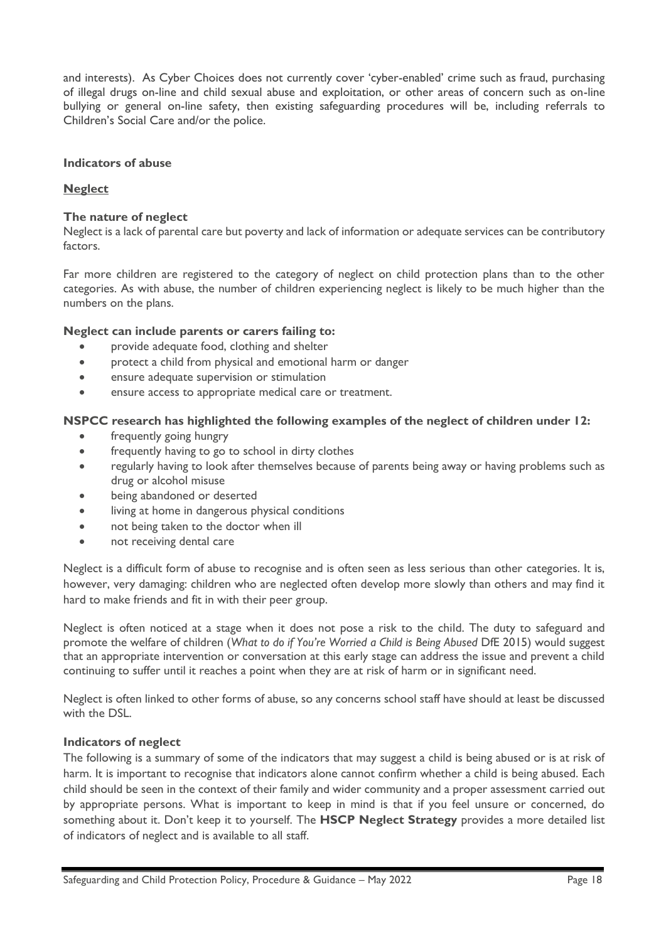and interests). As Cyber Choices does not currently cover 'cyber-enabled' crime such as fraud, purchasing of illegal drugs on-line and child sexual abuse and exploitation, or other areas of concern such as on-line bullying or general on-line safety, then existing safeguarding procedures will be, including referrals to Children's Social Care and/or the police.

## **Indicators of abuse**

## **Neglect**

#### **The nature of neglect**

Neglect is a lack of parental care but poverty and lack of information or adequate services can be contributory factors.

Far more children are registered to the category of neglect on child protection plans than to the other categories. As with abuse, the number of children experiencing neglect is likely to be much higher than the numbers on the plans.

## **Neglect can include parents or carers failing to:**

- provide adequate food, clothing and shelter
- protect a child from physical and emotional harm or danger
- ensure adequate supervision or stimulation
- ensure access to appropriate medical care or treatment.

## **NSPCC research has highlighted the following examples of the neglect of children under 12:**

- frequently going hungry
- frequently having to go to school in dirty clothes
- regularly having to look after themselves because of parents being away or having problems such as drug or alcohol misuse
- being abandoned or deserted
- living at home in dangerous physical conditions
- not being taken to the doctor when ill
- not receiving dental care

Neglect is a difficult form of abuse to recognise and is often seen as less serious than other categories. It is, however, very damaging: children who are neglected often develop more slowly than others and may find it hard to make friends and fit in with their peer group.

Neglect is often noticed at a stage when it does not pose a risk to the child. The duty to safeguard and promote the welfare of children (*What to do if You're Worried a Child is Being Abused* DfE 2015) would suggest that an appropriate intervention or conversation at this early stage can address the issue and prevent a child continuing to suffer until it reaches a point when they are at risk of harm or in significant need.

Neglect is often linked to other forms of abuse, so any concerns school staff have should at least be discussed with the DSL.

#### **Indicators of neglect**

The following is a summary of some of the indicators that may suggest a child is being abused or is at risk of harm. It is important to recognise that indicators alone cannot confirm whether a child is being abused. Each child should be seen in the context of their family and wider community and a proper assessment carried out by appropriate persons. What is important to keep in mind is that if you feel unsure or concerned, do something about it. Don't keep it to yourself. The **HSCP [Neglect Strategy](http://www.hampshiresafeguardingchildrenboard.org.uk/wp-content/uploads/2016/11/HSCB-Neglect-Strategy-2016-2018.pdf)** provides a more detailed list of indicators of neglect and is available to all staff.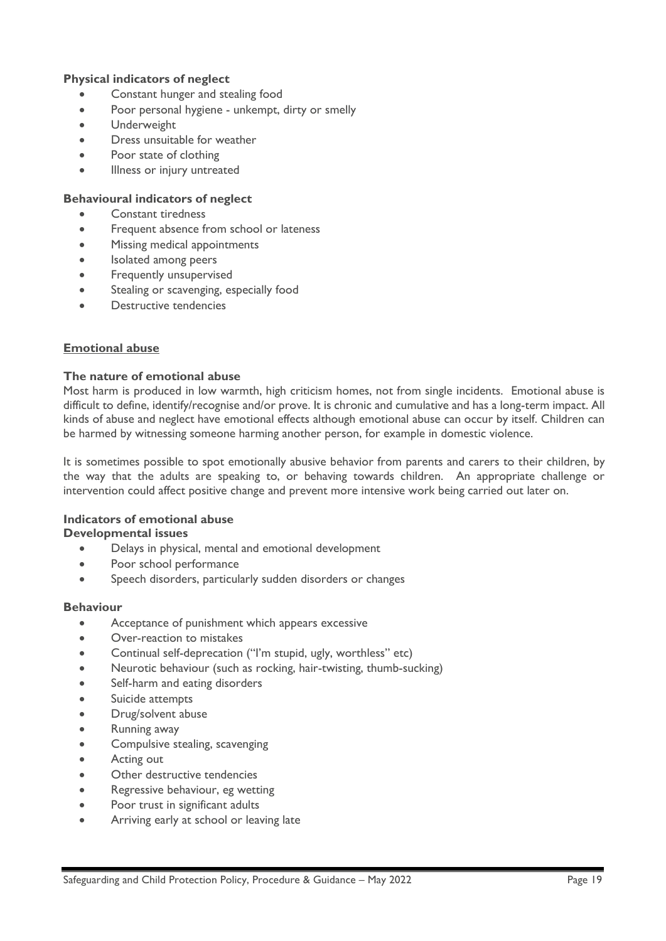# **Physical indicators of neglect**

- Constant hunger and stealing food
- Poor personal hygiene unkempt, dirty or smelly
- Underweight
- Dress unsuitable for weather
- Poor state of clothing
- Illness or injury untreated

## **Behavioural indicators of neglect**

- Constant tiredness
- Frequent absence from school or lateness
- Missing medical appointments
- Isolated among peers
- Frequently unsupervised
- Stealing or scavenging, especially food
- Destructive tendencies

#### **Emotional abuse**

#### **The nature of emotional abuse**

Most harm is produced in low warmth, high criticism homes, not from single incidents. Emotional abuse is difficult to define, identify/recognise and/or prove. It is chronic and cumulative and has a long-term impact. All kinds of abuse and neglect have emotional effects although emotional abuse can occur by itself. Children can be harmed by witnessing someone harming another person, for example in domestic violence.

It is sometimes possible to spot emotionally abusive behavior from parents and carers to their children, by the way that the adults are speaking to, or behaving towards children. An appropriate challenge or intervention could affect positive change and prevent more intensive work being carried out later on.

#### **Indicators of emotional abuse**

#### **Developmental issues**

- Delays in physical, mental and emotional development
- Poor school performance
- Speech disorders, particularly sudden disorders or changes

#### **Behaviour**

- Acceptance of punishment which appears excessive
- Over-reaction to mistakes
- Continual self-deprecation ("I'm stupid, ugly, worthless" etc)
- Neurotic behaviour (such as rocking, hair-twisting, thumb-sucking)
- Self-harm and eating disorders
- Suicide attempts
- Drug/solvent abuse
- Running away
- Compulsive stealing, scavenging
- Acting out
- Other destructive tendencies
- Regressive behaviour, eg wetting
- Poor trust in significant adults
- Arriving early at school or leaving late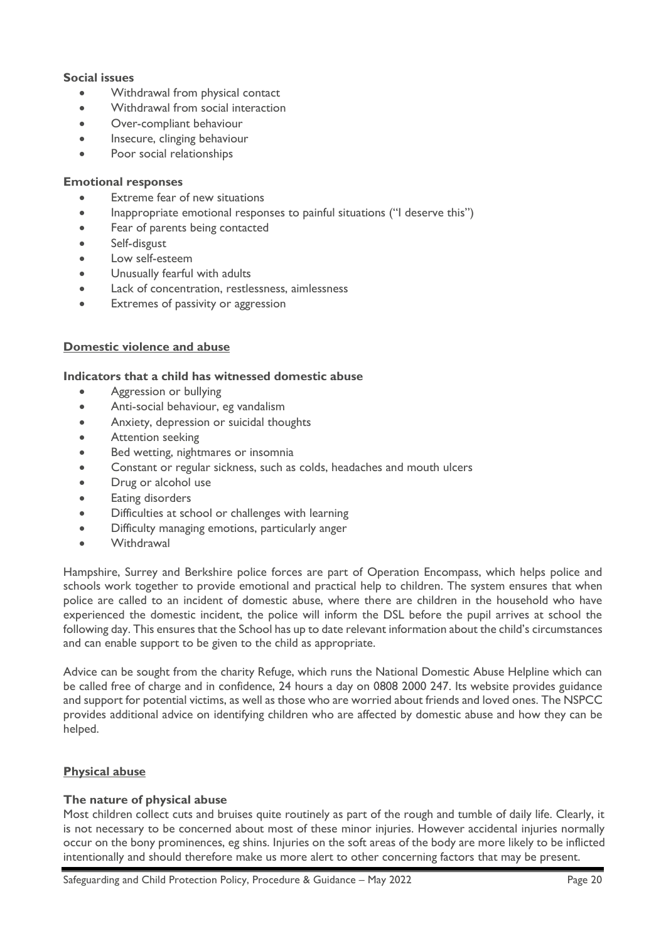## **Social issues**

- Withdrawal from physical contact
- Withdrawal from social interaction
- Over-compliant behaviour
- Insecure, clinging behaviour
- Poor social relationships

## **Emotional responses**

- Extreme fear of new situations
- Inappropriate emotional responses to painful situations ("I deserve this")
- Fear of parents being contacted
- Self-disgust
- Low self-esteem
- Unusually fearful with adults
- Lack of concentration, restlessness, aimlessness
- Extremes of passivity or aggression

## **Domestic violence and abuse**

## **Indicators that a child has witnessed domestic abuse**

- Aggression or bullying
- Anti-social behaviour, eg vandalism
- Anxiety, depression or suicidal thoughts
- Attention seeking
- Bed wetting, nightmares or insomnia
- Constant or regular sickness, such as colds, headaches and mouth ulcers
- Drug or alcohol use
- Eating disorders
- Difficulties at school or challenges with learning
- Difficulty managing emotions, particularly anger
- Withdrawal

Hampshire, Surrey and Berkshire police forces are part of Operation Encompass, which helps police and schools work together to provide emotional and practical help to children. The system ensures that when police are called to an incident of domestic abuse, where there are children in the household who have experienced the domestic incident, the police will inform the DSL before the pupil arrives at school the following day. This ensures that the School has up to date relevant information about the child's circumstances and can enable support to be given to the child as appropriate.

Advice can be sought from the charity Refuge, which runs the National Domestic Abuse Helpline which can be called free of charge and in confidence, 24 hours a day on 0808 2000 247. Its website provides guidance and support for potential victims, as well as those who are worried about friends and loved ones. The NSPCC provides additional advice on identifying children who are affected by domestic abuse and how they can be helped.

## **Physical abuse**

#### **The nature of physical abuse**

Most children collect cuts and bruises quite routinely as part of the rough and tumble of daily life. Clearly, it is not necessary to be concerned about most of these minor injuries. However accidental injuries normally occur on the bony prominences, eg shins. Injuries on the soft areas of the body are more likely to be inflicted intentionally and should therefore make us more alert to other concerning factors that may be present.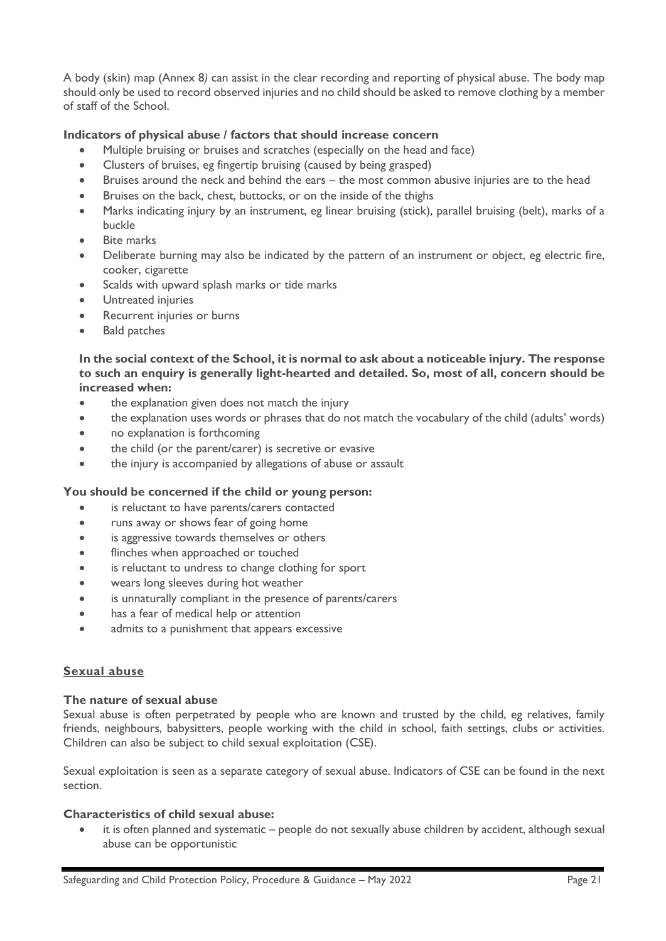A body (skin) map (Annex 8*)* can assist in the clear recording and reporting of physical abuse. The body map should only be used to record observed injuries and no child should be asked to remove clothing by a member of staff of the School.

## **Indicators of physical abuse / factors that should increase concern**

- Multiple bruising or bruises and scratches (especially on the head and face)
- Clusters of bruises, eg fingertip bruising (caused by being grasped)
- Bruises around the neck and behind the ears the most common abusive injuries are to the head
- Bruises on the back, chest, buttocks, or on the inside of the thighs
- Marks indicating injury by an instrument, eg linear bruising (stick), parallel bruising (belt), marks of a buckle
- Bite marks
- Deliberate burning may also be indicated by the pattern of an instrument or object, eg electric fire, cooker, cigarette
- Scalds with upward splash marks or tide marks
- Untreated injuries
- Recurrent injuries or burns
- Bald patches

## **In the social context of the School, it is normal to ask about a noticeable injury. The response to such an enquiry is generally light-hearted and detailed. So, most of all, concern should be increased when:**

- the explanation given does not match the injury
- the explanation uses words or phrases that do not match the vocabulary of the child (adults' words)
- no explanation is forthcoming
- the child (or the parent/carer) is secretive or evasive
- the injury is accompanied by allegations of abuse or assault

## **You should be concerned if the child or young person:**

- is reluctant to have parents/carers contacted
- runs away or shows fear of going home
- is aggressive towards themselves or others
- flinches when approached or touched
- is reluctant to undress to change clothing for sport
- wears long sleeves during hot weather
- is unnaturally compliant in the presence of parents/carers
- has a fear of medical help or attention
- admits to a punishment that appears excessive

#### **Sexual abuse**

#### **The nature of sexual abuse**

Sexual abuse is often perpetrated by people who are known and trusted by the child, eg relatives, family friends, neighbours, babysitters, people working with the child in school, faith settings, clubs or activities. Children can also be subject to child sexual exploitation (CSE).

Sexual exploitation is seen as a separate category of sexual abuse. Indicators of CSE can be found in the next section.

## **Characteristics of child sexual abuse:**

• it is often planned and systematic – people do not sexually abuse children by accident, although sexual abuse can be opportunistic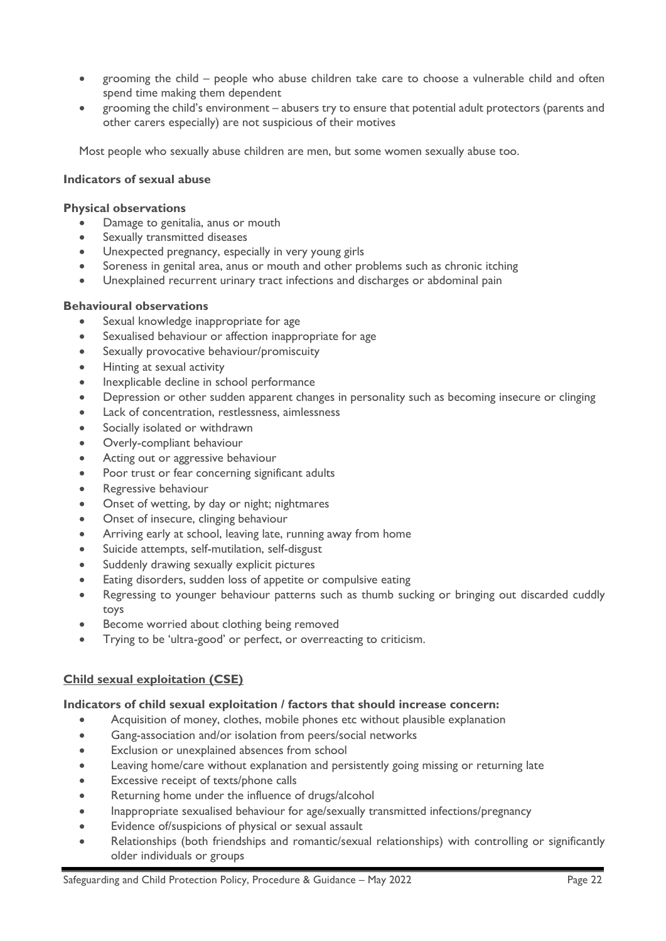- grooming the child people who abuse children take care to choose a vulnerable child and often spend time making them dependent
- grooming the child's environment abusers try to ensure that potential adult protectors (parents and other carers especially) are not suspicious of their motives

Most people who sexually abuse children are men, but some women sexually abuse too.

## **Indicators of sexual abuse**

#### **Physical observations**

- Damage to genitalia, anus or mouth
- Sexually transmitted diseases
- Unexpected pregnancy, especially in very young girls
- Soreness in genital area, anus or mouth and other problems such as chronic itching
- Unexplained recurrent urinary tract infections and discharges or abdominal pain

## **Behavioural observations**

- Sexual knowledge inappropriate for age
- Sexualised behaviour or affection inappropriate for age
- Sexually provocative behaviour/promiscuity
- Hinting at sexual activity
- Inexplicable decline in school performance
- Depression or other sudden apparent changes in personality such as becoming insecure or clinging
- Lack of concentration, restlessness, aimlessness
- Socially isolated or withdrawn
- Overly-compliant behaviour
- Acting out or aggressive behaviour
- Poor trust or fear concerning significant adults
- Regressive behaviour
- Onset of wetting, by day or night; nightmares
- Onset of insecure, clinging behaviour
- Arriving early at school, leaving late, running away from home
- Suicide attempts, self-mutilation, self-disgust
- Suddenly drawing sexually explicit pictures
- Eating disorders, sudden loss of appetite or compulsive eating
- Regressing to younger behaviour patterns such as thumb sucking or bringing out discarded cuddly toys
- Become worried about clothing being removed
- Trying to be 'ultra-good' or perfect, or overreacting to criticism.

## **Child sexual exploitation (CSE)**

#### **Indicators of child sexual exploitation / factors that should increase concern:**

- Acquisition of money, clothes, mobile phones etc without plausible explanation
- Gang-association and/or isolation from peers/social networks
- Exclusion or unexplained absences from school
- Leaving home/care without explanation and persistently going missing or returning late
- Excessive receipt of texts/phone calls
- Returning home under the influence of drugs/alcohol
- Inappropriate sexualised behaviour for age/sexually transmitted infections/pregnancy
- Evidence of/suspicions of physical or sexual assault
- Relationships (both friendships and romantic/sexual relationships) with controlling or significantly older individuals or groups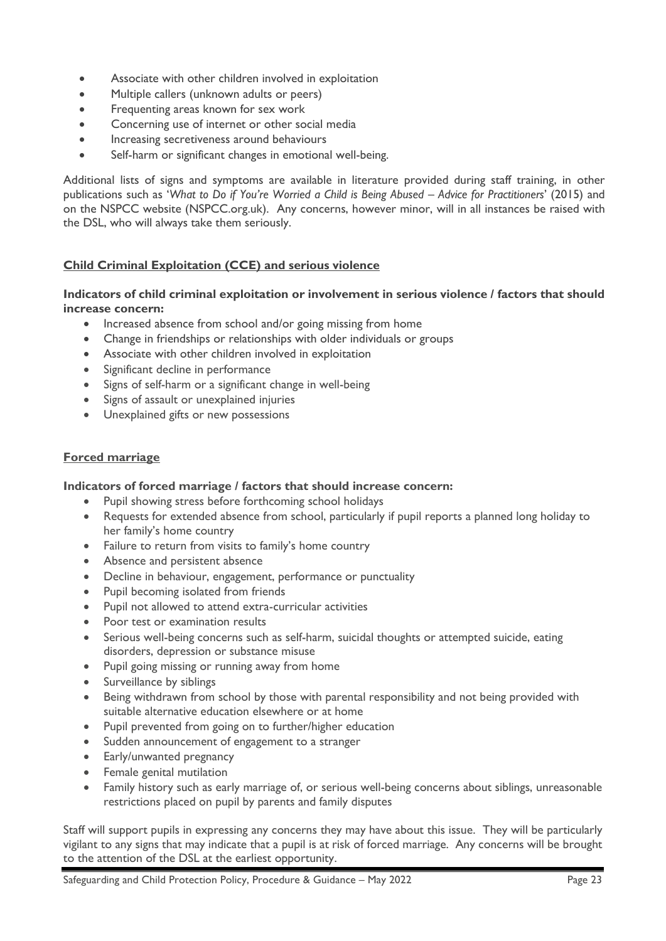- Associate with other children involved in exploitation
- Multiple callers (unknown adults or peers)
- Frequenting areas known for sex work
- Concerning use of internet or other social media
- Increasing secretiveness around behaviours
- Self-harm or significant changes in emotional well-being.

Additional lists of signs and symptoms are available in literature provided during staff training, in other publications such as '*What to Do if You're Worried a Child is Being Abused – Advice for Practitioners*' (2015) and on the NSPCC website (NSPCC.org.uk). Any concerns, however minor, will in all instances be raised with the DSL, who will always take them seriously.

# **Child Criminal Exploitation (CCE) and serious violence**

#### **Indicators of child criminal exploitation or involvement in serious violence / factors that should increase concern:**

- Increased absence from school and/or going missing from home
- Change in friendships or relationships with older individuals or groups
- Associate with other children involved in exploitation
- Significant decline in performance
- Signs of self-harm or a significant change in well-being
- Signs of assault or unexplained injuries
- Unexplained gifts or new possessions

## **Forced marriage**

#### **Indicators of forced marriage / factors that should increase concern:**

- Pupil showing stress before forthcoming school holidays
- Requests for extended absence from school, particularly if pupil reports a planned long holiday to her family's home country
- Failure to return from visits to family's home country
- Absence and persistent absence
- Decline in behaviour, engagement, performance or punctuality
- Pupil becoming isolated from friends
- Pupil not allowed to attend extra-curricular activities
- Poor test or examination results
- Serious well-being concerns such as self-harm, suicidal thoughts or attempted suicide, eating disorders, depression or substance misuse
- Pupil going missing or running away from home
- Surveillance by siblings
- Being withdrawn from school by those with parental responsibility and not being provided with suitable alternative education elsewhere or at home
- Pupil prevented from going on to further/higher education
- Sudden announcement of engagement to a stranger
- Early/unwanted pregnancy
- Female genital mutilation
- Family history such as early marriage of, or serious well-being concerns about siblings, unreasonable restrictions placed on pupil by parents and family disputes

Staff will support pupils in expressing any concerns they may have about this issue. They will be particularly vigilant to any signs that may indicate that a pupil is at risk of forced marriage. Any concerns will be brought to the attention of the DSL at the earliest opportunity.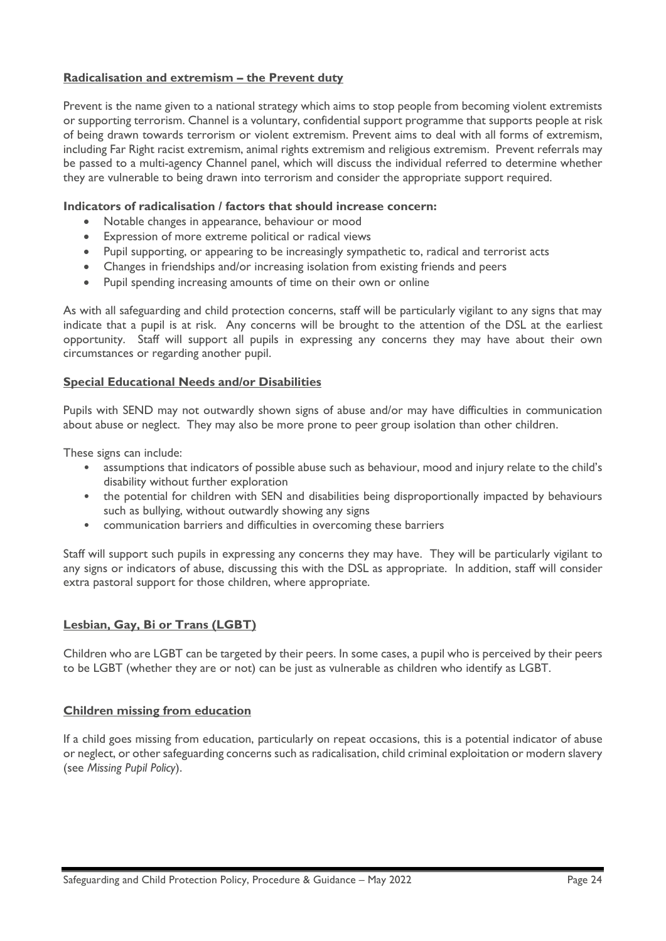## **Radicalisation and extremism – the Prevent duty**

Prevent is the name given to a national strategy which aims to stop people from becoming violent extremists or supporting terrorism. Channel is a voluntary, confidential support programme that supports people at risk of being drawn towards terrorism or violent extremism. Prevent aims to deal with all forms of extremism, including Far Right racist extremism, animal rights extremism and religious extremism. Prevent referrals may be passed to a multi-agency Channel panel, which will discuss the individual referred to determine whether they are vulnerable to being drawn into terrorism and consider the appropriate support required.

# **Indicators of radicalisation / factors that should increase concern:**

- Notable changes in appearance, behaviour or mood
- Expression of more extreme political or radical views
- Pupil supporting, or appearing to be increasingly sympathetic to, radical and terrorist acts
- Changes in friendships and/or increasing isolation from existing friends and peers
- Pupil spending increasing amounts of time on their own or online

As with all safeguarding and child protection concerns, staff will be particularly vigilant to any signs that may indicate that a pupil is at risk. Any concerns will be brought to the attention of the DSL at the earliest opportunity. Staff will support all pupils in expressing any concerns they may have about their own circumstances or regarding another pupil.

## **Special Educational Needs and/or Disabilities**

Pupils with SEND may not outwardly shown signs of abuse and/or may have difficulties in communication about abuse or neglect. They may also be more prone to peer group isolation than other children.

These signs can include:

- assumptions that indicators of possible abuse such as behaviour, mood and injury relate to the child's disability without further exploration
- the potential for children with SEN and disabilities being disproportionally impacted by behaviours such as bullying, without outwardly showing any signs
- communication barriers and difficulties in overcoming these barriers

Staff will support such pupils in expressing any concerns they may have. They will be particularly vigilant to any signs or indicators of abuse, discussing this with the DSL as appropriate. In addition, staff will consider extra pastoral support for those children, where appropriate.

## **Lesbian, Gay, Bi or Trans (LGBT)**

Children who are LGBT can be targeted by their peers. In some cases, a pupil who is perceived by their peers to be LGBT (whether they are or not) can be just as vulnerable as children who identify as LGBT.

#### **Children missing from education**

If a child goes missing from education, particularly on repeat occasions, this is a potential indicator of abuse or neglect, or other safeguarding concerns such as radicalisation, child criminal exploitation or modern slavery (see *Missing Pupil Policy*).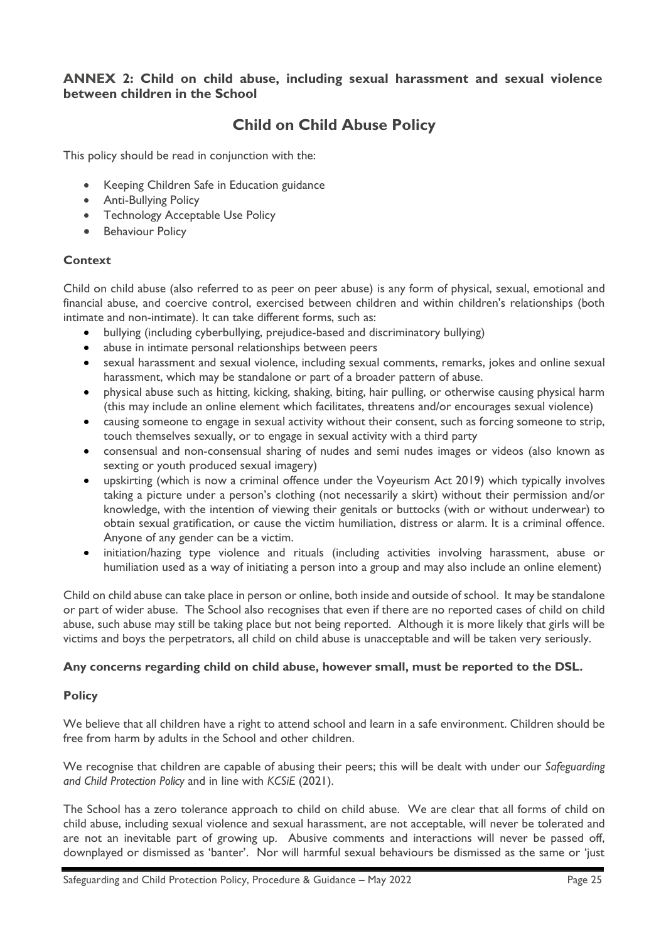# **ANNEX 2: Child on child abuse, including sexual harassment and sexual violence between children in the School**

# **Child on Child Abuse Policy**

This policy should be read in conjunction with the:

- Keeping Children Safe in Education guidance
- Anti-Bullying Policy
- Technology Acceptable Use Policy
- Behaviour Policy

## **Context**

Child on child abuse (also referred to as peer on peer abuse) is any form of physical, sexual, emotional and financial abuse, and coercive control, exercised between children and within children's relationships (both intimate and non-intimate). It can take different forms, such as:

- bullying (including cyberbullying, prejudice-based and discriminatory bullying)
- abuse in intimate personal relationships between peers
- sexual harassment and sexual violence, including sexual comments, remarks, jokes and online sexual harassment, which may be standalone or part of a broader pattern of abuse.
- physical abuse such as hitting, kicking, shaking, biting, hair pulling, or otherwise causing physical harm (this may include an online element which facilitates, threatens and/or encourages sexual violence)
- causing someone to engage in sexual activity without their consent, such as forcing someone to strip, touch themselves sexually, or to engage in sexual activity with a third party
- consensual and non-consensual sharing of nudes and semi nudes images or videos (also known as sexting or youth produced sexual imagery)
- upskirting (which is now a criminal offence under the Voyeurism Act 2019) which typically involves taking a picture under a person's clothing (not necessarily a skirt) without their permission and/or knowledge, with the intention of viewing their genitals or buttocks (with or without underwear) to obtain sexual gratification, or cause the victim humiliation, distress or alarm. It is a criminal offence. Anyone of any gender can be a victim.
- initiation/hazing type violence and rituals (including activities involving harassment, abuse or humiliation used as a way of initiating a person into a group and may also include an online element)

Child on child abuse can take place in person or online, both inside and outside of school. It may be standalone or part of wider abuse. The School also recognises that even if there are no reported cases of child on child abuse, such abuse may still be taking place but not being reported. Although it is more likely that girls will be victims and boys the perpetrators, all child on child abuse is unacceptable and will be taken very seriously.

## **Any concerns regarding child on child abuse, however small, must be reported to the DSL.**

## **Policy**

We believe that all children have a right to attend school and learn in a safe environment. Children should be free from harm by adults in the School and other children.

We recognise that children are capable of abusing their peers; this will be dealt with under our *Safeguarding and Child Protection Policy* and in line with *KCSiE* (2021).

The School has a zero tolerance approach to child on child abuse. We are clear that all forms of child on child abuse, including sexual violence and sexual harassment, are not acceptable, will never be tolerated and are not an inevitable part of growing up. Abusive comments and interactions will never be passed off, downplayed or dismissed as 'banter'. Nor will harmful sexual behaviours be dismissed as the same or 'just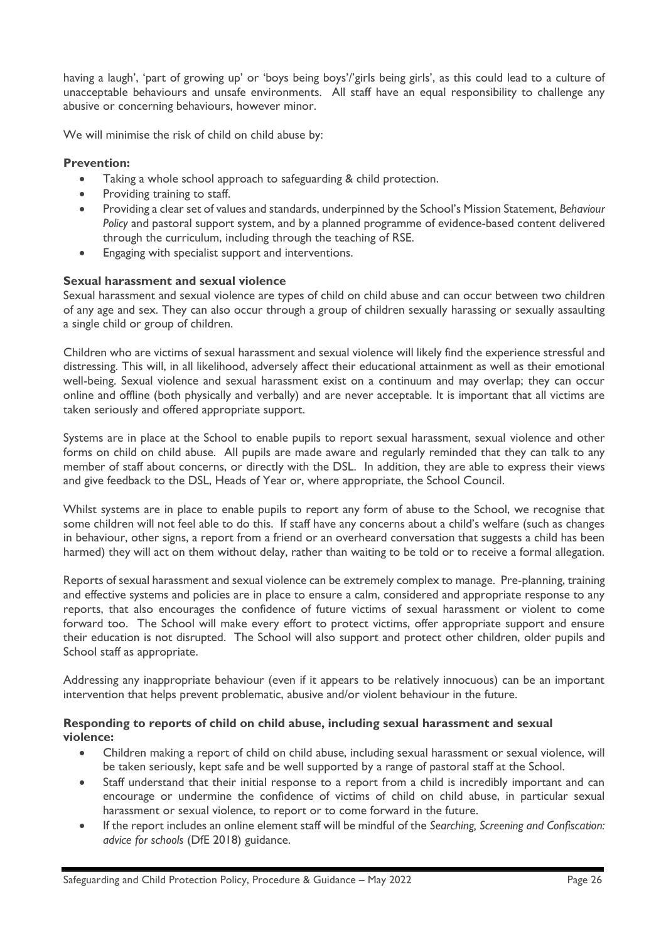having a laugh', 'part of growing up' or 'boys being boys'/'girls being girls', as this could lead to a culture of unacceptable behaviours and unsafe environments. All staff have an equal responsibility to challenge any abusive or concerning behaviours, however minor.

We will minimise the risk of child on child abuse by:

#### **Prevention:**

- Taking a whole school approach to safeguarding & child protection.
- Providing training to staff.
- Providing a clear set of values and standards, underpinned by the School's Mission Statement, *Behaviour Policy* and pastoral support system, and by a planned programme of evidence-based content delivered through the curriculum, including through the teaching of RSE.
- Engaging with specialist support and interventions.

## **Sexual harassment and sexual violence**

Sexual harassment and sexual violence are types of child on child abuse and can occur between two children of any age and sex. They can also occur through a group of children sexually harassing or sexually assaulting a single child or group of children.

Children who are victims of sexual harassment and sexual violence will likely find the experience stressful and distressing. This will, in all likelihood, adversely affect their educational attainment as well as their emotional well-being. Sexual violence and sexual harassment exist on a continuum and may overlap; they can occur online and offline (both physically and verbally) and are never acceptable. It is important that all victims are taken seriously and offered appropriate support.

Systems are in place at the School to enable pupils to report sexual harassment, sexual violence and other forms on child on child abuse. All pupils are made aware and regularly reminded that they can talk to any member of staff about concerns, or directly with the DSL. In addition, they are able to express their views and give feedback to the DSL, Heads of Year or, where appropriate, the School Council.

Whilst systems are in place to enable pupils to report any form of abuse to the School, we recognise that some children will not feel able to do this. If staff have any concerns about a child's welfare (such as changes in behaviour, other signs, a report from a friend or an overheard conversation that suggests a child has been harmed) they will act on them without delay, rather than waiting to be told or to receive a formal allegation.

Reports of sexual harassment and sexual violence can be extremely complex to manage. Pre-planning, training and effective systems and policies are in place to ensure a calm, considered and appropriate response to any reports, that also encourages the confidence of future victims of sexual harassment or violent to come forward too. The School will make every effort to protect victims, offer appropriate support and ensure their education is not disrupted. The School will also support and protect other children, older pupils and School staff as appropriate.

Addressing any inappropriate behaviour (even if it appears to be relatively innocuous) can be an important intervention that helps prevent problematic, abusive and/or violent behaviour in the future.

## **Responding to reports of child on child abuse, including sexual harassment and sexual violence:**

- Children making a report of child on child abuse, including sexual harassment or sexual violence, will be taken seriously, kept safe and be well supported by a range of pastoral staff at the School.
- Staff understand that their initial response to a report from a child is incredibly important and can encourage or undermine the confidence of victims of child on child abuse, in particular sexual harassment or sexual violence, to report or to come forward in the future.
- If the report includes an online element staff will be mindful of the *Searching, Screening and Confiscation: advice for schools* (DfE 2018) guidance.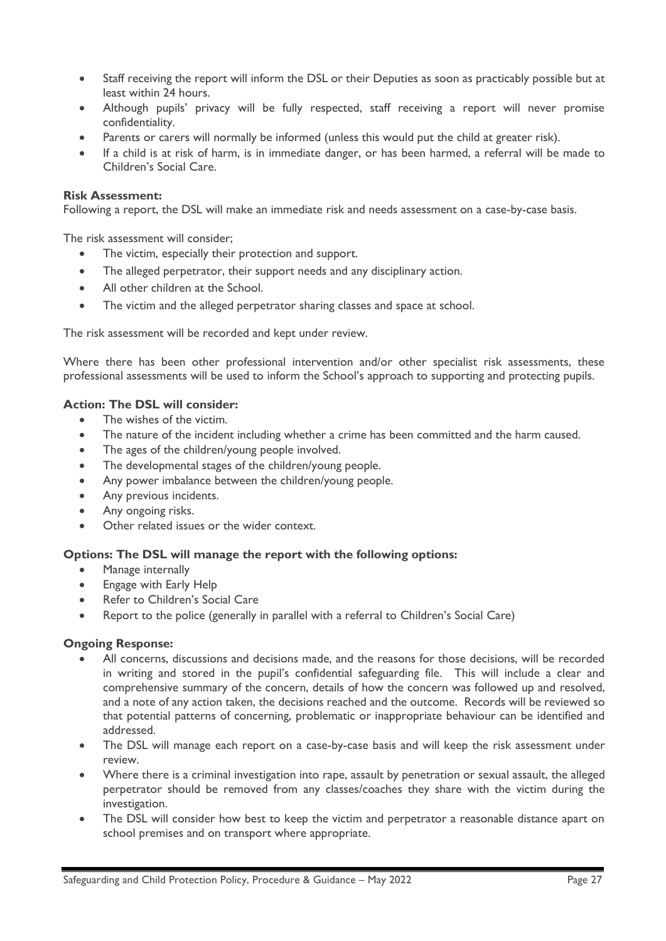- Staff receiving the report will inform the DSL or their Deputies as soon as practicably possible but at least within 24 hours.
- Although pupils' privacy will be fully respected, staff receiving a report will never promise confidentiality.
- Parents or carers will normally be informed (unless this would put the child at greater risk).
- If a child is at risk of harm, is in immediate danger, or has been harmed, a referral will be made to Children's Social Care.

#### **Risk Assessment:**

Following a report, the DSL will make an immediate risk and needs assessment on a case-by-case basis.

The risk assessment will consider;

- The victim, especially their protection and support.
- The alleged perpetrator, their support needs and any disciplinary action.
- All other children at the School.
- The victim and the alleged perpetrator sharing classes and space at school.

The risk assessment will be recorded and kept under review.

Where there has been other professional intervention and/or other specialist risk assessments, these professional assessments will be used to inform the School's approach to supporting and protecting pupils.

## **Action: The DSL will consider:**

- The wishes of the victim.
- The nature of the incident including whether a crime has been committed and the harm caused.
- The ages of the children/young people involved.
- The developmental stages of the children/young people.
- Any power imbalance between the children/young people.
- Any previous incidents.
- Any ongoing risks.
- Other related issues or the wider context.

#### **Options: The DSL will manage the report with the following options:**

- Manage internally
- Engage with Early Help
- Refer to Children's Social Care
- Report to the police (generally in parallel with a referral to Children's Social Care)

#### **Ongoing Response:**

- All concerns, discussions and decisions made, and the reasons for those decisions, will be recorded in writing and stored in the pupil's confidential safeguarding file. This will include a clear and comprehensive summary of the concern, details of how the concern was followed up and resolved, and a note of any action taken, the decisions reached and the outcome. Records will be reviewed so that potential patterns of concerning, problematic or inappropriate behaviour can be identified and addressed.
- The DSL will manage each report on a case-by-case basis and will keep the risk assessment under review.
- Where there is a criminal investigation into rape, assault by penetration or sexual assault, the alleged perpetrator should be removed from any classes/coaches they share with the victim during the investigation.
- The DSL will consider how best to keep the victim and perpetrator a reasonable distance apart on school premises and on transport where appropriate.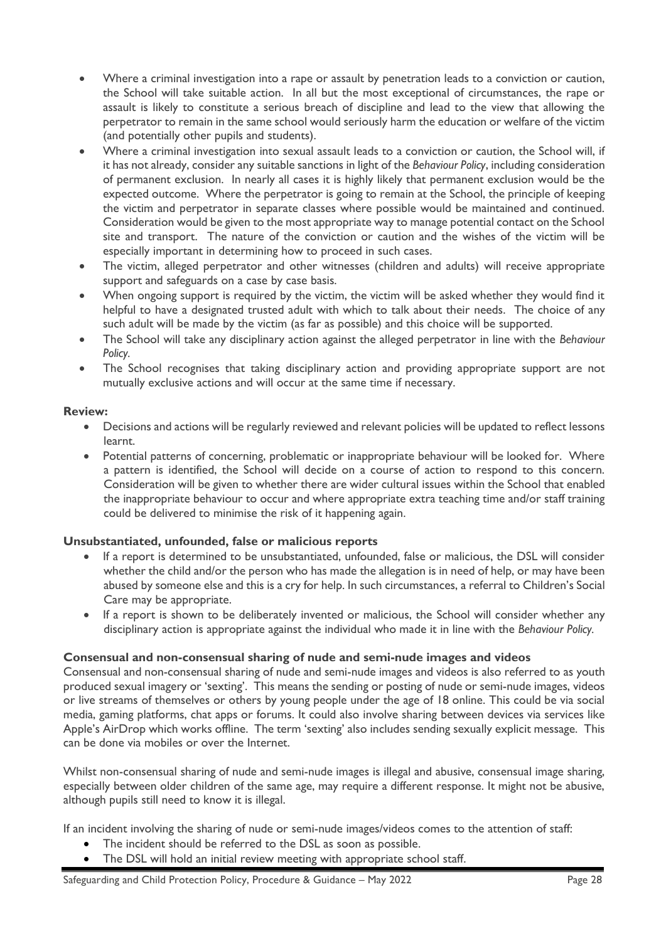- Where a criminal investigation into a rape or assault by penetration leads to a conviction or caution, the School will take suitable action. In all but the most exceptional of circumstances, the rape or assault is likely to constitute a serious breach of discipline and lead to the view that allowing the perpetrator to remain in the same school would seriously harm the education or welfare of the victim (and potentially other pupils and students).
- Where a criminal investigation into sexual assault leads to a conviction or caution, the School will, if it has not already, consider any suitable sanctions in light of the *Behaviour Policy*, including consideration of permanent exclusion. In nearly all cases it is highly likely that permanent exclusion would be the expected outcome. Where the perpetrator is going to remain at the School, the principle of keeping the victim and perpetrator in separate classes where possible would be maintained and continued. Consideration would be given to the most appropriate way to manage potential contact on the School site and transport. The nature of the conviction or caution and the wishes of the victim will be especially important in determining how to proceed in such cases.
- The victim, alleged perpetrator and other witnesses (children and adults) will receive appropriate support and safeguards on a case by case basis.
- When ongoing support is required by the victim, the victim will be asked whether they would find it helpful to have a designated trusted adult with which to talk about their needs. The choice of any such adult will be made by the victim (as far as possible) and this choice will be supported.
- The School will take any disciplinary action against the alleged perpetrator in line with the *Behaviour Policy.*
- The School recognises that taking disciplinary action and providing appropriate support are not mutually exclusive actions and will occur at the same time if necessary.

## **Review:**

- Decisions and actions will be regularly reviewed and relevant policies will be updated to reflect lessons learnt.
- Potential patterns of concerning, problematic or inappropriate behaviour will be looked for. Where a pattern is identified, the School will decide on a course of action to respond to this concern. Consideration will be given to whether there are wider cultural issues within the School that enabled the inappropriate behaviour to occur and where appropriate extra teaching time and/or staff training could be delivered to minimise the risk of it happening again.

# **Unsubstantiated, unfounded, false or malicious reports**

- If a report is determined to be unsubstantiated, unfounded, false or malicious, the DSL will consider whether the child and/or the person who has made the allegation is in need of help, or may have been abused by someone else and this is a cry for help. In such circumstances, a referral to Children's Social Care may be appropriate.
- If a report is shown to be deliberately invented or malicious, the School will consider whether any disciplinary action is appropriate against the individual who made it in line with the *Behaviour Policy.*

# **Consensual and non-consensual sharing of nude and semi-nude images and videos**

Consensual and non-consensual sharing of nude and semi-nude images and videos is also referred to as youth produced sexual imagery or 'sexting'. This means the sending or posting of nude or semi-nude images, videos or live streams of themselves or others by young people under the age of 18 online. This could be via social media, gaming platforms, chat apps or forums. It could also involve sharing between devices via services like Apple's AirDrop which works offline. The term 'sexting' also includes sending sexually explicit message. This can be done via mobiles or over the Internet.

Whilst non-consensual sharing of nude and semi-nude images is illegal and abusive, consensual image sharing, especially between older children of the same age, may require a different response. It might not be abusive, although pupils still need to know it is illegal.

If an incident involving the sharing of nude or semi-nude images/videos comes to the attention of staff:

- The incident should be referred to the DSL as soon as possible.
- The DSL will hold an initial review meeting with appropriate school staff.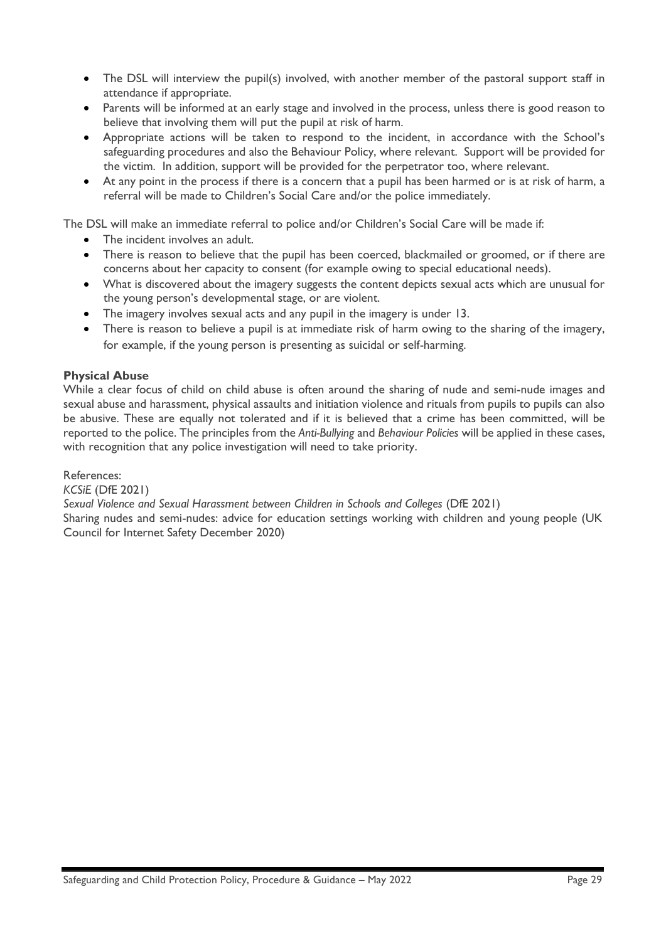- The DSL will interview the pupil(s) involved, with another member of the pastoral support staff in attendance if appropriate.
- Parents will be informed at an early stage and involved in the process, unless there is good reason to believe that involving them will put the pupil at risk of harm.
- Appropriate actions will be taken to respond to the incident, in accordance with the School's safeguarding procedures and also the Behaviour Policy, where relevant. Support will be provided for the victim. In addition, support will be provided for the perpetrator too, where relevant.
- At any point in the process if there is a concern that a pupil has been harmed or is at risk of harm, a referral will be made to Children's Social Care and/or the police immediately.

The DSL will make an immediate referral to police and/or Children's Social Care will be made if:

- The incident involves an adult.
- There is reason to believe that the pupil has been coerced, blackmailed or groomed, or if there are concerns about her capacity to consent (for example owing to special educational needs).
- What is discovered about the imagery suggests the content depicts sexual acts which are unusual for the young person's developmental stage, or are violent.
- The imagery involves sexual acts and any pupil in the imagery is under 13.
- There is reason to believe a pupil is at immediate risk of harm owing to the sharing of the imagery, for example, if the young person is presenting as suicidal or self-harming.

## **Physical Abuse**

While a clear focus of child on child abuse is often around the sharing of nude and semi-nude images and sexual abuse and harassment, physical assaults and initiation violence and rituals from pupils to pupils can also be abusive. These are equally not tolerated and if it is believed that a crime has been committed, will be reported to the police. The principles from the *Anti-Bullying* and *Behaviour Policies* will be applied in these cases, with recognition that any police investigation will need to take priority.

References:

*KCSiE* (DfE 2021)

*Sexual Violence and Sexual Harassment between Children in Schools and Colleges* (DfE 2021)

Sharing nudes and semi-nudes: advice for education settings working with children and young people (UK Council for Internet Safety December 2020)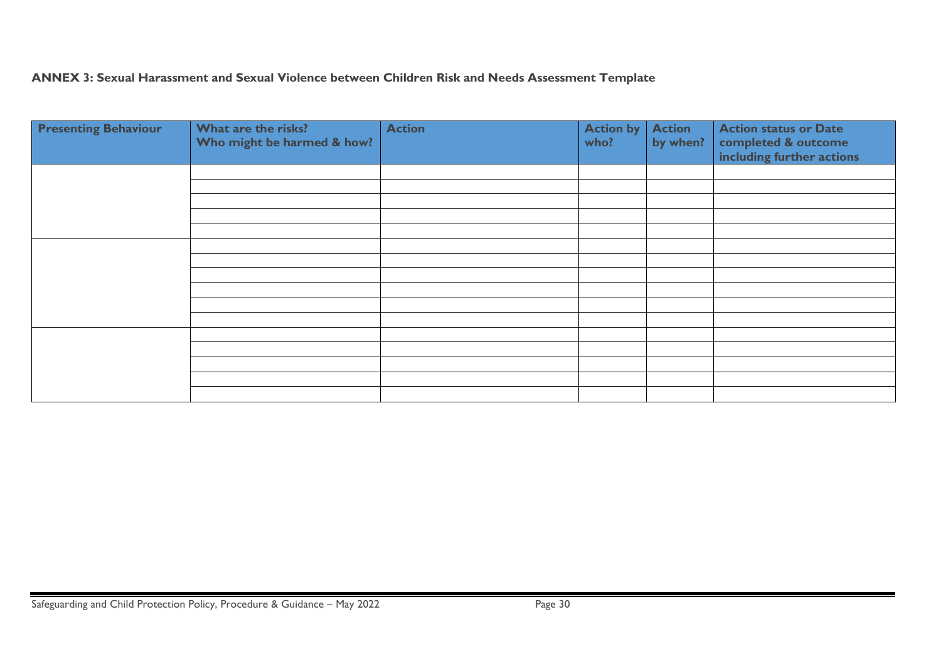# **ANNEX 3: Sexual Harassment and Sexual Violence between Children Risk and Needs Assessment Template**

| <b>Presenting Behaviour</b> | What are the risks?<br>Who might be harmed & how? | <b>Action</b> | <b>Action by</b><br>who? | <b>Action</b><br>by when? $\vert$ | <b>Action status or Date</b><br>completed & outcome<br>including further actions |
|-----------------------------|---------------------------------------------------|---------------|--------------------------|-----------------------------------|----------------------------------------------------------------------------------|
|                             |                                                   |               |                          |                                   |                                                                                  |
|                             |                                                   |               |                          |                                   |                                                                                  |
|                             |                                                   |               |                          |                                   |                                                                                  |
|                             |                                                   |               |                          |                                   |                                                                                  |
|                             |                                                   |               |                          |                                   |                                                                                  |
|                             |                                                   |               |                          |                                   |                                                                                  |
|                             |                                                   |               |                          |                                   |                                                                                  |
|                             |                                                   |               |                          |                                   |                                                                                  |
|                             |                                                   |               |                          |                                   |                                                                                  |
|                             |                                                   |               |                          |                                   |                                                                                  |
|                             |                                                   |               |                          |                                   |                                                                                  |
|                             |                                                   |               |                          |                                   |                                                                                  |
|                             |                                                   |               |                          |                                   |                                                                                  |
|                             |                                                   |               |                          |                                   |                                                                                  |
|                             |                                                   |               |                          |                                   |                                                                                  |
|                             |                                                   |               |                          |                                   |                                                                                  |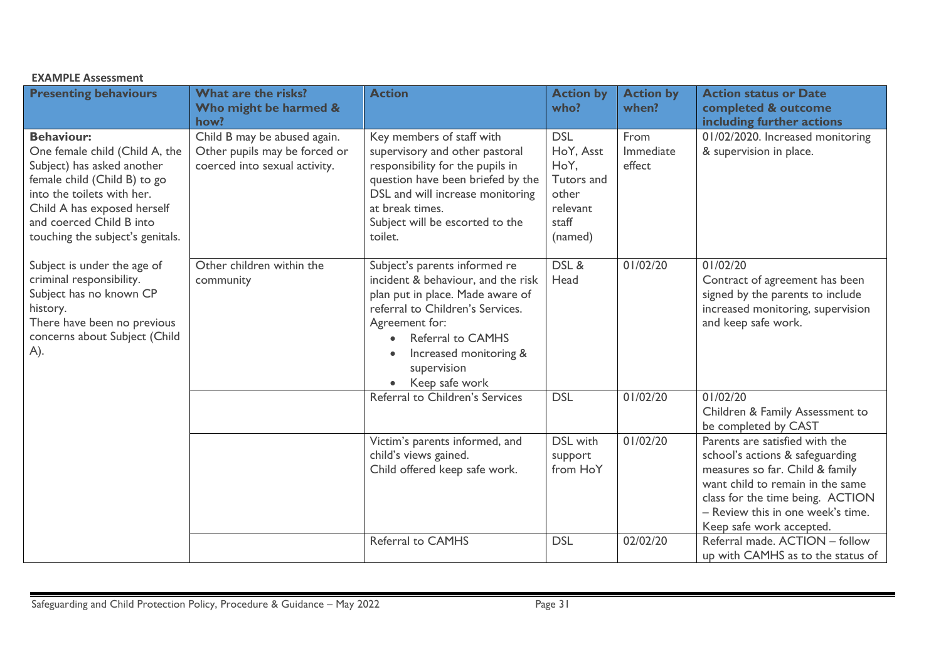| <b>EXAMPLE Assessment</b>                                                                                                                                                                                                                      |                                                                                                |                                                                                                                                                                                                                                               |                                                                                        |                             |                                                                                                                                                                                                                                               |
|------------------------------------------------------------------------------------------------------------------------------------------------------------------------------------------------------------------------------------------------|------------------------------------------------------------------------------------------------|-----------------------------------------------------------------------------------------------------------------------------------------------------------------------------------------------------------------------------------------------|----------------------------------------------------------------------------------------|-----------------------------|-----------------------------------------------------------------------------------------------------------------------------------------------------------------------------------------------------------------------------------------------|
| <b>Presenting behaviours</b>                                                                                                                                                                                                                   | What are the risks?<br>Who might be harmed &<br>how?                                           | <b>Action</b>                                                                                                                                                                                                                                 | <b>Action by</b><br>who?                                                               | <b>Action by</b><br>when?   | <b>Action status or Date</b><br>completed & outcome<br>including further actions                                                                                                                                                              |
| <b>Behaviour:</b><br>One female child (Child A, the<br>Subject) has asked another<br>female child (Child B) to go<br>into the toilets with her.<br>Child A has exposed herself<br>and coerced Child B into<br>touching the subject's genitals. | Child B may be abused again.<br>Other pupils may be forced or<br>coerced into sexual activity. | Key members of staff with<br>supervisory and other pastoral<br>responsibility for the pupils in<br>question have been briefed by the<br>DSL and will increase monitoring<br>at break times.<br>Subject will be escorted to the<br>toilet.     | <b>DSL</b><br>HoY, Asst<br>HoY,<br>Tutors and<br>other<br>relevant<br>staff<br>(named) | From<br>Immediate<br>effect | 01/02/2020. Increased monitoring<br>& supervision in place.                                                                                                                                                                                   |
| Subject is under the age of<br>criminal responsibility.<br>Subject has no known CP<br>history.<br>There have been no previous<br>concerns about Subject (Child<br>A).                                                                          | Other children within the<br>community                                                         | Subject's parents informed re<br>incident & behaviour, and the risk<br>plan put in place. Made aware of<br>referral to Children's Services.<br>Agreement for:<br>Referral to CAMHS<br>Increased monitoring &<br>supervision<br>Keep safe work | DSL &<br>Head                                                                          | 01/02/20                    | 01/02/20<br>Contract of agreement has been<br>signed by the parents to include<br>increased monitoring, supervision<br>and keep safe work.                                                                                                    |
|                                                                                                                                                                                                                                                |                                                                                                | Referral to Children's Services                                                                                                                                                                                                               | <b>DSL</b>                                                                             | 01/02/20                    | 01/02/20<br>Children & Family Assessment to<br>be completed by CAST                                                                                                                                                                           |
|                                                                                                                                                                                                                                                |                                                                                                | Victim's parents informed, and<br>child's views gained.<br>Child offered keep safe work.                                                                                                                                                      | <b>DSL</b> with<br>support<br>from HoY                                                 | 01/02/20                    | Parents are satisfied with the<br>school's actions & safeguarding<br>measures so far. Child & family<br>want child to remain in the same<br>class for the time being. ACTION<br>- Review this in one week's time.<br>Keep safe work accepted. |
|                                                                                                                                                                                                                                                |                                                                                                | Referral to CAMHS                                                                                                                                                                                                                             | <b>DSL</b>                                                                             | 02/02/20                    | Referral made. ACTION - follow<br>up with CAMHS as to the status of                                                                                                                                                                           |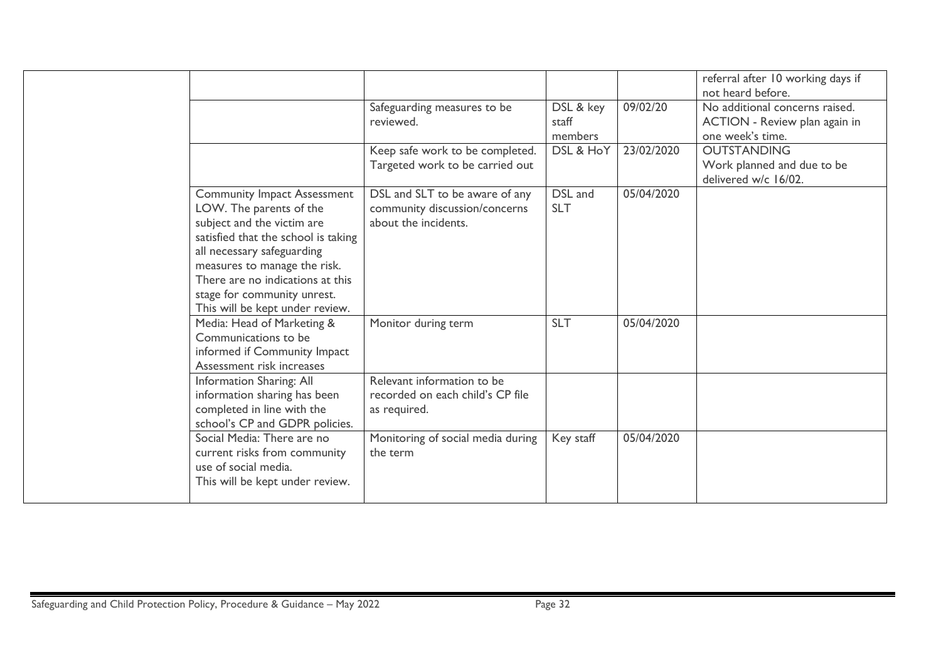|                                                                                                                                                                                                                                                                                                        |                                                                                         |                               |            | referral after 10 working days if<br>not heard before.                              |
|--------------------------------------------------------------------------------------------------------------------------------------------------------------------------------------------------------------------------------------------------------------------------------------------------------|-----------------------------------------------------------------------------------------|-------------------------------|------------|-------------------------------------------------------------------------------------|
|                                                                                                                                                                                                                                                                                                        | Safeguarding measures to be<br>reviewed.                                                | DSL & key<br>staff<br>members | 09/02/20   | No additional concerns raised.<br>ACTION - Review plan again in<br>one week's time. |
|                                                                                                                                                                                                                                                                                                        | Keep safe work to be completed.<br>Targeted work to be carried out                      | DSL & HoY                     | 23/02/2020 | <b>OUTSTANDING</b><br>Work planned and due to be<br>delivered w/c 16/02.            |
| <b>Community Impact Assessment</b><br>LOW. The parents of the<br>subject and the victim are<br>satisfied that the school is taking<br>all necessary safeguarding<br>measures to manage the risk.<br>There are no indications at this<br>stage for community unrest.<br>This will be kept under review. | DSL and SLT to be aware of any<br>community discussion/concerns<br>about the incidents. | DSL and<br><b>SLT</b>         | 05/04/2020 |                                                                                     |
| Media: Head of Marketing &<br>Communications to be<br>informed if Community Impact<br>Assessment risk increases                                                                                                                                                                                        | Monitor during term                                                                     | <b>SLT</b>                    | 05/04/2020 |                                                                                     |
| Information Sharing: All<br>information sharing has been<br>completed in line with the<br>school's CP and GDPR policies.                                                                                                                                                                               | Relevant information to be<br>recorded on each child's CP file<br>as required.          |                               |            |                                                                                     |
| Social Media: There are no<br>current risks from community<br>use of social media.<br>This will be kept under review.                                                                                                                                                                                  | Monitoring of social media during<br>the term                                           | Key staff                     | 05/04/2020 |                                                                                     |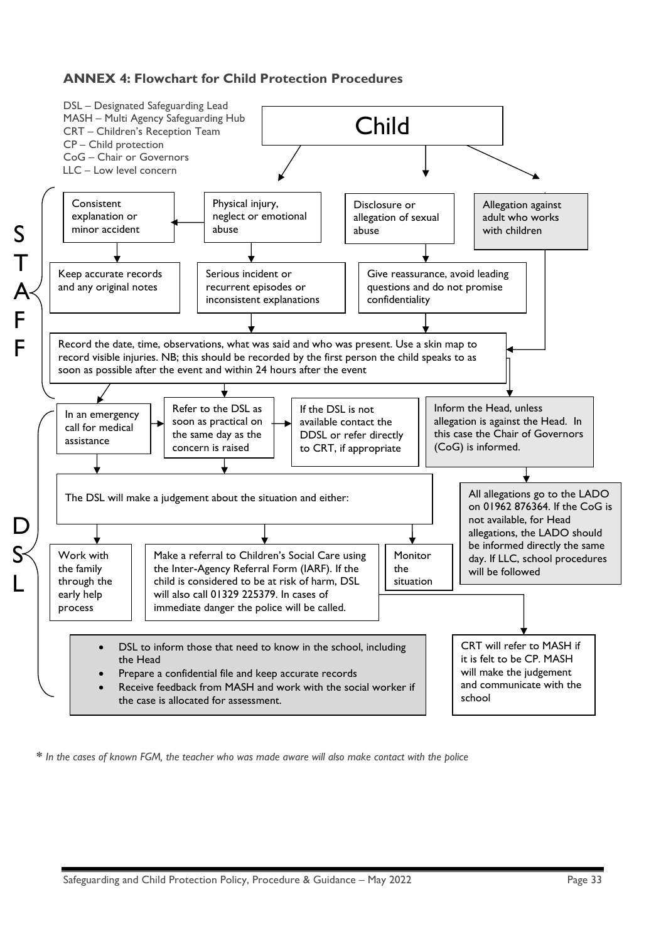# **ANNEX 4: Flowchart for Child Protection Procedures**



**\*** *In the cases of known FGM, the teacher who was made aware will also make contact with the police*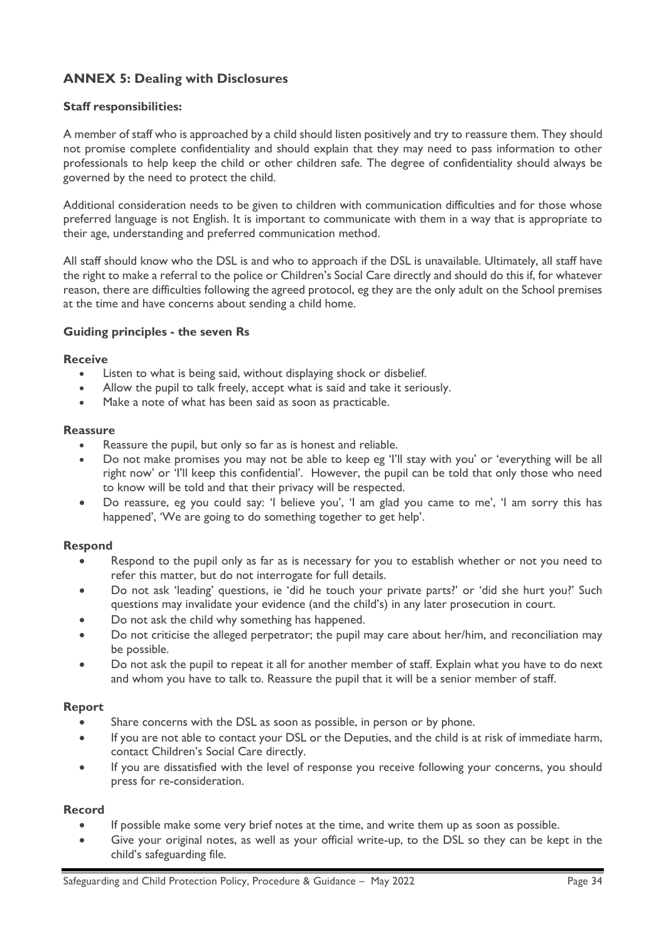# **ANNEX 5: Dealing with Disclosures**

# **Staff responsibilities:**

A member of staff who is approached by a child should listen positively and try to reassure them. They should not promise complete confidentiality and should explain that they may need to pass information to other professionals to help keep the child or other children safe. The degree of confidentiality should always be governed by the need to protect the child.

Additional consideration needs to be given to children with communication difficulties and for those whose preferred language is not English. It is important to communicate with them in a way that is appropriate to their age, understanding and preferred communication method.

All staff should know who the DSL is and who to approach if the DSL is unavailable. Ultimately, all staff have the right to make a referral to the police or Children's Social Care directly and should do this if, for whatever reason, there are difficulties following the agreed protocol, eg they are the only adult on the School premises at the time and have concerns about sending a child home.

## **Guiding principles - the seven Rs**

## **Receive**

- Listen to what is being said, without displaying shock or disbelief.
- Allow the pupil to talk freely, accept what is said and take it seriously.
- Make a note of what has been said as soon as practicable.

#### **Reassure**

- Reassure the pupil, but only so far as is honest and reliable.
- Do not make promises you may not be able to keep eg 'I'll stay with you' or 'everything will be all right now' or 'I'll keep this confidential'. However, the pupil can be told that only those who need to know will be told and that their privacy will be respected.
- Do reassure, eg you could say: 'I believe you', 'I am glad you came to me', 'I am sorry this has happened', 'We are going to do something together to get help'.

## **Respond**

- Respond to the pupil only as far as is necessary for you to establish whether or not you need to refer this matter, but do not interrogate for full details.
- Do not ask 'leading' questions, ie 'did he touch your private parts?' or 'did she hurt you?' Such questions may invalidate your evidence (and the child's) in any later prosecution in court.
- Do not ask the child why something has happened.
- Do not criticise the alleged perpetrator; the pupil may care about her/him, and reconciliation may be possible.
- Do not ask the pupil to repeat it all for another member of staff. Explain what you have to do next and whom you have to talk to. Reassure the pupil that it will be a senior member of staff.

#### **Report**

- Share concerns with the DSL as soon as possible, in person or by phone.
- If you are not able to contact your DSL or the Deputies, and the child is at risk of immediate harm, contact Children's Social Care directly.
- If you are dissatisfied with the level of response you receive following your concerns, you should press for re-consideration.

#### **Record**

- If possible make some very brief notes at the time, and write them up as soon as possible.
- Give your original notes, as well as your official write-up, to the DSL so they can be kept in the child's safeguarding file.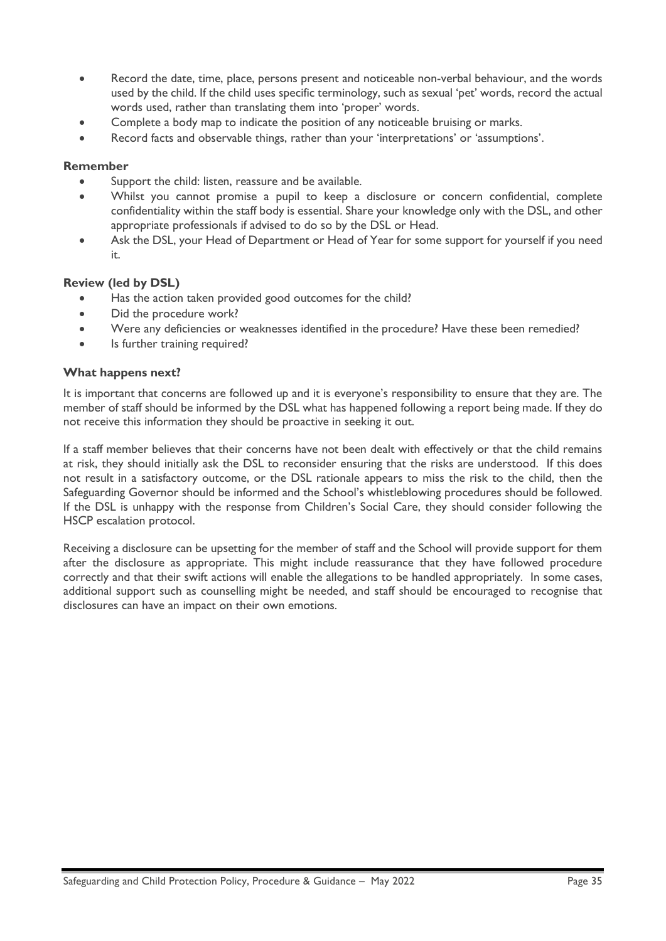- Record the date, time, place, persons present and noticeable non-verbal behaviour, and the words used by the child. If the child uses specific terminology, such as sexual 'pet' words, record the actual words used, rather than translating them into 'proper' words.
- Complete a body map to indicate the position of any noticeable bruising or marks.
- Record facts and observable things, rather than your 'interpretations' or 'assumptions'.

#### **Remember**

- Support the child: listen, reassure and be available.
- Whilst you cannot promise a pupil to keep a disclosure or concern confidential, complete confidentiality within the staff body is essential. Share your knowledge only with the DSL, and other appropriate professionals if advised to do so by the DSL or Head.
- Ask the DSL, your Head of Department or Head of Year for some support for yourself if you need it.

## **Review (led by DSL)**

- Has the action taken provided good outcomes for the child?
- Did the procedure work?
- Were any deficiencies or weaknesses identified in the procedure? Have these been remedied?
- Is further training required?

## **What happens next?**

It is important that concerns are followed up and it is everyone's responsibility to ensure that they are. The member of staff should be informed by the DSL what has happened following a report being made. If they do not receive this information they should be proactive in seeking it out.

If a staff member believes that their concerns have not been dealt with effectively or that the child remains at risk, they should initially ask the DSL to reconsider ensuring that the risks are understood. If this does not result in a satisfactory outcome, or the DSL rationale appears to miss the risk to the child, then the Safeguarding Governor should be informed and the School's whistleblowing procedures should be followed. If the DSL is unhappy with the response from Children's Social Care, they should consider following the HSCP escalation protocol.

Receiving a disclosure can be upsetting for the member of staff and the School will provide support for them after the disclosure as appropriate. This might include reassurance that they have followed procedure correctly and that their swift actions will enable the allegations to be handled appropriately. In some cases, additional support such as counselling might be needed, and staff should be encouraged to recognise that disclosures can have an impact on their own emotions.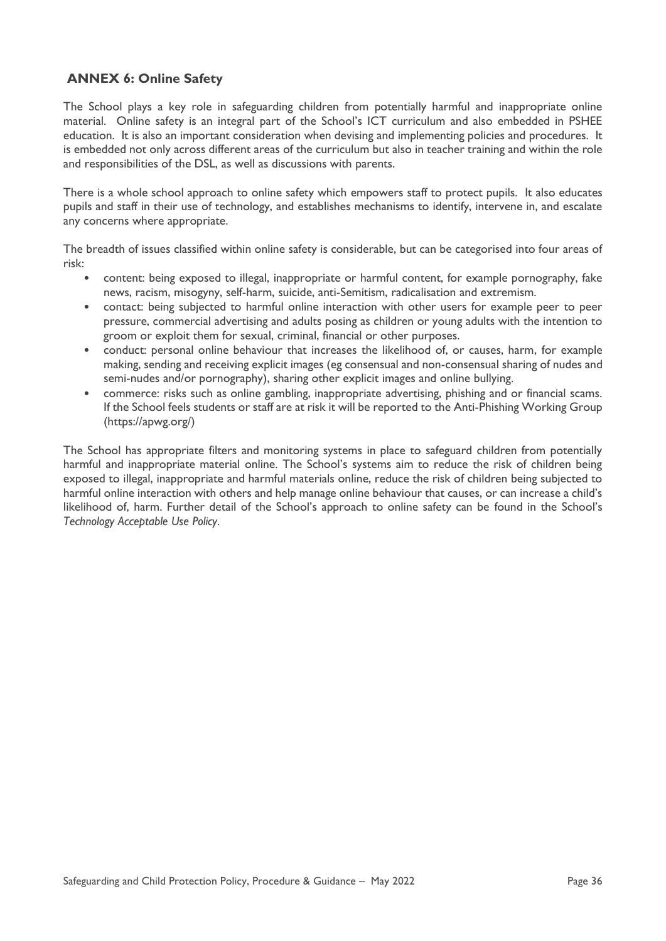# **ANNEX 6: Online Safety**

The School plays a key role in safeguarding children from potentially harmful and inappropriate online material. Online safety is an integral part of the School's ICT curriculum and also embedded in PSHEE education. It is also an important consideration when devising and implementing policies and procedures. It is embedded not only across different areas of the curriculum but also in teacher training and within the role and responsibilities of the DSL, as well as discussions with parents.

There is a whole school approach to online safety which empowers staff to protect pupils. It also educates pupils and staff in their use of technology, and establishes mechanisms to identify, intervene in, and escalate any concerns where appropriate.

The breadth of issues classified within online safety is considerable, but can be categorised into four areas of risk:

- content: being exposed to illegal, inappropriate or harmful content, for example pornography, fake news, racism, misogyny, self-harm, suicide, anti-Semitism, radicalisation and extremism.
- contact: being subjected to harmful online interaction with other users for example peer to peer pressure, commercial advertising and adults posing as children or young adults with the intention to groom or exploit them for sexual, criminal, financial or other purposes.
- conduct: personal online behaviour that increases the likelihood of, or causes, harm, for example making, sending and receiving explicit images (eg consensual and non-consensual sharing of nudes and semi-nudes and/or pornography), sharing other explicit images and online bullying.
- commerce: risks such as online gambling, inappropriate advertising, phishing and or financial scams. If the School feels students or staff are at risk it will be reported to the Anti-Phishing Working Group (https://apwg.org/)

The School has appropriate filters and monitoring systems in place to safeguard children from potentially harmful and inappropriate material online. The School's systems aim to reduce the risk of children being exposed to illegal, inappropriate and harmful materials online, reduce the risk of children being subjected to harmful online interaction with others and help manage online behaviour that causes, or can increase a child's likelihood of, harm. Further detail of the School's approach to online safety can be found in the School's *Technology Acceptable Use Policy*.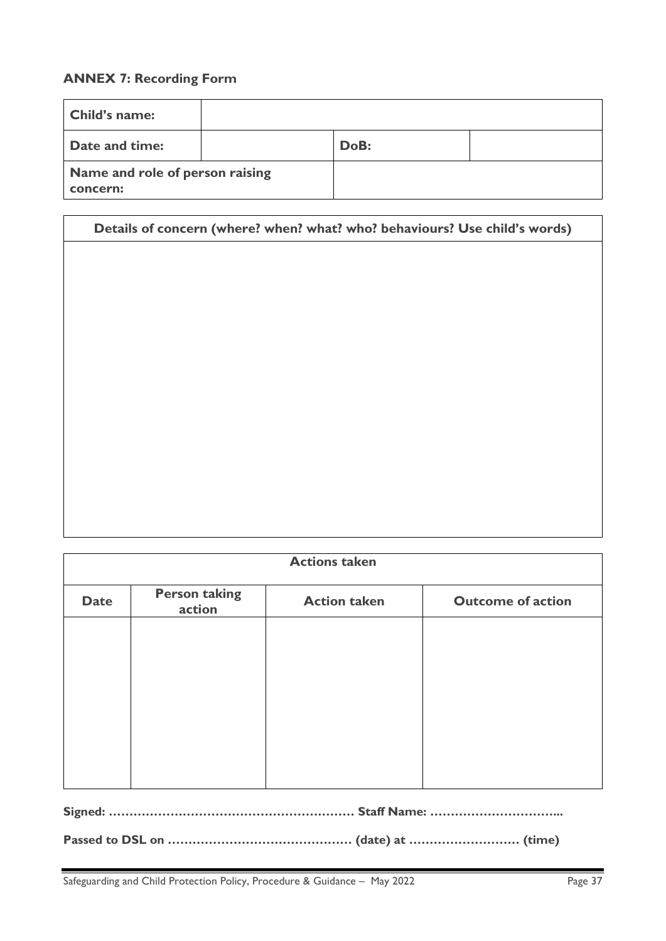# **ANNEX 7: Recording Form**

| Child's name:                               |  |      |  |
|---------------------------------------------|--|------|--|
| Date and time:                              |  | DoB: |  |
| Name and role of person raising<br>concern: |  |      |  |

**Details of concern (where? when? what? who? behaviours? Use child's words)**

| <b>Actions taken</b> |                                |                     |                          |
|----------------------|--------------------------------|---------------------|--------------------------|
| <b>Date</b>          | <b>Person taking</b><br>action | <b>Action taken</b> | <b>Outcome of action</b> |
|                      |                                |                     |                          |
|                      |                                |                     |                          |
|                      |                                |                     |                          |
|                      |                                |                     |                          |
|                      |                                |                     |                          |
|                      |                                |                     |                          |
|                      |                                |                     |                          |
|                      |                                |                     |                          |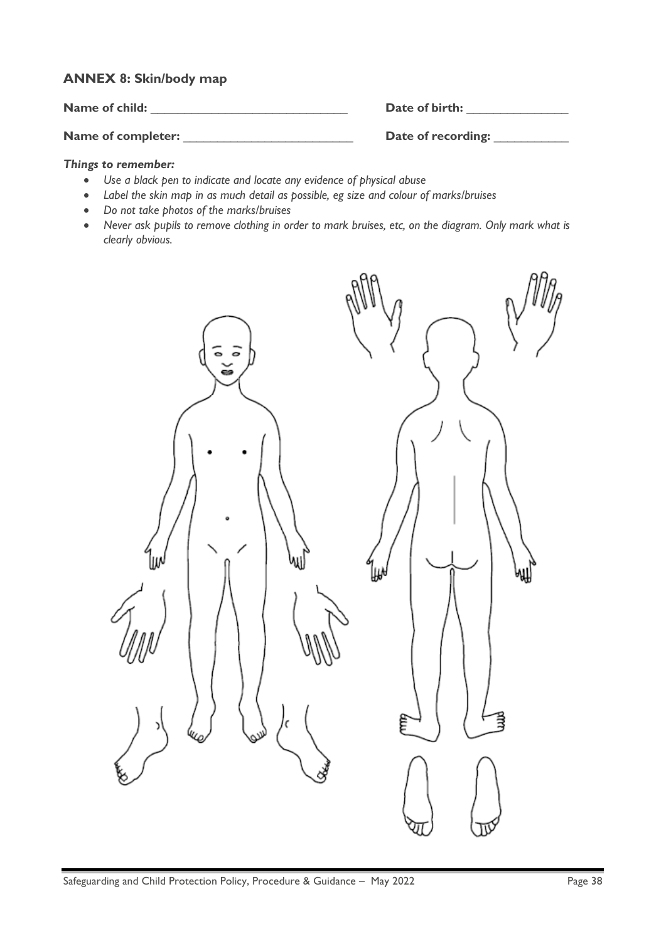# **ANNEX 8: Skin/body map**

| Name of child:            | Date of birth:     |
|---------------------------|--------------------|
| <b>Name of completer:</b> | Date of recording: |

#### *Things to remember:*

- *Use a black pen to indicate and locate any evidence of physical abuse*
- *Label the skin map in as much detail as possible, eg size and colour of marks/bruises*
- *Do not take photos of the marks/bruises*
- *Never ask pupils to remove clothing in order to mark bruises, etc, on the diagram. Only mark what is clearly obvious.*

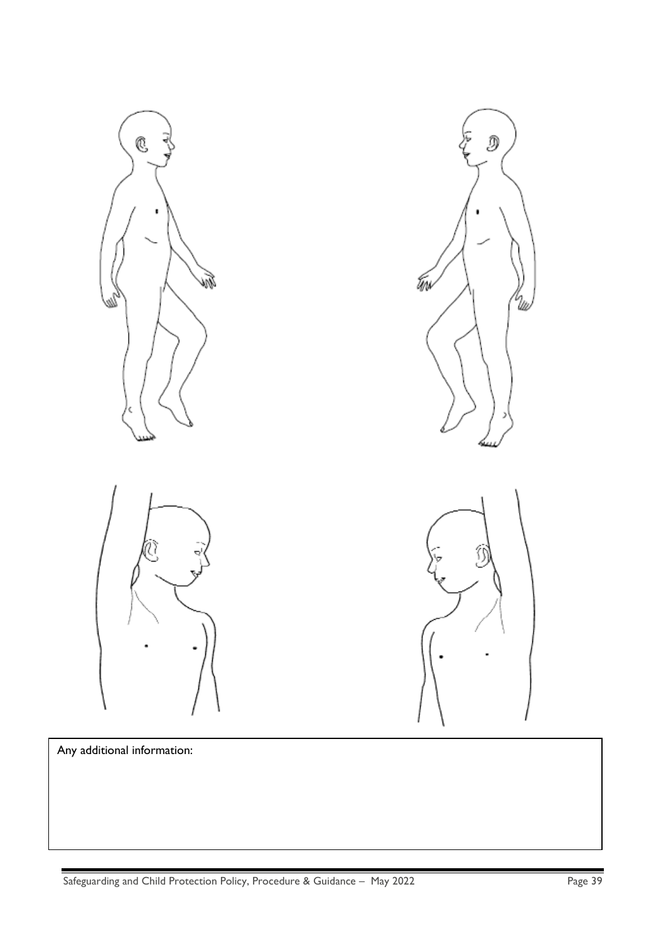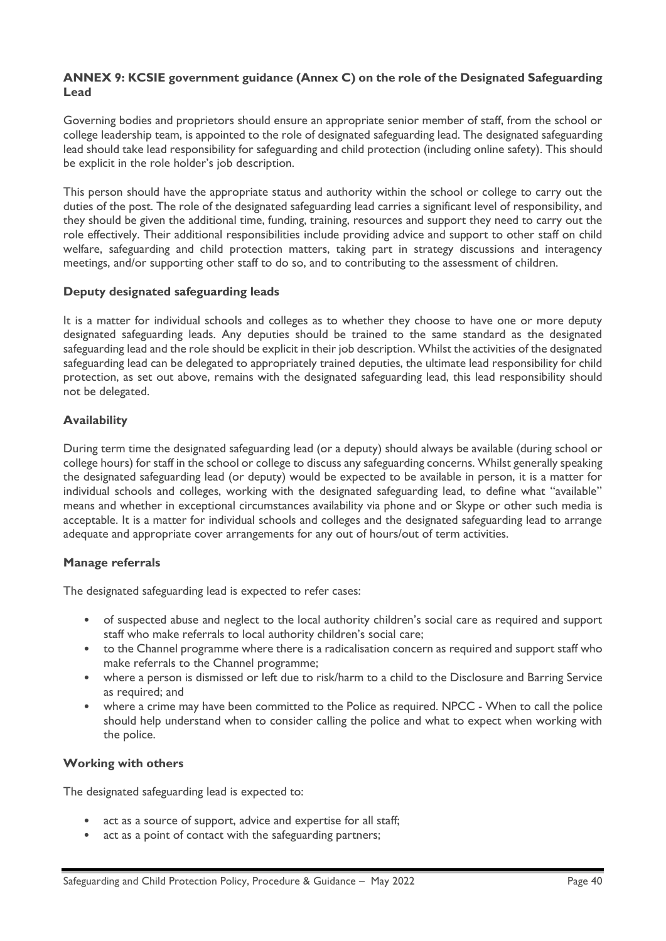## **ANNEX 9: KCSIE government guidance (Annex C) on the role of the Designated Safeguarding Lead**

Governing bodies and proprietors should ensure an appropriate senior member of staff, from the school or college leadership team, is appointed to the role of designated safeguarding lead. The designated safeguarding lead should take lead responsibility for safeguarding and child protection (including online safety). This should be explicit in the role holder's job description.

This person should have the appropriate status and authority within the school or college to carry out the duties of the post. The role of the designated safeguarding lead carries a significant level of responsibility, and they should be given the additional time, funding, training, resources and support they need to carry out the role effectively. Their additional responsibilities include providing advice and support to other staff on child welfare, safeguarding and child protection matters, taking part in strategy discussions and interagency meetings, and/or supporting other staff to do so, and to contributing to the assessment of children.

## **Deputy designated safeguarding leads**

It is a matter for individual schools and colleges as to whether they choose to have one or more deputy designated safeguarding leads. Any deputies should be trained to the same standard as the designated safeguarding lead and the role should be explicit in their job description. Whilst the activities of the designated safeguarding lead can be delegated to appropriately trained deputies, the ultimate lead responsibility for child protection, as set out above, remains with the designated safeguarding lead, this lead responsibility should not be delegated.

## **Availability**

During term time the designated safeguarding lead (or a deputy) should always be available (during school or college hours) for staff in the school or college to discuss any safeguarding concerns. Whilst generally speaking the designated safeguarding lead (or deputy) would be expected to be available in person, it is a matter for individual schools and colleges, working with the designated safeguarding lead, to define what "available" means and whether in exceptional circumstances availability via phone and or Skype or other such media is acceptable. It is a matter for individual schools and colleges and the designated safeguarding lead to arrange adequate and appropriate cover arrangements for any out of hours/out of term activities.

## **Manage referrals**

The designated safeguarding lead is expected to refer cases:

- of suspected abuse and neglect to the local authority children's social care as required and support staff who make referrals to local authority children's social care;
- to the Channel programme where there is a radicalisation concern as required and support staff who make referrals to the Channel programme;
- where a person is dismissed or left due to risk/harm to a child to the Disclosure and Barring Service as required; and
- where a crime may have been committed to the Police as required. NPCC When to call the police should help understand when to consider calling the police and what to expect when working with the police.

## **Working with others**

The designated safeguarding lead is expected to:

- act as a source of support, advice and expertise for all staff;
- act as a point of contact with the safeguarding partners;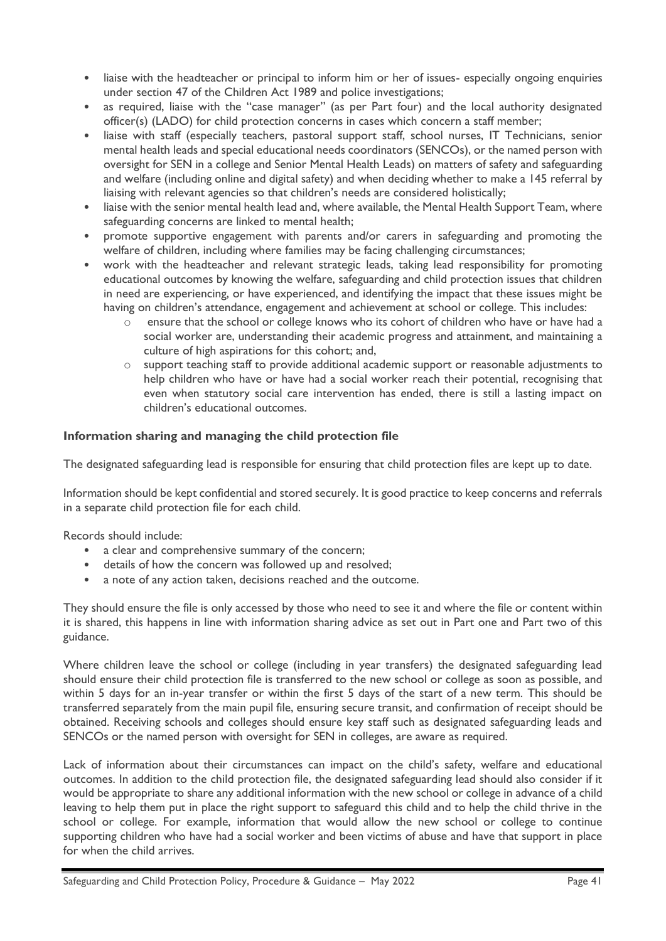- liaise with the headteacher or principal to inform him or her of issues- especially ongoing enquiries under section 47 of the Children Act 1989 and police investigations;
- as required, liaise with the "case manager" (as per Part four) and the local authority designated officer(s) (LADO) for child protection concerns in cases which concern a staff member;
- liaise with staff (especially teachers, pastoral support staff, school nurses, IT Technicians, senior mental health leads and special educational needs coordinators (SENCOs), or the named person with oversight for SEN in a college and Senior Mental Health Leads) on matters of safety and safeguarding and welfare (including online and digital safety) and when deciding whether to make a 145 referral by liaising with relevant agencies so that children's needs are considered holistically;
- liaise with the senior mental health lead and, where available, the Mental Health Support Team, where safeguarding concerns are linked to mental health;
- promote supportive engagement with parents and/or carers in safeguarding and promoting the welfare of children, including where families may be facing challenging circumstances;
- work with the headteacher and relevant strategic leads, taking lead responsibility for promoting educational outcomes by knowing the welfare, safeguarding and child protection issues that children in need are experiencing, or have experienced, and identifying the impact that these issues might be having on children's attendance, engagement and achievement at school or college. This includes:
	- o ensure that the school or college knows who its cohort of children who have or have had a social worker are, understanding their academic progress and attainment, and maintaining a culture of high aspirations for this cohort; and,
	- o support teaching staff to provide additional academic support or reasonable adjustments to help children who have or have had a social worker reach their potential, recognising that even when statutory social care intervention has ended, there is still a lasting impact on children's educational outcomes.

# **Information sharing and managing the child protection file**

The designated safeguarding lead is responsible for ensuring that child protection files are kept up to date.

Information should be kept confidential and stored securely. It is good practice to keep concerns and referrals in a separate child protection file for each child.

Records should include:

- a clear and comprehensive summary of the concern;
- details of how the concern was followed up and resolved;
- a note of any action taken, decisions reached and the outcome.

They should ensure the file is only accessed by those who need to see it and where the file or content within it is shared, this happens in line with information sharing advice as set out in Part one and Part two of this guidance.

Where children leave the school or college (including in year transfers) the designated safeguarding lead should ensure their child protection file is transferred to the new school or college as soon as possible, and within 5 days for an in-year transfer or within the first 5 days of the start of a new term. This should be transferred separately from the main pupil file, ensuring secure transit, and confirmation of receipt should be obtained. Receiving schools and colleges should ensure key staff such as designated safeguarding leads and SENCOs or the named person with oversight for SEN in colleges, are aware as required.

Lack of information about their circumstances can impact on the child's safety, welfare and educational outcomes. In addition to the child protection file, the designated safeguarding lead should also consider if it would be appropriate to share any additional information with the new school or college in advance of a child leaving to help them put in place the right support to safeguard this child and to help the child thrive in the school or college. For example, information that would allow the new school or college to continue supporting children who have had a social worker and been victims of abuse and have that support in place for when the child arrives.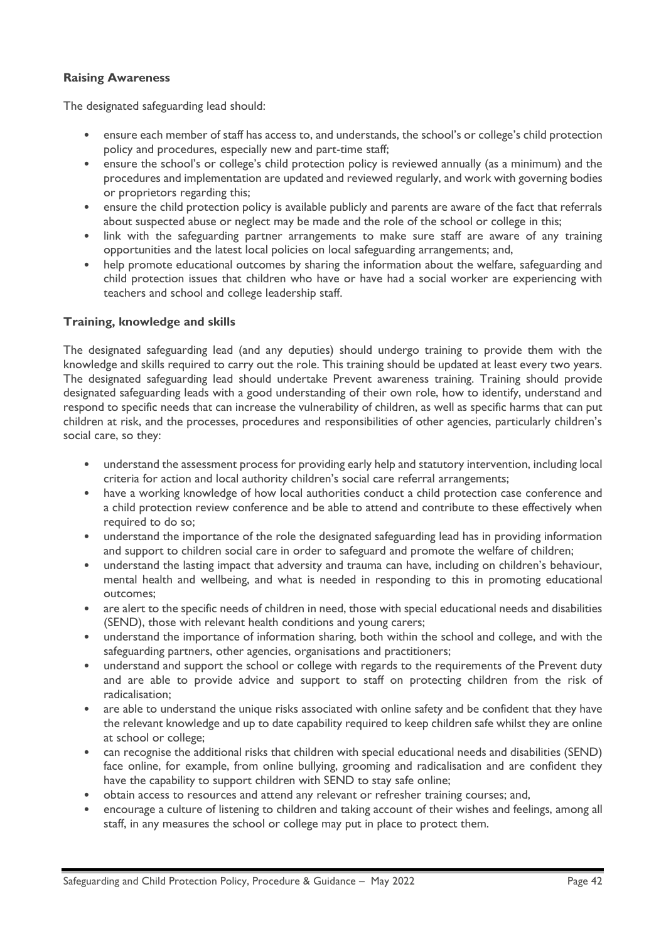## **Raising Awareness**

The designated safeguarding lead should:

- ensure each member of staff has access to, and understands, the school's or college's child protection policy and procedures, especially new and part-time staff;
- ensure the school's or college's child protection policy is reviewed annually (as a minimum) and the procedures and implementation are updated and reviewed regularly, and work with governing bodies or proprietors regarding this;
- ensure the child protection policy is available publicly and parents are aware of the fact that referrals about suspected abuse or neglect may be made and the role of the school or college in this;
- link with the safeguarding partner arrangements to make sure staff are aware of any training opportunities and the latest local policies on local safeguarding arrangements; and,
- help promote educational outcomes by sharing the information about the welfare, safeguarding and child protection issues that children who have or have had a social worker are experiencing with teachers and school and college leadership staff.

## **Training, knowledge and skills**

The designated safeguarding lead (and any deputies) should undergo training to provide them with the knowledge and skills required to carry out the role. This training should be updated at least every two years. The designated safeguarding lead should undertake Prevent awareness training. Training should provide designated safeguarding leads with a good understanding of their own role, how to identify, understand and respond to specific needs that can increase the vulnerability of children, as well as specific harms that can put children at risk, and the processes, procedures and responsibilities of other agencies, particularly children's social care, so they:

- understand the assessment process for providing early help and statutory intervention, including local criteria for action and local authority children's social care referral arrangements;
- have a working knowledge of how local authorities conduct a child protection case conference and a child protection review conference and be able to attend and contribute to these effectively when required to do so;
- understand the importance of the role the designated safeguarding lead has in providing information and support to children social care in order to safeguard and promote the welfare of children;
- understand the lasting impact that adversity and trauma can have, including on children's behaviour, mental health and wellbeing, and what is needed in responding to this in promoting educational outcomes;
- are alert to the specific needs of children in need, those with special educational needs and disabilities (SEND), those with relevant health conditions and young carers;
- understand the importance of information sharing, both within the school and college, and with the safeguarding partners, other agencies, organisations and practitioners;
- understand and support the school or college with regards to the requirements of the Prevent duty and are able to provide advice and support to staff on protecting children from the risk of radicalisation;
- are able to understand the unique risks associated with online safety and be confident that they have the relevant knowledge and up to date capability required to keep children safe whilst they are online at school or college;
- can recognise the additional risks that children with special educational needs and disabilities (SEND) face online, for example, from online bullying, grooming and radicalisation and are confident they have the capability to support children with SEND to stay safe online;
- obtain access to resources and attend any relevant or refresher training courses; and,
- encourage a culture of listening to children and taking account of their wishes and feelings, among all staff, in any measures the school or college may put in place to protect them.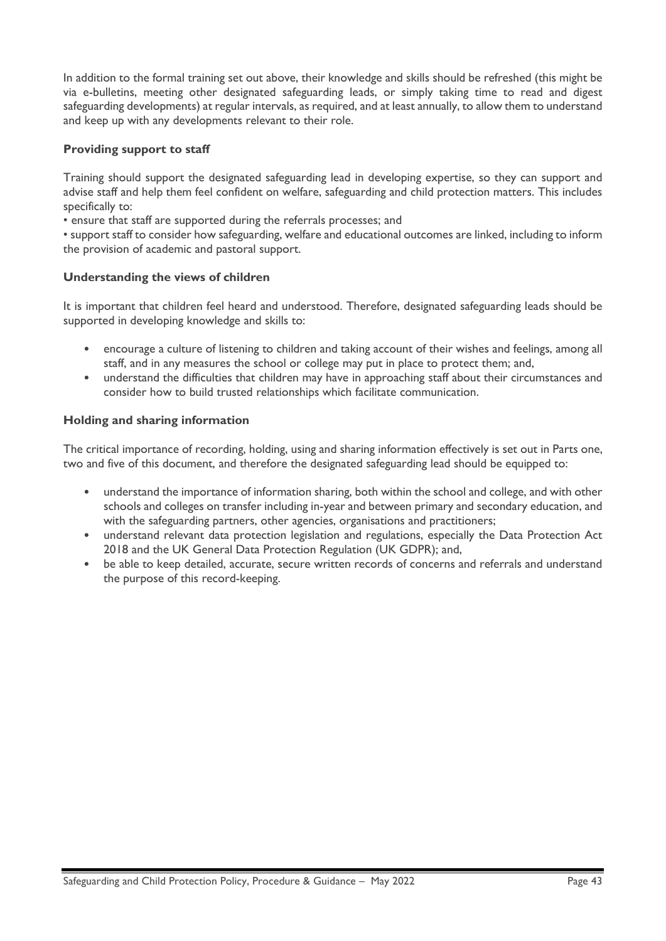In addition to the formal training set out above, their knowledge and skills should be refreshed (this might be via e-bulletins, meeting other designated safeguarding leads, or simply taking time to read and digest safeguarding developments) at regular intervals, as required, and at least annually, to allow them to understand and keep up with any developments relevant to their role.

## **Providing support to staff**

Training should support the designated safeguarding lead in developing expertise, so they can support and advise staff and help them feel confident on welfare, safeguarding and child protection matters. This includes specifically to:

• ensure that staff are supported during the referrals processes; and

• support staff to consider how safeguarding, welfare and educational outcomes are linked, including to inform the provision of academic and pastoral support.

## **Understanding the views of children**

It is important that children feel heard and understood. Therefore, designated safeguarding leads should be supported in developing knowledge and skills to:

- encourage a culture of listening to children and taking account of their wishes and feelings, among all staff, and in any measures the school or college may put in place to protect them; and,
- understand the difficulties that children may have in approaching staff about their circumstances and consider how to build trusted relationships which facilitate communication.

## **Holding and sharing information**

The critical importance of recording, holding, using and sharing information effectively is set out in Parts one, two and five of this document, and therefore the designated safeguarding lead should be equipped to:

- understand the importance of information sharing, both within the school and college, and with other schools and colleges on transfer including in-year and between primary and secondary education, and with the safeguarding partners, other agencies, organisations and practitioners;
- understand relevant data protection legislation and regulations, especially the Data Protection Act 2018 and the UK General Data Protection Regulation (UK GDPR); and,
- be able to keep detailed, accurate, secure written records of concerns and referrals and understand the purpose of this record-keeping.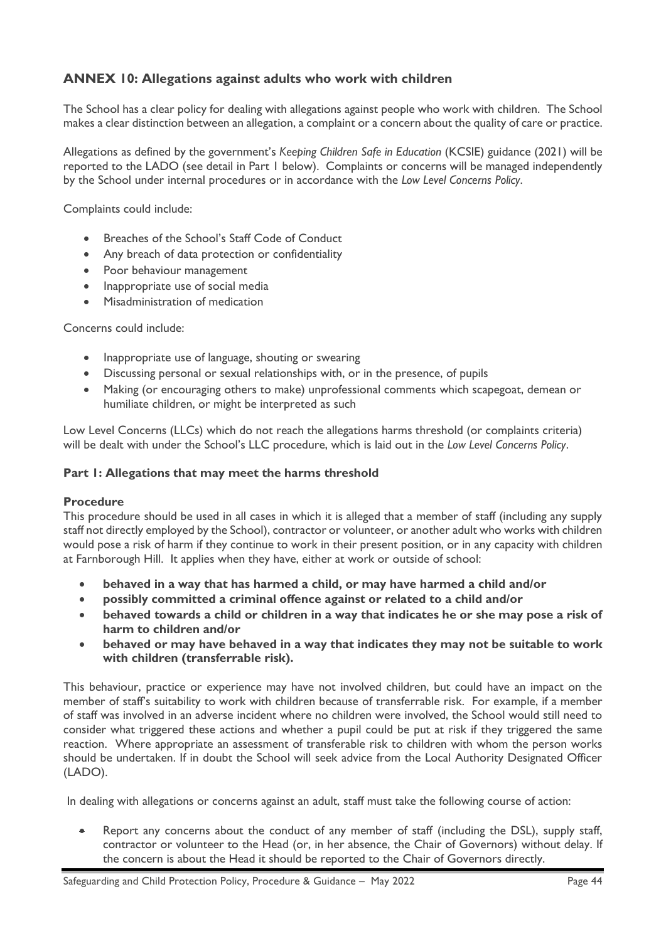# **ANNEX 10: Allegations against adults who work with children**

The School has a clear policy for dealing with allegations against people who work with children. The School makes a clear distinction between an allegation, a complaint or a concern about the quality of care or practice.

Allegations as defined by the government's *Keeping Children Safe in Education* (KCSIE) guidance (2021) will be reported to the LADO (see detail in Part 1 below). Complaints or concerns will be managed independently by the School under internal procedures or in accordance with the *Low Level Concerns Policy*.

Complaints could include:

- Breaches of the School's Staff Code of Conduct
- Any breach of data protection or confidentiality
- Poor behaviour management
- Inappropriate use of social media
- Misadministration of medication

Concerns could include:

- Inappropriate use of language, shouting or swearing
- Discussing personal or sexual relationships with, or in the presence, of pupils
- Making (or encouraging others to make) unprofessional comments which scapegoat, demean or humiliate children, or might be interpreted as such

Low Level Concerns (LLCs) which do not reach the allegations harms threshold (or complaints criteria) will be dealt with under the School's LLC procedure, which is laid out in the *Low Level Concerns Policy*.

## **Part 1: Allegations that may meet the harms threshold**

#### **Procedure**

This procedure should be used in all cases in which it is alleged that a member of staff (including any supply staff not directly employed by the School), contractor or volunteer, or another adult who works with children would pose a risk of harm if they continue to work in their present position, or in any capacity with children at Farnborough Hill. It applies when they have, either at work or outside of school:

- **behaved in a way that has harmed a child, or may have harmed a child and/or**
- **possibly committed a criminal offence against or related to a child and/or**
- **behaved towards a child or children in a way that indicates he or she may pose a risk of harm to children and/or**
- **behaved or may have behaved in a way that indicates they may not be suitable to work with children (transferrable risk).**

This behaviour, practice or experience may have not involved children, but could have an impact on the member of staff's suitability to work with children because of transferrable risk. For example, if a member of staff was involved in an adverse incident where no children were involved, the School would still need to consider what triggered these actions and whether a pupil could be put at risk if they triggered the same reaction. Where appropriate an assessment of transferable risk to children with whom the person works should be undertaken. If in doubt the School will seek advice from the Local Authority Designated Officer (LADO).

In dealing with allegations or concerns against an adult, staff must take the following course of action:

• Report any concerns about the conduct of any member of staff (including the DSL), supply staff, contractor or volunteer to the Head (or, in her absence, the Chair of Governors) without delay. If the concern is about the Head it should be reported to the Chair of Governors directly.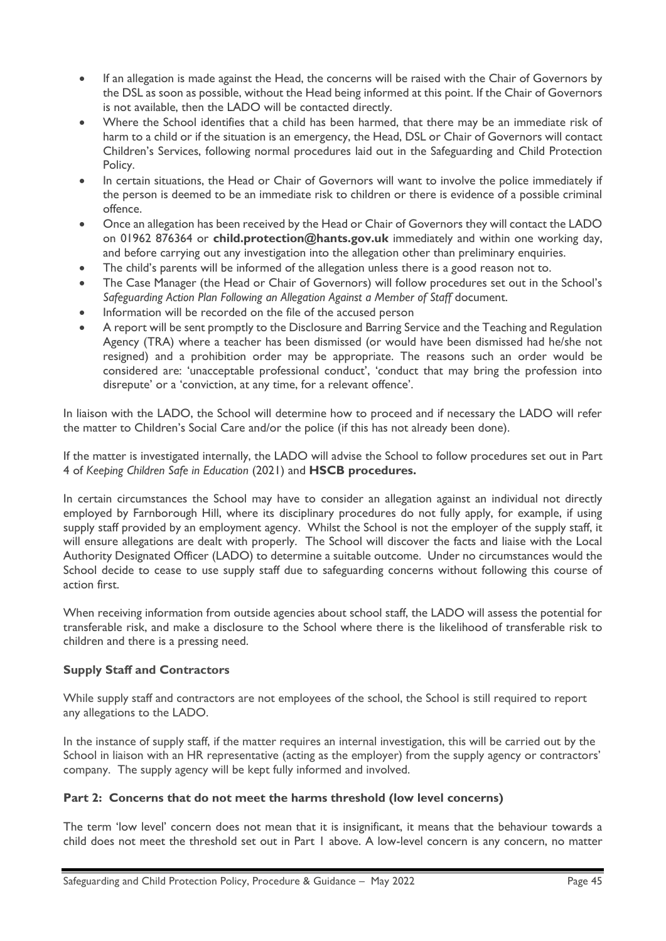- If an allegation is made against the Head, the concerns will be raised with the Chair of Governors by the DSL as soon as possible, without the Head being informed at this point. If the Chair of Governors is not available, then the LADO will be contacted directly.
- Where the School identifies that a child has been harmed, that there may be an immediate risk of harm to a child or if the situation is an emergency, the Head, DSL or Chair of Governors will contact Children's Services, following normal procedures laid out in the Safeguarding and Child Protection Policy.
- In certain situations, the Head or Chair of Governors will want to involve the police immediately if the person is deemed to be an immediate risk to children or there is evidence of a possible criminal offence.
- Once an allegation has been received by the Head or Chair of Governors they will contact the LADO on 01962 876364 or **[child.protection@hants.gov.uk](mailto:child.protection@hants.gov.uk)** immediately and within one working day, and before carrying out any investigation into the allegation other than preliminary enquiries.
- The child's parents will be informed of the allegation unless there is a good reason not to.
- The Case Manager (the Head or Chair of Governors) will follow procedures set out in the School's *Safeguarding Action Plan Following an Allegation Against a Member of Staff* document.
- Information will be recorded on the file of the accused person
- A report will be sent promptly to the Disclosure and Barring Service and the Teaching and Regulation Agency (TRA) where a teacher has been dismissed (or would have been dismissed had he/she not resigned) and a prohibition order may be appropriate. The reasons such an order would be considered are: 'unacceptable professional conduct', 'conduct that may bring the profession into disrepute' or a 'conviction, at any time, for a relevant offence'.

In liaison with the LADO, the School will determine how to proceed and if necessary the LADO will refer the matter to Children's Social Care and/or the police (if this has not already been done).

If the matter is investigated internally, the LADO will advise the School to follow procedures set out in Part 4 of *Keeping Children Safe in Education* (2021) and **[HSCB procedures.](http://4lscb.proceduresonline.com/hampshire/p_alleg_against_staff.html)**

In certain circumstances the School may have to consider an allegation against an individual not directly employed by Farnborough Hill, where its disciplinary procedures do not fully apply, for example, if using supply staff provided by an employment agency. Whilst the School is not the employer of the supply staff, it will ensure allegations are dealt with properly. The School will discover the facts and liaise with the Local Authority Designated Officer (LADO) to determine a suitable outcome. Under no circumstances would the School decide to cease to use supply staff due to safeguarding concerns without following this course of action first.

When receiving information from outside agencies about school staff, the LADO will assess the potential for transferable risk, and make a disclosure to the School where there is the likelihood of transferable risk to children and there is a pressing need.

# **Supply Staff and Contractors**

While supply staff and contractors are not employees of the school, the School is still required to report any allegations to the LADO.

In the instance of supply staff, if the matter requires an internal investigation, this will be carried out by the School in liaison with an HR representative (acting as the employer) from the supply agency or contractors' company. The supply agency will be kept fully informed and involved.

## **Part 2: Concerns that do not meet the harms threshold (low level concerns)**

The term 'low level' concern does not mean that it is insignificant, it means that the behaviour towards a child does not meet the threshold set out in Part 1 above. A low-level concern is any concern, no matter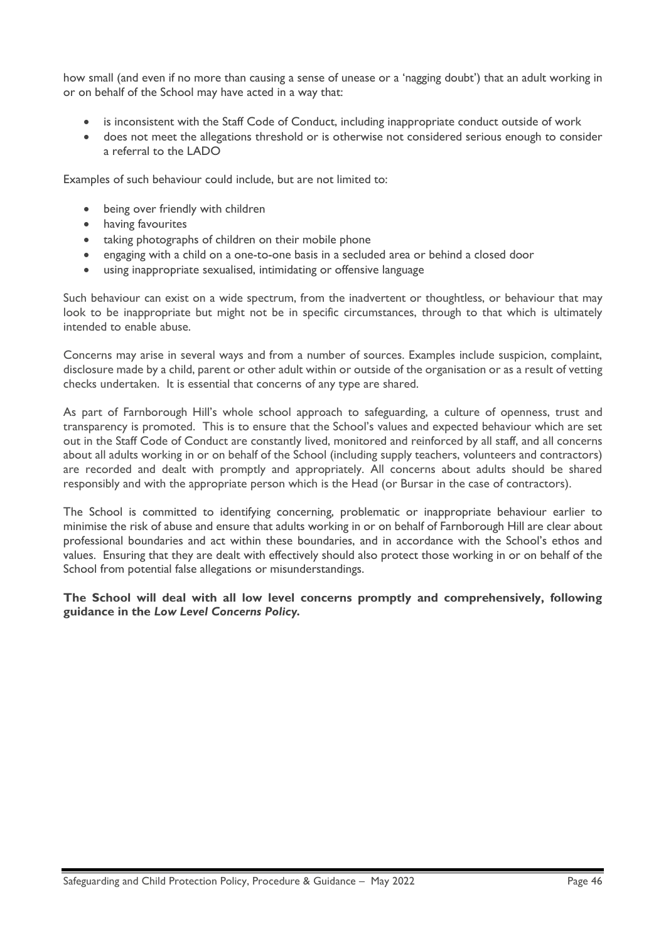how small (and even if no more than causing a sense of unease or a 'nagging doubt') that an adult working in or on behalf of the School may have acted in a way that:

- is inconsistent with the Staff Code of Conduct, including inappropriate conduct outside of work
- does not meet the allegations threshold or is otherwise not considered serious enough to consider a referral to the LADO

Examples of such behaviour could include, but are not limited to:

- being over friendly with children
- having favourites
- taking photographs of children on their mobile phone
- engaging with a child on a one-to-one basis in a secluded area or behind a closed door
- using inappropriate sexualised, intimidating or offensive language

Such behaviour can exist on a wide spectrum, from the inadvertent or thoughtless, or behaviour that may look to be inappropriate but might not be in specific circumstances, through to that which is ultimately intended to enable abuse.

Concerns may arise in several ways and from a number of sources. Examples include suspicion, complaint, disclosure made by a child, parent or other adult within or outside of the organisation or as a result of vetting checks undertaken. It is essential that concerns of any type are shared.

As part of Farnborough Hill's whole school approach to safeguarding, a culture of openness, trust and transparency is promoted. This is to ensure that the School's values and expected behaviour which are set out in the Staff Code of Conduct are constantly lived, monitored and reinforced by all staff, and all concerns about all adults working in or on behalf of the School (including supply teachers, volunteers and contractors) are recorded and dealt with promptly and appropriately. All concerns about adults should be shared responsibly and with the appropriate person which is the Head (or Bursar in the case of contractors).

The School is committed to identifying concerning, problematic or inappropriate behaviour earlier to minimise the risk of abuse and ensure that adults working in or on behalf of Farnborough Hill are clear about professional boundaries and act within these boundaries, and in accordance with the School's ethos and values. Ensuring that they are dealt with effectively should also protect those working in or on behalf of the School from potential false allegations or misunderstandings.

**The School will deal with all low level concerns promptly and comprehensively, following guidance in the** *Low Level Concerns Policy.*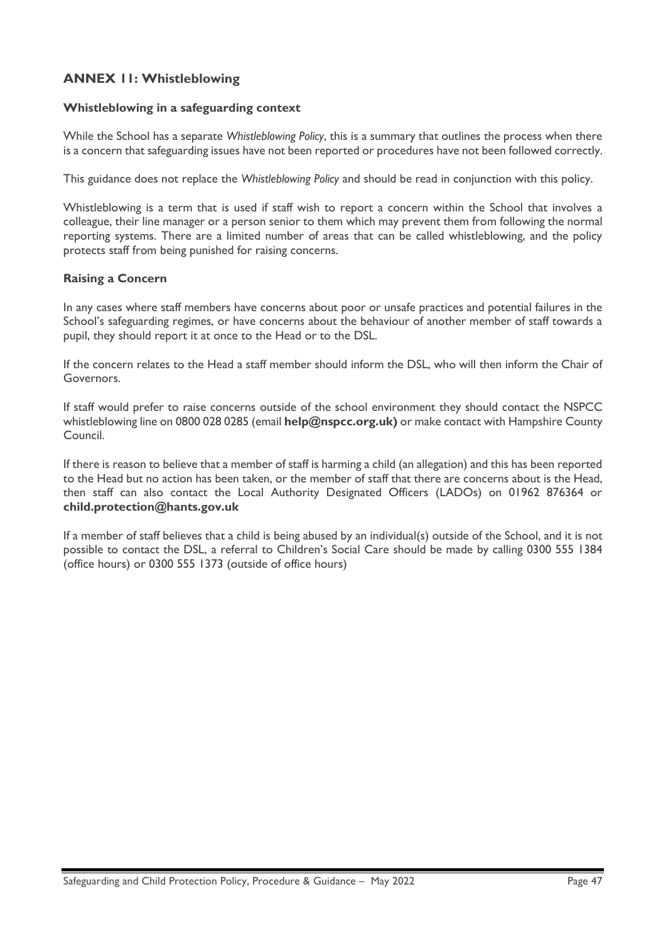# **ANNEX 11: Whistleblowing**

## **Whistleblowing in a safeguarding context**

While the School has a separate *Whistleblowing Policy*, this is a summary that outlines the process when there is a concern that safeguarding issues have not been reported or procedures have not been followed correctly.

This guidance does not replace the *Whistleblowing Policy* and should be read in conjunction with this policy.

Whistleblowing is a term that is used if staff wish to report a concern within the School that involves a colleague, their line manager or a person senior to them which may prevent them from following the normal reporting systems. There are a limited number of areas that can be called whistleblowing, and the policy protects staff from being punished for raising concerns.

## **Raising a Concern**

In any cases where staff members have concerns about poor or unsafe practices and potential failures in the School's safeguarding regimes, or have concerns about the behaviour of another member of staff towards a pupil, they should report it at once to the Head or to the DSL.

If the concern relates to the Head a staff member should inform the DSL, who will then inform the Chair of Governors.

If staff would prefer to raise concerns outside of the school environment they should contact the NSPCC whistleblowing line on 0800 028 0285 (email **[help@nspcc.org.uk\)](mailto:help@nspcc.org.uk)** or make contact with Hampshire County Council.

If there is reason to believe that a member of staff is harming a child (an allegation) and this has been reported to the Head but no action has been taken, or the member of staff that there are concerns about is the Head, then staff can also contact the Local Authority Designated Officers (LADOs) on 01962 876364 or **[child.protection@hants.gov.uk](mailto:child.protection@hants.gov.uk)**

If a member of staff believes that a child is being abused by an individual(s) outside of the School, and it is not possible to contact the DSL, a referral to Children's Social Care should be made by calling 0300 555 1384 (office hours) or 0300 555 1373 (outside of office hours)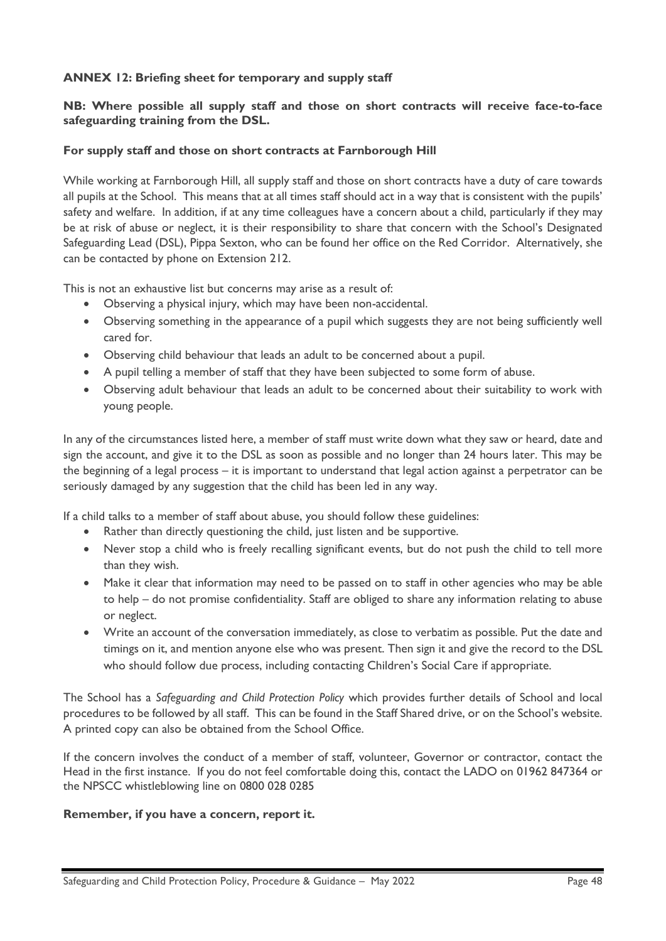# **ANNEX 12: Briefing sheet for temporary and supply staff**

## **NB: Where possible all supply staff and those on short contracts will receive face-to-face safeguarding training from the DSL.**

## **For supply staff and those on short contracts at Farnborough Hill**

While working at Farnborough Hill, all supply staff and those on short contracts have a duty of care towards all pupils at the School. This means that at all times staff should act in a way that is consistent with the pupils' safety and welfare. In addition, if at any time colleagues have a concern about a child, particularly if they may be at risk of abuse or neglect, it is their responsibility to share that concern with the School's Designated Safeguarding Lead (DSL), Pippa Sexton, who can be found her office on the Red Corridor. Alternatively, she can be contacted by phone on Extension 212.

This is not an exhaustive list but concerns may arise as a result of:

- Observing a physical injury, which may have been non-accidental.
- Observing something in the appearance of a pupil which suggests they are not being sufficiently well cared for.
- Observing child behaviour that leads an adult to be concerned about a pupil.
- A pupil telling a member of staff that they have been subjected to some form of abuse.
- Observing adult behaviour that leads an adult to be concerned about their suitability to work with young people.

In any of the circumstances listed here, a member of staff must write down what they saw or heard, date and sign the account, and give it to the DSL as soon as possible and no longer than 24 hours later. This may be the beginning of a legal process – it is important to understand that legal action against a perpetrator can be seriously damaged by any suggestion that the child has been led in any way.

If a child talks to a member of staff about abuse, you should follow these guidelines:

- Rather than directly questioning the child, just listen and be supportive.
- Never stop a child who is freely recalling significant events, but do not push the child to tell more than they wish.
- Make it clear that information may need to be passed on to staff in other agencies who may be able to help – do not promise confidentiality. Staff are obliged to share any information relating to abuse or neglect.
- Write an account of the conversation immediately, as close to verbatim as possible. Put the date and timings on it, and mention anyone else who was present. Then sign it and give the record to the DSL who should follow due process, including contacting Children's Social Care if appropriate.

The School has a *Safeguarding and Child Protection Policy* which provides further details of School and local procedures to be followed by all staff. This can be found in the Staff Shared drive, or on the School's website. A printed copy can also be obtained from the School Office.

If the concern involves the conduct of a member of staff, volunteer, Governor or contractor, contact the Head in the first instance. If you do not feel comfortable doing this, contact the LADO on 01962 847364 or the NPSCC whistleblowing line on 0800 028 0285

#### **Remember, if you have a concern, report it.**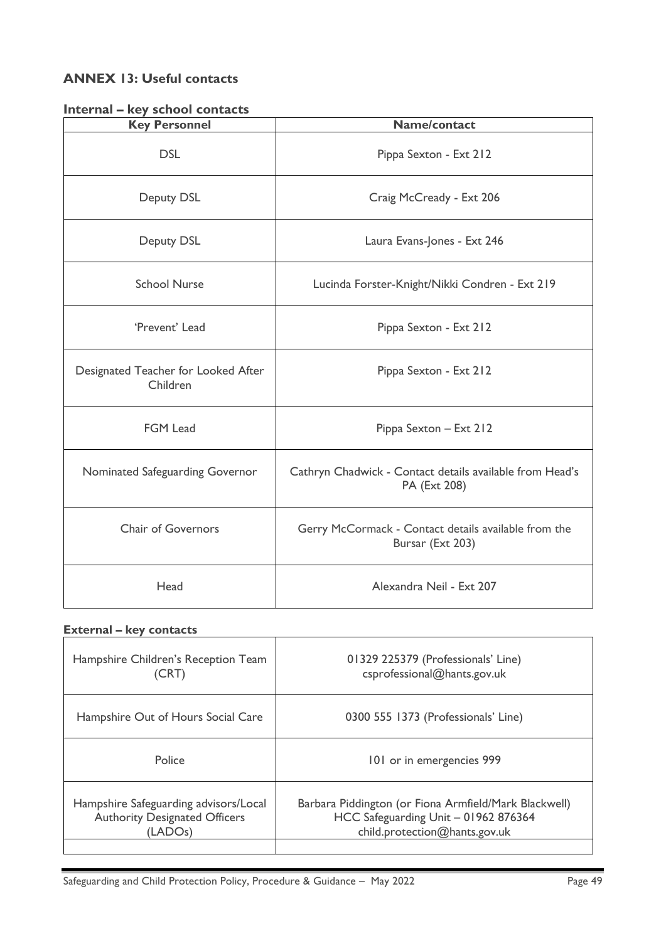# **ANNEX 13: Useful contacts**

| Internal - key school contacts |  |  |  |  |
|--------------------------------|--|--|--|--|
|--------------------------------|--|--|--|--|

| <b>Key Personnel</b>                            | Name/contact                                                             |
|-------------------------------------------------|--------------------------------------------------------------------------|
| <b>DSL</b>                                      | Pippa Sexton - Ext 212                                                   |
| Deputy DSL                                      | Craig McCready - Ext 206                                                 |
| Deputy DSL                                      | Laura Evans-Jones - Ext 246                                              |
| <b>School Nurse</b>                             | Lucinda Forster-Knight/Nikki Condren - Ext 219                           |
| 'Prevent' Lead                                  | Pippa Sexton - Ext 212                                                   |
| Designated Teacher for Looked After<br>Children | Pippa Sexton - Ext 212                                                   |
| <b>FGM Lead</b>                                 | Pippa Sexton - Ext 212                                                   |
| Nominated Safeguarding Governor                 | Cathryn Chadwick - Contact details available from Head's<br>PA (Ext 208) |
| <b>Chair of Governors</b>                       | Gerry McCormack - Contact details available from the<br>Bursar (Ext 203) |
| Head                                            | Alexandra Neil - Ext 207                                                 |

# **External – key contacts**

| Hampshire Children's Reception Team   | 01329 225379 (Professionals' Line)                    |
|---------------------------------------|-------------------------------------------------------|
| (CRT)                                 | csprofessional@hants.gov.uk                           |
| Hampshire Out of Hours Social Care    | 0300 555 1373 (Professionals' Line)                   |
| Police                                | 101 or in emergencies 999                             |
| Hampshire Safeguarding advisors/Local | Barbara Piddington (or Fiona Armfield/Mark Blackwell) |
| <b>Authority Designated Officers</b>  | HCC Safeguarding Unit - 01962 876364                  |
| (LADOs)                               | child.protection@hants.gov.uk                         |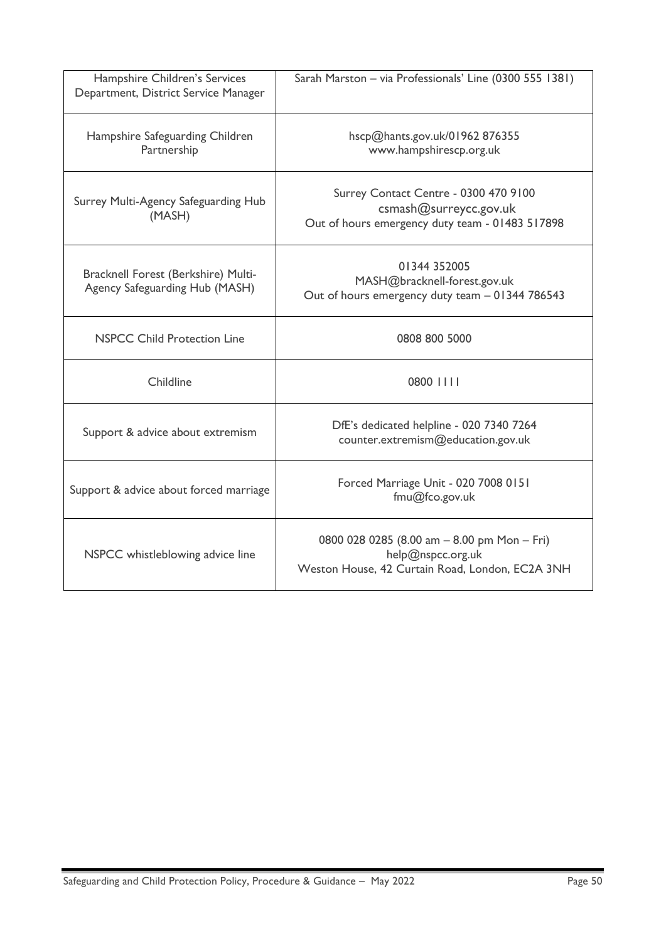| Hampshire Children's Services<br>Department, District Service Manager | Sarah Marston - via Professionals' Line (0300 555 1381)                                                             |
|-----------------------------------------------------------------------|---------------------------------------------------------------------------------------------------------------------|
| Hampshire Safeguarding Children<br>Partnership                        | hscp@hants.gov.uk/01962 876355<br>www.hampshirescp.org.uk                                                           |
| Surrey Multi-Agency Safeguarding Hub<br>(MASH)                        | Surrey Contact Centre - 0300 470 9100<br>csmash@surreycc.gov.uk<br>Out of hours emergency duty team - 01483 517898  |
| Bracknell Forest (Berkshire) Multi-<br>Agency Safeguarding Hub (MASH) | 01344 352005<br>MASH@bracknell-forest.gov.uk<br>Out of hours emergency duty team - 01344 786543                     |
| <b>NSPCC Child Protection Line</b>                                    | 0808 800 5000                                                                                                       |
| Childline                                                             | 0800 1111                                                                                                           |
| Support & advice about extremism                                      | DfE's dedicated helpline - 020 7340 7264<br>counter.extremism@education.gov.uk                                      |
| Support & advice about forced marriage                                | Forced Marriage Unit - 020 7008 0151<br>fmu@fco.gov.uk                                                              |
| NSPCC whistleblowing advice line                                      | 0800 028 0285 (8.00 am - 8.00 pm Mon - Fri)<br>help@nspcc.org.uk<br>Weston House, 42 Curtain Road, London, EC2A 3NH |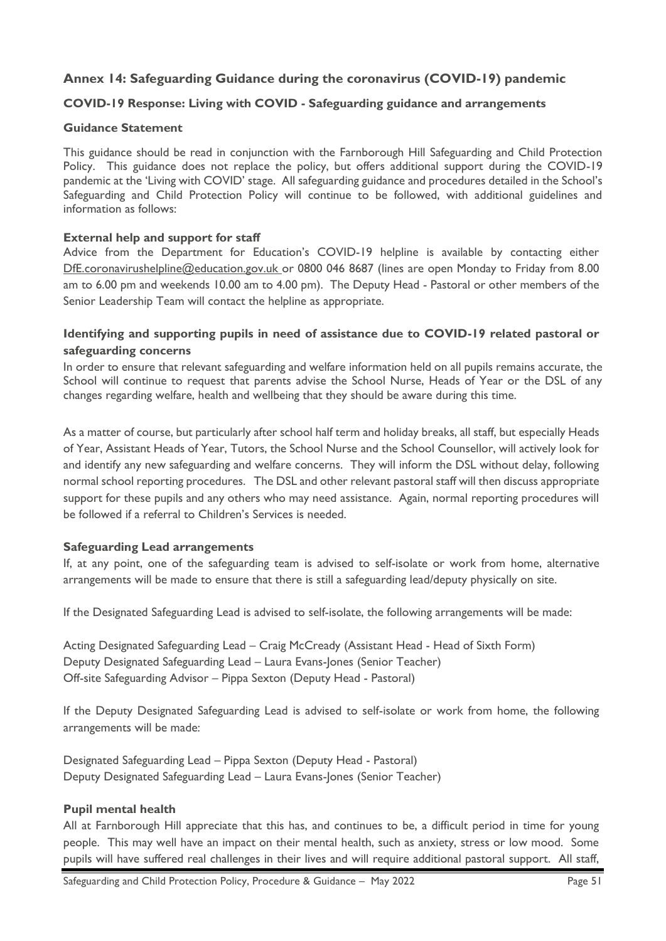# **Annex 14: Safeguarding Guidance during the coronavirus (COVID-19) pandemic**

## **COVID-19 Response: Living with COVID - Safeguarding guidance and arrangements**

## **Guidance Statement**

This guidance should be read in conjunction with the Farnborough Hill Safeguarding and Child Protection Policy. This guidance does not replace the policy, but offers additional support during the COVID-19 pandemic at the 'Living with COVID' stage. All safeguarding guidance and procedures detailed in the School's Safeguarding and Child Protection Policy will continue to be followed, with additional guidelines and information as follows:

## **External help and support for staff**

Advice from the Department for Education's COVID-19 helpline is available by contacting either [DfE.coronavirushelpline@education.gov.uk](mailto:DfE.coronavirushelpline@education.gov.uk) or 0800 046 8687 (lines are open Monday to Friday from 8.00 am to 6.00 pm and weekends 10.00 am to 4.00 pm). The Deputy Head - Pastoral or other members of the Senior Leadership Team will contact the helpline as appropriate.

# **Identifying and supporting pupils in need of assistance due to COVID-19 related pastoral or safeguarding concerns**

In order to ensure that relevant safeguarding and welfare information held on all pupils remains accurate, the School will continue to request that parents advise the School Nurse, Heads of Year or the DSL of any changes regarding welfare, health and wellbeing that they should be aware during this time.

As a matter of course, but particularly after school half term and holiday breaks, all staff, but especially Heads of Year, Assistant Heads of Year, Tutors, the School Nurse and the School Counsellor, will actively look for and identify any new safeguarding and welfare concerns. They will inform the DSL without delay, following normal school reporting procedures. The DSL and other relevant pastoral staff will then discuss appropriate support for these pupils and any others who may need assistance. Again, normal reporting procedures will be followed if a referral to Children's Services is needed.

## **Safeguarding Lead arrangements**

If, at any point, one of the safeguarding team is advised to self-isolate or work from home, alternative arrangements will be made to ensure that there is still a safeguarding lead/deputy physically on site.

If the Designated Safeguarding Lead is advised to self-isolate, the following arrangements will be made:

Acting Designated Safeguarding Lead – Craig McCready (Assistant Head - Head of Sixth Form) Deputy Designated Safeguarding Lead – Laura Evans-Jones (Senior Teacher) Off-site Safeguarding Advisor – Pippa Sexton (Deputy Head - Pastoral)

If the Deputy Designated Safeguarding Lead is advised to self-isolate or work from home, the following arrangements will be made:

Designated Safeguarding Lead – Pippa Sexton (Deputy Head - Pastoral) Deputy Designated Safeguarding Lead – Laura Evans-Jones (Senior Teacher)

## **Pupil mental health**

All at Farnborough Hill appreciate that this has, and continues to be, a difficult period in time for young people. This may well have an impact on their mental health, such as anxiety, stress or low mood. Some pupils will have suffered real challenges in their lives and will require additional pastoral support. All staff,